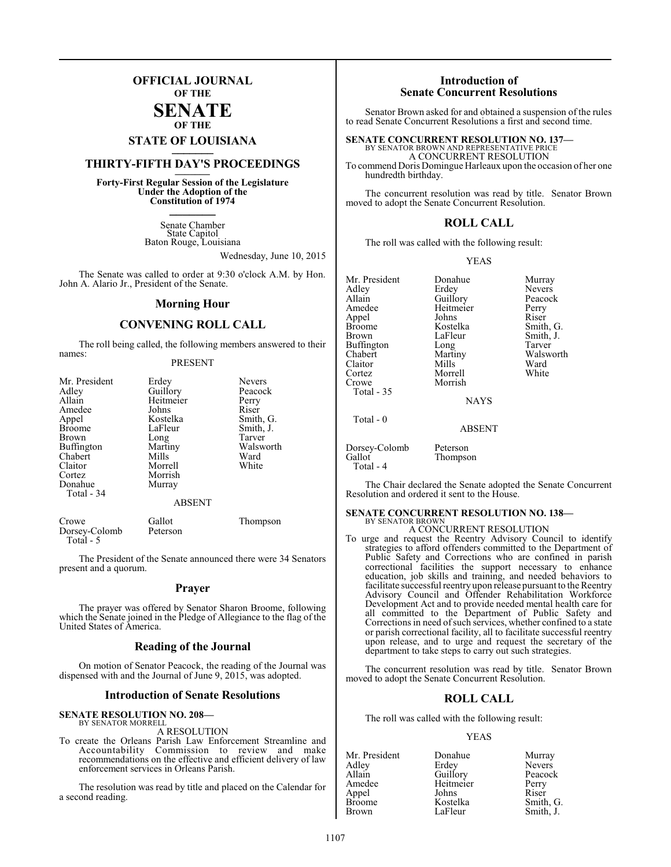### **OFFICIAL JOURNAL OF THE**

### **SENATE OF THE**

# **STATE OF LOUISIANA \_\_\_\_\_\_\_**

## **THIRTY-FIFTH DAY'S PROCEEDINGS \_\_\_\_\_\_\_**

**Forty-First Regular Session of the Legislature Under the Adoption of the Constitution of 1974 \_\_\_\_\_\_\_**

> Senate Chamber State Capitol Baton Rouge, Louisiana

> > Wednesday, June 10, 2015

The Senate was called to order at 9:30 o'clock A.M. by Hon. John A. Alario Jr., President of the Senate.

### **Morning Hour**

### **CONVENING ROLL CALL**

The roll being called, the following members answered to their names:

### PRESENT

| Mr. President | Erdey         | <b>Nevers</b> |
|---------------|---------------|---------------|
| Adley         | Guillory      | Peacock       |
| Allain        | Heitmeier     | Perry         |
| Amedee        | Johns         | Riser         |
| Appel         | Kostelka      | Smith, G.     |
| <b>Broome</b> | LaFleur       | Smith, J.     |
| Brown         | Long          | Tarver        |
| Buffington    | Martiny       | Walsworth     |
| Chabert       | Mills         | Ward          |
| Claitor       | Morrell       | White         |
| Cortez        | Morrish       |               |
| Donahue       | Murray        |               |
| Total - 34    |               |               |
|               | <b>ABSENT</b> |               |
|               |               |               |

Crowe Gallot Thompson<br>Dorsey-Colomb Peterson Dorsey-Colomb Total - 5

The President of the Senate announced there were 34 Senators present and a quorum.

### **Prayer**

The prayer was offered by Senator Sharon Broome, following which the Senate joined in the Pledge of Allegiance to the flag of the United States of America.

### **Reading of the Journal**

On motion of Senator Peacock, the reading of the Journal was dispensed with and the Journal of June 9, 2015, was adopted.

### **Introduction of Senate Resolutions**

### **SENATE RESOLUTION NO. 208—** BY SENATOR MORRELL

A RESOLUTION

To create the Orleans Parish Law Enforcement Streamline and Accountability Commission to review and make recommendations on the effective and efficient delivery of law enforcement services in Orleans Parish.

The resolution was read by title and placed on the Calendar for a second reading.

### **Introduction of Senate Concurrent Resolutions**

Senator Brown asked for and obtained a suspension of the rules to read Senate Concurrent Resolutions a first and second time.

**SENATE CONCURRENT RESOLUTION NO. 137—** BY SENATOR BROWN AND REPRESENTATIVE PRICE A CONCURRENT RESOLUTION

To commend Doris Domingue Harleaux upon the occasion of her one hundredth birthday.

The concurrent resolution was read by title. Senator Brown moved to adopt the Senate Concurrent Resolution.

### **ROLL CALL**

The roll was called with the following result:

### YEAS

Mr. President Donahue Murray<br>Adley Erdey Nevers Adley Erdey Nevers Allain Guillory Peacock<br>Amedee Heitmeier Perry Appel Johns<br>Broome Kostelka Broome Kostelka Smith, G.<br>Brown LaFleur Smith, J. Buffington Long<br>Chabert Martiny Claitor Mills Ward<br>Cortez Morrell White Cortez Morrell<br>Crowe Morrish Total - 35 Total - 0 Dors

Heitmeier Perry<br>
Johns Riser Smith, J.<br>Tarver Martiny Walsworth<br>
Mills Ward

NAYS

Morrish

ABSENT

| Dorsey-Colomb | Peterson |
|---------------|----------|
| Gallot        | Thompson |
| Total - 4     |          |

The Chair declared the Senate adopted the Senate Concurrent Resolution and ordered it sent to the House.

### **SENATE CONCURRENT RESOLUTION NO. 138—** BY SENATOR BROWN

A CONCURRENT RESOLUTION

To urge and request the Reentry Advisory Council to identify strategies to afford offenders committed to the Department of Public Safety and Corrections who are confined in parish correctional facilities the support necessary to enhance education, job skills and training, and needed behaviors to facilitate successful reentry upon release pursuant to the Reentry Advisory Council and Offender Rehabilitation Workforce Development Act and to provide needed mental health care for all committed to the Department of Public Safety and Corrections in need of such services, whether confined to a state or parish correctional facility, all to facilitate successful reentry upon release, and to urge and request the secretary of the department to take steps to carry out such strategies.

The concurrent resolution was read by title. Senator Brown moved to adopt the Senate Concurrent Resolution.

### **ROLL CALL**

The roll was called with the following result:

### YEAS

| Donahue   | Murray    |
|-----------|-----------|
| Erdey     | Nevers    |
| Guillory  | Peacock   |
| Heitmeier | Perry     |
| Johns     | Riser     |
| Kostelka  | Smith, G. |
| LaFleur   | Smith, J. |
|           |           |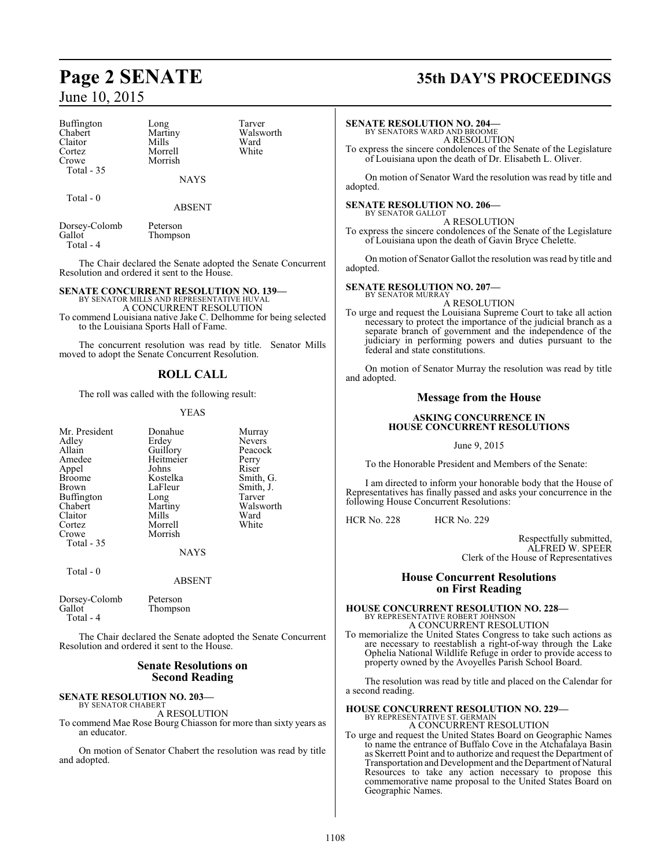| Buffington | Long    | Tarve |
|------------|---------|-------|
| Chabert    | Martiny | Walsy |
| Claitor    | Mills   | Ward  |
| Cortez     | Morrell | White |
| Crowe      | Morrish |       |
| Total - 35 |         |       |
|            |         |       |

Total - 0

Long Tarver<br>Martiny Walsw Martiny Walsworth<br>
Mills Ward Morrell White Morrish

ABSENT

NAYS

Dorsey-Colomb Peterson Thompson Total - 4

The Chair declared the Senate adopted the Senate Concurrent Resolution and ordered it sent to the House.

### **SENATE CONCURRENT RESOLUTION NO. 139—** BY SENATOR MILLS AND REPRESENTATIVE HUVAL

A CONCURRENT RESOLUTION To commend Louisiana native Jake C. Delhomme for being selected to the Louisiana Sports Hall of Fame.

The concurrent resolution was read by title. Senator Mills moved to adopt the Senate Concurrent Resolution.

### **ROLL CALL**

The roll was called with the following result:

### YEAS

| Mr. President<br>Adley<br>Allain<br>Amedee<br>Appel<br>Broome<br>Brown<br>Buffington<br>Chabert<br>Claitor<br>Cortez<br>Crowe<br>Total - 35<br>Total - 0 | Donahue<br>Erdev<br>Guillory<br>Heitmeier<br>Johns<br>Kostelka<br>LaFleur<br>Long<br>Martiny<br>Mills<br>Morrell<br>Morrish<br><b>NAYS</b><br><b>ABSENT</b> | Murray<br><b>Nevers</b><br>Peacock<br>Perry<br>Riser<br>Smith, G.<br>Smith, J.<br>Tarver<br>Walsworth<br>Ward<br>White |
|----------------------------------------------------------------------------------------------------------------------------------------------------------|-------------------------------------------------------------------------------------------------------------------------------------------------------------|------------------------------------------------------------------------------------------------------------------------|
| Dorsey-Colomb<br>Gallot                                                                                                                                  | Peterson<br>Thompson                                                                                                                                        |                                                                                                                        |

The Chair declared the Senate adopted the Senate Concurrent Resolution and ordered it sent to the House.

### **Senate Resolutions on Second Reading**

### **SENATE RESOLUTION NO. 203—** BY SENATOR CHABERT

Total - 4

A RESOLUTION

To commend Mae Rose Bourg Chiasson for more than sixty years as an educator.

On motion of Senator Chabert the resolution was read by title and adopted.

# **Page 2 SENATE 35th DAY'S PROCEEDINGS**

### **SENATE RESOLUTION NO. 204—**

BY SENATORS WARD AND BROOME A RESOLUTION

To express the sincere condolences of the Senate of the Legislature of Louisiana upon the death of Dr. Elisabeth L. Oliver.

On motion of Senator Ward the resolution was read by title and adopted.

### **SENATE RESOLUTION NO. 206—** BY SENATOR GALLOT

A RESOLUTION To express the sincere condolences of the Senate of the Legislature of Louisiana upon the death of Gavin Bryce Chelette.

On motion of Senator Gallot the resolution was read by title and adopted.

### **SENATE RESOLUTION NO. 207—**

BY SENATOR MURRAY A RESOLUTION

To urge and request the Louisiana Supreme Court to take all action necessary to protect the importance of the judicial branch as a separate branch of government and the independence of the judiciary in performing powers and duties pursuant to the federal and state constitutions.

On motion of Senator Murray the resolution was read by title and adopted.

### **Message from the House**

### **ASKING CONCURRENCE IN HOUSE CONCURRENT RESOLUTIONS**

June 9, 2015

To the Honorable President and Members of the Senate:

I am directed to inform your honorable body that the House of Representatives has finally passed and asks your concurrence in the following House Concurrent Resolutions:

HCR No. 228 HCR No. 229

Respectfully submitted, ALFRED W. SPEER Clerk of the House of Representatives

### **House Concurrent Resolutions on First Reading**

### **HOUSE CONCURRENT RESOLUTION NO. 228—** BY REPRESENTATIVE ROBERT JOHNSON A CONCURRENT RESOLUTION

To memorialize the United States Congress to take such actions as are necessary to reestablish a right-of-way through the Lake Ophelia National Wildlife Refuge in order to provide access to property owned by the Avoyelles Parish School Board.

The resolution was read by title and placed on the Calendar for a second reading.

# **HOUSE CONCURRENT RESOLUTION NO. 229—** BY REPRESENTATIVE ST. GERMAIN

A CONCURRENT RESOLUTION

To urge and request the United States Board on Geographic Names to name the entrance of Buffalo Cove in the Atchafalaya Basin as Skerrett Point and to authorize and request the Department of Transportation and Development and the Department of Natural Resources to take any action necessary to propose this commemorative name proposal to the United States Board on Geographic Names.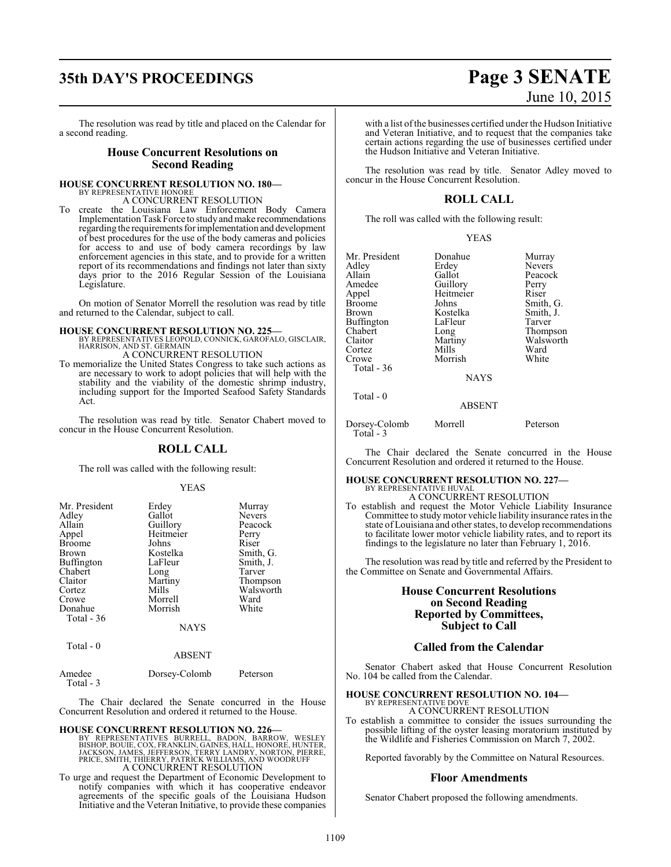# **35th DAY'S PROCEEDINGS Page 3 SENATE**

The resolution was read by title and placed on the Calendar for a second reading.

### **House Concurrent Resolutions on Second Reading**

### **HOUSE CONCURRENT RESOLUTION NO. 180—**

BY REPRESENTATIVE HONORE A CONCURRENT RESOLUTION

To create the Louisiana Law Enforcement Body Camera Implementation Task Force to study and make recommendations regarding the requirements forimplementation and development of best procedures for the use of the body cameras and policies for access to and use of body camera recordings by law enforcement agencies in this state, and to provide for a written report of its recommendations and findings not later than sixty days prior to the 2016 Regular Session of the Louisiana Legislature.

On motion of Senator Morrell the resolution was read by title and returned to the Calendar, subject to call.

**HOUSE CONCURRENT RESOLUTION NO. 225—** BY REPRESENTATIVES LEOPOLD, CONNICK, GAROFALO, GISCLAIR, HARRISON, AND ST. GERMAIN A CONCURRENT RESOLUTION

To memorialize the United States Congress to take such actions as are necessary to work to adopt policies that will help with the stability and the viability of the domestic shrimp industry, including support for the Imported Seafood Safety Standards Act.

The resolution was read by title. Senator Chabert moved to concur in the House Concurrent Resolution.

### **ROLL CALL**

The roll was called with the following result:

### YEAS

| Mr. President         | Erdey                  | Murray        |
|-----------------------|------------------------|---------------|
| Adley                 | Gallot                 | <b>Nevers</b> |
| Allain                | Guillory               | Peacock       |
| Appel                 | Heitmeier              | Perry         |
| <b>Broome</b>         | Johns                  | Riser         |
| Brown                 | Kostelka               | Smith, G.     |
| <b>Buffington</b>     | LaFleur                | Smith, J.     |
| Chabert               | Long                   | Tarver        |
| Claitor               | Martiny                | Thompson      |
| Cortez                | Mills                  | Walsworth     |
| Crowe                 | Morrell                | Ward          |
| Donahue<br>Total - 36 | Morrish<br><b>NAYS</b> | White         |
| Total - 0             |                        |               |

### ABSENT

| Dorsey-Colomb | Peterson |  |
|---------------|----------|--|
|               |          |  |

The Chair declared the Senate concurred in the House Concurrent Resolution and ordered it returned to the House.

**HOUSE CONCURRENT RESOLUTION NO. 226—**<br>BY REPRESENTATIVES BURRELL, BADON, BARROW, WESLEY<br>BISHOP, BOUIE, COX, FRANKLIN, GAINES, HALL, HONORE, HUNTER,<br>JACKSON, JAMES, JEFFERSON, TERRY LANDRY, NORTON, PIERRE,<br>PRICE, SMITH, TH A CONCURRENT RESOLUTION

To urge and request the Department of Economic Development to notify companies with which it has cooperative endeavor agreements of the specific goals of the Louisiana Hudson Initiative and the Veteran Initiative, to provide these companies

with a list ofthe businesses certified under the Hudson Initiative and Veteran Initiative, and to request that the companies take certain actions regarding the use of businesses certified under the Hudson Initiative and Veteran Initiative.

The resolution was read by title. Senator Adley moved to concur in the House Concurrent Resolution.

### **ROLL CALL**

The roll was called with the following result:

| Mr. President | Donahue     | Murray        |
|---------------|-------------|---------------|
| Adley         | Erdey       | <b>Nevers</b> |
| Allain        | Gallot      | Peacock       |
| Amedee        | Guillory    | Perry         |
| Appel         | Heitmeier   | Riser         |
| <b>Broome</b> | Johns       | Smith, G.     |
| <b>Brown</b>  | Kostelka    | Smith, J.     |
| Buffington    | LaFleur     | Tarver        |
| Chabert       | Long        | Thompson      |
| Claitor       | Martiny     | Walsworth     |
| Cortez        | Mills       | Ward          |
| Crowe         | Morrish     | White         |
| Total $-36$   |             |               |
|               | <b>NAYS</b> |               |
| Total - 0     |             |               |

### ABSENT

Peterson

| Dorsey-Colomb | Morrell |  |
|---------------|---------|--|
| Total $-3$    |         |  |

The Chair declared the Senate concurred in the House Concurrent Resolution and ordered it returned to the House.

### **HOUSE CONCURRENT RESOLUTION NO. 227—** BY REPRESENTATIVE HUVAL

A CONCURRENT RESOLUTION To establish and request the Motor Vehicle Liability Insurance Committee to study motor vehicle liability insurance rates in the state of Louisiana and other states, to develop recommendations to facilitate lower motor vehicle liability rates, and to report its findings to the legislature no later than February 1, 2016.

The resolution was read by title and referred by the President to the Committee on Senate and Governmental Affairs.

### **House Concurrent Resolutions on Second Reading Reported by Committees, Subject to Call**

### **Called from the Calendar**

Senator Chabert asked that House Concurrent Resolution No. 104 be called from the Calendar.

### **HOUSE CONCURRENT RESOLUTION NO. 104—**

BY REPRESENTATIVE DOVE A CONCURRENT RESOLUTION

To establish a committee to consider the issues surrounding the possible lifting of the oyster leasing moratorium instituted by the Wildlife and Fisheries Commission on March 7, 2002.

Reported favorably by the Committee on Natural Resources.

### **Floor Amendments**

Senator Chabert proposed the following amendments.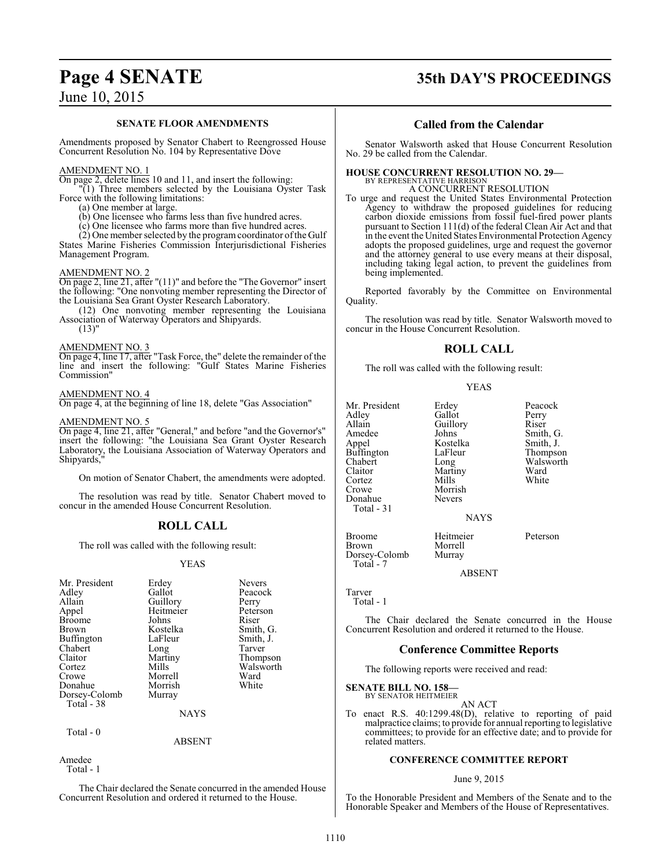## **Page 4 SENATE 35th DAY'S PROCEEDINGS**

## June 10, 2015

### **SENATE FLOOR AMENDMENTS**

Amendments proposed by Senator Chabert to Reengrossed House Concurrent Resolution No. 104 by Representative Dove

### AMENDMENT NO. 1

On page 2, delete lines 10 and 11, and insert the following:

"(1) Three members selected by the Louisiana Oyster Task Force with the following limitations:

(a) One member at large.

(b) One licensee who farms less than five hundred acres.

(c) One licensee who farms more than five hundred acres.

(2) One member selected by the programcoordinator ofthe Gulf States Marine Fisheries Commission Interjurisdictional Fisheries Management Program.

### AMENDMENT NO. 2

On page 2, line 21, after "(11)" and before the "The Governor" insert the following: "One nonvoting member representing the Director of the Louisiana Sea Grant Oyster Research Laboratory.

(12) One nonvoting member representing the Louisiana Association of Waterway Operators and Shipyards.  $(13)$ "

### AMENDMENT NO. 3

On page 4, line 17, after "Task Force, the" delete the remainder of the line and insert the following: "Gulf States Marine Fisheries Commission"

### AMENDMENT NO. 4

On page 4, at the beginning of line 18, delete "Gas Association"

### AMENDMENT NO. 5

On page 4, line 21, after "General," and before "and the Governor's" insert the following: "the Louisiana Sea Grant Oyster Research Laboratory, the Louisiana Association of Waterway Operators and Shipyards,

On motion of Senator Chabert, the amendments were adopted.

The resolution was read by title. Senator Chabert moved to concur in the amended House Concurrent Resolution.

### **ROLL CALL**

The roll was called with the following result:

### YEAS

| Mr. President     | Erdey     | <b>Nevers</b> |
|-------------------|-----------|---------------|
| Adley             | Gallot    | Peacock       |
| Allain            | Guillory  | Perry         |
| Appel             | Heitmeier | Peterson      |
| <b>Broome</b>     | Johns     | Riser         |
| Brown             | Kostelka  | Smith, G.     |
| <b>Buffington</b> | LaFleur   | Smith, J.     |
| Chabert           | Long      | Tarver        |
| Claitor           | Martiny   | Thompson      |
| Cortez            | Mills     | Walsworth     |
| Crowe             | Morrell   | Ward          |
| Donahue           | Morrish   | White         |
| Dorsey-Colomb     | Murray    |               |
| Total - 38        |           |               |
|                   | NAYS      |               |

Total - 0

ABSENT

Amedee Total - 1

The Chair declared the Senate concurred in the amended House Concurrent Resolution and ordered it returned to the House.

### **Called from the Calendar**

Senator Walsworth asked that House Concurrent Resolution No. 29 be called from the Calendar.

**HOUSE CONCURRENT RESOLUTION NO. 29—** BY REPRESENTATIVE HARRISON A CONCURRENT RESOLUTION

To urge and request the United States Environmental Protection Agency to withdraw the proposed guidelines for reducing carbon dioxide emissions from fossil fuel-fired power plants pursuant to Section 111(d) of the federal Clean Air Act and that in the event the United States Environmental Protection Agency adopts the proposed guidelines, urge and request the governor and the attorney general to use every means at their disposal, including taking legal action, to prevent the guidelines from being implemented.

Reported favorably by the Committee on Environmental Quality.

The resolution was read by title. Senator Walsworth moved to concur in the House Concurrent Resolution.

### **ROLL CALL**

The roll was called with the following result:

YEAS

Mr. President Erdey Peacock<br>Adley Gallot Perry Adley Gallot Perry<br>Allain Guillory Riser Allain Guillory<br>Amedee Johns Amedee Johns Smith, G.<br>Appel Kostelka Smith, J. Buffington LaFle<br>Chabert Long Chabert Long Walsworth<br>Claitor Martiny Ward Claitor Martiny Ward Cortez Mills White Crowe Morrish<br>
Donahue Nevers Donahue Total - 31

Kostelka Smith, J.<br>LaFleur Thompson

**NAYS** 

Morrell<br>Murray

Broome Heitmeier Peterson

ABSENT

Tarver Total - 1

Dorsey-Colomb Total - 7

The Chair declared the Senate concurred in the House Concurrent Resolution and ordered it returned to the House.

### **Conference Committee Reports**

The following reports were received and read:

**SENATE BILL NO. 158—**

BY SENATOR HEITMEIER AN ACT

To enact R.S. 40:1299.48(D), relative to reporting of paid malpractice claims; to provide for annual reporting to legislative committees; to provide for an effective date; and to provide for related matters.

### **CONFERENCE COMMITTEE REPORT**

### June 9, 2015

To the Honorable President and Members of the Senate and to the Honorable Speaker and Members of the House of Representatives.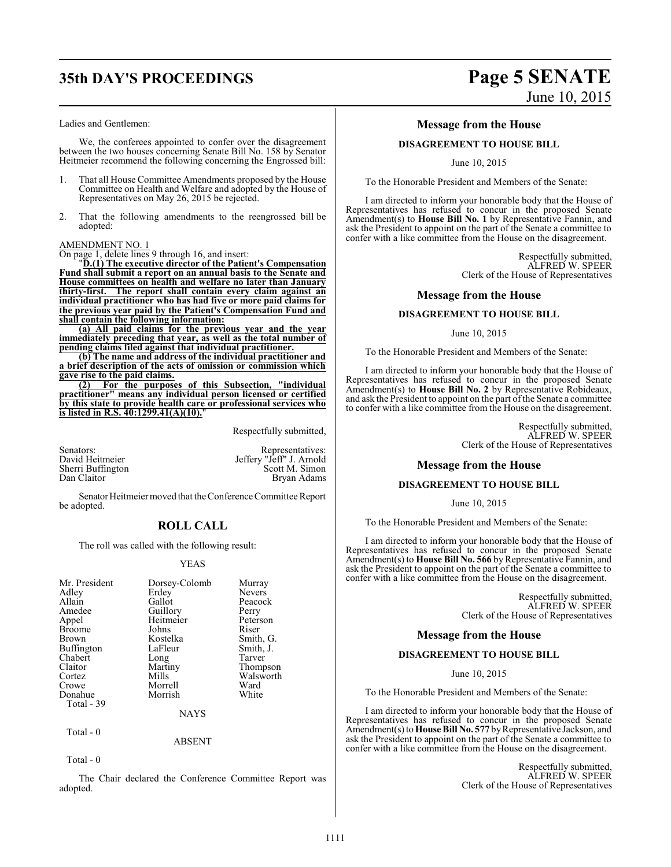# **35th DAY'S PROCEEDINGS Page 5 SENATE**

### Ladies and Gentlemen:

We, the conferees appointed to confer over the disagreement between the two houses concerning Senate Bill No. 158 by Senator Heitmeier recommend the following concerning the Engrossed bill:

- 1. That all House Committee Amendments proposed by the House Committee on Health and Welfare and adopted by the House of Representatives on May 26, 2015 be rejected.
- 2. That the following amendments to the reengrossed bill be adopted:

### AMENDMENT NO. 1

On page 1, delete lines 9 through 16, and insert:

"**D.(1) The executive director of the Patient's Compensation Fund shall submit a report on an annual basis to the Senate and House committees on health and welfare no later than January thirty-first. The report shall contain every claim against an individual practitioner who has had five or more paid claims for the previous year paid by the Patient's Compensation Fund and shall contain the following information:**

**(a) All paid claims for the previous year and the year immediately preceding that year, as well as the total number of pending claims filed against that individual practitioner.**

**(b) The name and address of the individual practitioner and a brief description of the acts of omission or commission which gave rise to the paid claims.**

**(2) For the purposes of this Subsection, "individual practitioner" means any individual person licensed or certified by this state to provide health care or professional services who is listed in R.S. 40:1299.41(A)(10).**"

Respectfully submitted,

| Senators:         | Representatives:         |
|-------------------|--------------------------|
| David Heitmeier   | Jeffery "Jeff" J. Arnold |
| Sherri Buffington | Scott M. Simon           |
| Dan Claitor       | Bryan Adams              |

Senator Heitmeier moved that the Conference Committee Report be adopted.

### **ROLL CALL**

The roll was called with the following result:

### YEAS

| Mr. President | Dorsey-Colomb | Murray        |
|---------------|---------------|---------------|
| Adley         | Erdey         | <b>Nevers</b> |
| Allain        | Gallot        | Peacock       |
| Amedee        | Guillory      | Perry         |
| Appel         | Heitmeier     | Peterson      |
| <b>Broome</b> | Johns         | Riser         |
| Brown         | Kostelka      | Smith, G.     |
| Buffington    | LaFleur       | Smith, J.     |
| Chabert       | Long          | Tarver        |
| Claitor       | Martiny       | Thompson      |
| Cortez        | Mills         | Walsworth     |
| Crowe         | Morrell       | Ward          |
| Donahue       | Morrish       | White         |
| Total - 39    |               |               |
|               | NAYS          |               |

Total - 0

ABSENT

Total - 0

The Chair declared the Conference Committee Report was adopted.

# June 10, 2015

### **Message from the House**

### **DISAGREEMENT TO HOUSE BILL**

June 10, 2015

To the Honorable President and Members of the Senate:

I am directed to inform your honorable body that the House of Representatives has refused to concur in the proposed Senate Amendment(s) to **House Bill No. 1** by Representative Fannin, and ask the President to appoint on the part of the Senate a committee to confer with a like committee from the House on the disagreement.

> Respectfully submitted, ALFRED W. SPEER Clerk of the House of Representatives

### **Message from the House**

### **DISAGREEMENT TO HOUSE BILL**

June 10, 2015

To the Honorable President and Members of the Senate:

I am directed to inform your honorable body that the House of Representatives has refused to concur in the proposed Senate Amendment(s) to **House Bill No. 2** by Representative Robideaux, and ask the President to appoint on the part ofthe Senate a committee to confer with a like committee from the House on the disagreement.

> Respectfully submitted, ALFRED W. SPEER Clerk of the House of Representatives

### **Message from the House**

### **DISAGREEMENT TO HOUSE BILL**

### June 10, 2015

To the Honorable President and Members of the Senate:

I am directed to inform your honorable body that the House of Representatives has refused to concur in the proposed Senate Amendment(s) to **House Bill No. 566** by Representative Fannin, and ask the President to appoint on the part of the Senate a committee to confer with a like committee from the House on the disagreement.

> Respectfully submitted, ALFRED W. SPEER Clerk of the House of Representatives

### **Message from the House**

### **DISAGREEMENT TO HOUSE BILL**

June 10, 2015

To the Honorable President and Members of the Senate:

I am directed to inform your honorable body that the House of Representatives has refused to concur in the proposed Senate Amendment(s) to**House Bill No. 577** byRepresentative Jackson, and ask the President to appoint on the part of the Senate a committee to confer with a like committee from the House on the disagreement.

> Respectfully submitted, ALFRED W. SPEER Clerk of the House of Representatives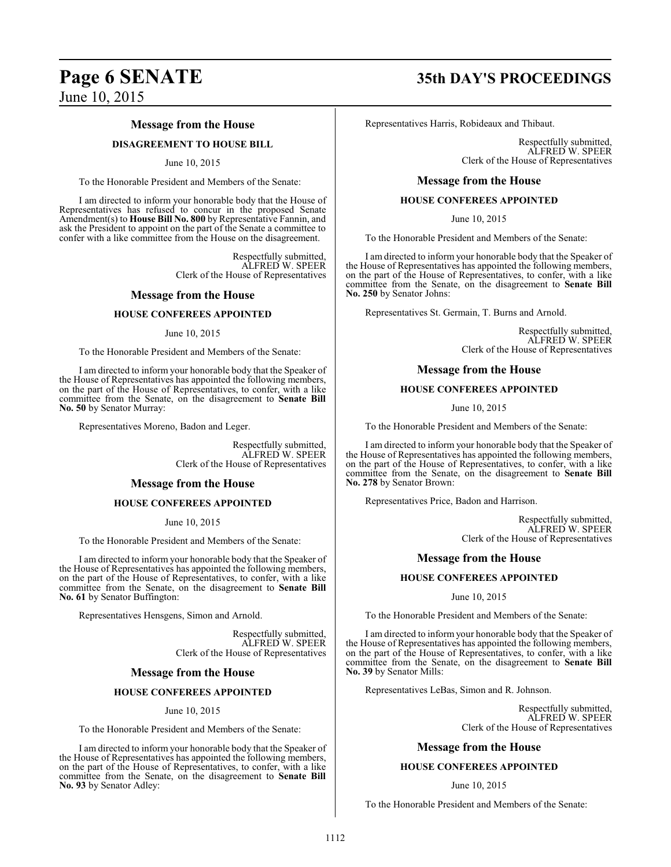# **Page 6 SENATE 35th DAY'S PROCEEDINGS**

June 10, 2015

### **Message from the House**

### **DISAGREEMENT TO HOUSE BILL**

### June 10, 2015

To the Honorable President and Members of the Senate:

I am directed to inform your honorable body that the House of Representatives has refused to concur in the proposed Senate Amendment(s) to **House Bill No. 800** by Representative Fannin, and ask the President to appoint on the part of the Senate a committee to confer with a like committee from the House on the disagreement.

> Respectfully submitted, ALFRED W. SPEER Clerk of the House of Representatives

### **Message from the House**

### **HOUSE CONFEREES APPOINTED**

June 10, 2015

To the Honorable President and Members of the Senate:

I am directed to inform your honorable body that the Speaker of the House of Representatives has appointed the following members, on the part of the House of Representatives, to confer, with a like committee from the Senate, on the disagreement to **Senate Bill No. 50** by Senator Murray:

Representatives Moreno, Badon and Leger.

Respectfully submitted, ALFRED W. SPEER Clerk of the House of Representatives

### **Message from the House**

### **HOUSE CONFEREES APPOINTED**

June 10, 2015

To the Honorable President and Members of the Senate:

I am directed to inform your honorable body that the Speaker of the House of Representatives has appointed the following members, on the part of the House of Representatives, to confer, with a like committee from the Senate, on the disagreement to **Senate Bill No. 61** by Senator Buffington:

Representatives Hensgens, Simon and Arnold.

Respectfully submitted, ALFRED W. SPEER Clerk of the House of Representatives

### **Message from the House**

### **HOUSE CONFEREES APPOINTED**

### June 10, 2015

To the Honorable President and Members of the Senate:

I am directed to inform your honorable body that the Speaker of the House of Representatives has appointed the following members, on the part of the House of Representatives, to confer, with a like committee from the Senate, on the disagreement to **Senate Bill No. 93** by Senator Adley:

Representatives Harris, Robideaux and Thibaut.

Respectfully submitted, ALFRED W. SPEER Clerk of the House of Representatives

### **Message from the House**

### **HOUSE CONFEREES APPOINTED**

June 10, 2015

To the Honorable President and Members of the Senate:

I am directed to inform your honorable body that the Speaker of the House of Representatives has appointed the following members, on the part of the House of Representatives, to confer, with a like committee from the Senate, on the disagreement to **Senate Bill No. 250** by Senator Johns:

Representatives St. Germain, T. Burns and Arnold.

Respectfully submitted, ALFRED W. SPEER Clerk of the House of Representatives

### **Message from the House**

### **HOUSE CONFEREES APPOINTED**

June 10, 2015

To the Honorable President and Members of the Senate:

I am directed to inform your honorable body that the Speaker of the House of Representatives has appointed the following members, on the part of the House of Representatives, to confer, with a like committee from the Senate, on the disagreement to **Senate Bill No. 278** by Senator Brown:

Representatives Price, Badon and Harrison.

Respectfully submitted, ALFRED W. SPEER Clerk of the House of Representatives

### **Message from the House**

### **HOUSE CONFEREES APPOINTED**

June 10, 2015

To the Honorable President and Members of the Senate:

I am directed to inform your honorable body that the Speaker of the House of Representatives has appointed the following members, on the part of the House of Representatives, to confer, with a like committee from the Senate, on the disagreement to **Senate Bill No. 39** by Senator Mills:

Representatives LeBas, Simon and R. Johnson.

Respectfully submitted, ALFRED W. SPEER Clerk of the House of Representatives

### **Message from the House**

### **HOUSE CONFEREES APPOINTED**

### June 10, 2015

To the Honorable President and Members of the Senate: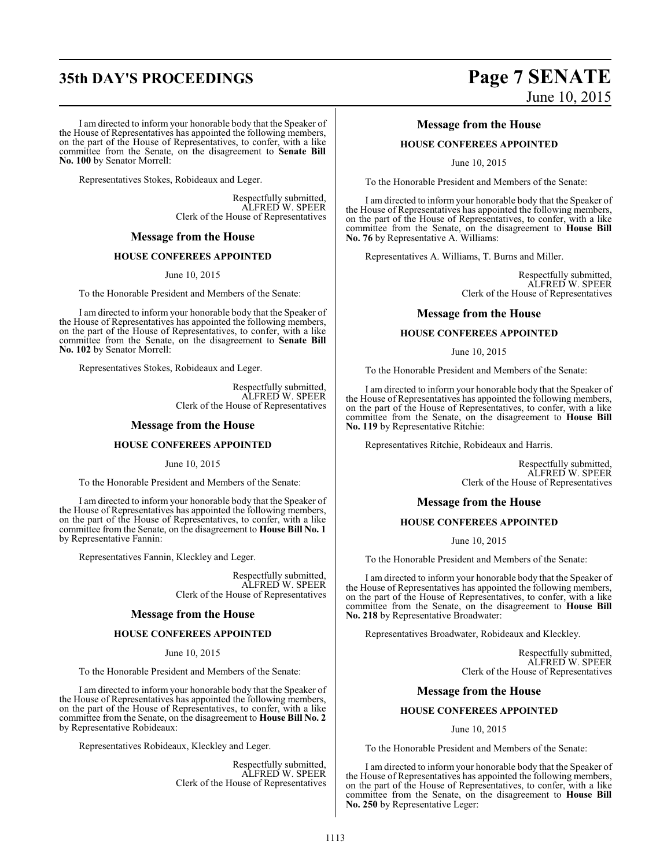# **35th DAY'S PROCEEDINGS Page 7 SENATE**

I am directed to inform your honorable body that the Speaker of the House of Representatives has appointed the following members, on the part of the House of Representatives, to confer, with a like committee from the Senate, on the disagreement to **Senate Bill No. 100** by Senator Morrell:

Representatives Stokes, Robideaux and Leger.

Respectfully submitted, ALFRED W. SPEER Clerk of the House of Representatives

### **Message from the House**

### **HOUSE CONFEREES APPOINTED**

June 10, 2015

To the Honorable President and Members of the Senate:

I am directed to inform your honorable body that the Speaker of the House of Representatives has appointed the following members, on the part of the House of Representatives, to confer, with a like committee from the Senate, on the disagreement to **Senate Bill No. 102** by Senator Morrell:

Representatives Stokes, Robideaux and Leger.

Respectfully submitted, ALFRED W. SPEER Clerk of the House of Representatives

### **Message from the House**

### **HOUSE CONFEREES APPOINTED**

June 10, 2015

To the Honorable President and Members of the Senate:

I am directed to inform your honorable body that the Speaker of the House of Representatives has appointed the following members, on the part of the House of Representatives, to confer, with a like committee from the Senate, on the disagreement to **House Bill No. 1** by Representative Fannin:

Representatives Fannin, Kleckley and Leger.

Respectfully submitted, ALFRED W. SPEER Clerk of the House of Representatives

### **Message from the House**

### **HOUSE CONFEREES APPOINTED**

June 10, 2015

To the Honorable President and Members of the Senate:

I am directed to inform your honorable body that the Speaker of the House of Representatives has appointed the following members, on the part of the House of Representatives, to confer, with a like committee from the Senate, on the disagreement to **House Bill No. 2** by Representative Robideaux:

Representatives Robideaux, Kleckley and Leger.

Respectfully submitted, ALFRED W. SPEER Clerk of the House of Representatives

# June 10, 2015

### **Message from the House**

### **HOUSE CONFEREES APPOINTED**

June 10, 2015

To the Honorable President and Members of the Senate:

I am directed to inform your honorable body that the Speaker of the House of Representatives has appointed the following members, on the part of the House of Representatives, to confer, with a like committee from the Senate, on the disagreement to **House Bill No. 76** by Representative A. Williams:

Representatives A. Williams, T. Burns and Miller.

Respectfully submitted, ALFRED W. SPEER Clerk of the House of Representatives

### **Message from the House**

### **HOUSE CONFEREES APPOINTED**

June 10, 2015

To the Honorable President and Members of the Senate:

I am directed to inform your honorable body that the Speaker of the House of Representatives has appointed the following members, on the part of the House of Representatives, to confer, with a like committee from the Senate, on the disagreement to **House Bill No. 119** by Representative Ritchie:

Representatives Ritchie, Robideaux and Harris.

Respectfully submitted, ALFRED W. SPEER Clerk of the House of Representatives

### **Message from the House**

### **HOUSE CONFEREES APPOINTED**

June 10, 2015

To the Honorable President and Members of the Senate:

I am directed to inform your honorable body that the Speaker of the House of Representatives has appointed the following members, on the part of the House of Representatives, to confer, with a like committee from the Senate, on the disagreement to **House Bill No. 218** by Representative Broadwater:

Representatives Broadwater, Robideaux and Kleckley.

Respectfully submitted, ALFRED W. SPEER Clerk of the House of Representatives

### **Message from the House**

### **HOUSE CONFEREES APPOINTED**

June 10, 2015

To the Honorable President and Members of the Senate:

I am directed to inform your honorable body that the Speaker of the House of Representatives has appointed the following members, on the part of the House of Representatives, to confer, with a like committee from the Senate, on the disagreement to **House Bill No. 250** by Representative Leger: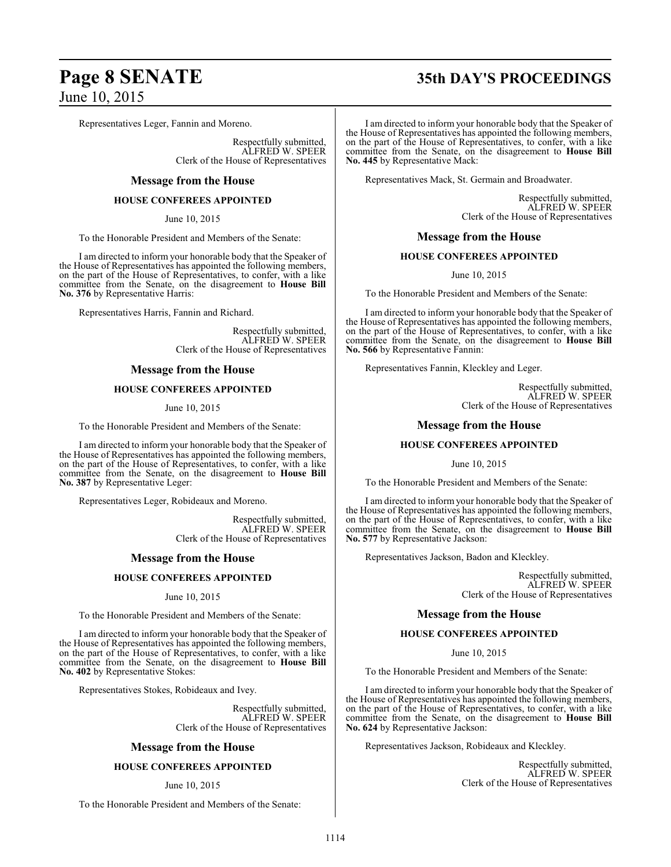# **Page 8 SENATE 35th DAY'S PROCEEDINGS**

Representatives Leger, Fannin and Moreno.

Respectfully submitted, ALFRED W. SPEER Clerk of the House of Representatives

### **Message from the House**

### **HOUSE CONFEREES APPOINTED**

June 10, 2015

To the Honorable President and Members of the Senate:

I am directed to inform your honorable body that the Speaker of the House of Representatives has appointed the following members, on the part of the House of Representatives, to confer, with a like committee from the Senate, on the disagreement to **House Bill No. 376** by Representative Harris:

Representatives Harris, Fannin and Richard.

Respectfully submitted, ALFRED W. SPEER Clerk of the House of Representatives

### **Message from the House**

### **HOUSE CONFEREES APPOINTED**

June 10, 2015

To the Honorable President and Members of the Senate:

I am directed to inform your honorable body that the Speaker of the House of Representatives has appointed the following members, on the part of the House of Representatives, to confer, with a like committee from the Senate, on the disagreement to **House Bill No. 387** by Representative Leger:

Representatives Leger, Robideaux and Moreno.

Respectfully submitted, ALFRED W. SPEER Clerk of the House of Representatives

### **Message from the House**

### **HOUSE CONFEREES APPOINTED**

June 10, 2015

To the Honorable President and Members of the Senate:

I am directed to inform your honorable body that the Speaker of the House of Representatives has appointed the following members, on the part of the House of Representatives, to confer, with a like committee from the Senate, on the disagreement to **House Bill No. 402** by Representative Stokes:

Representatives Stokes, Robideaux and Ivey.

Respectfully submitted, ALFRED W. SPEER Clerk of the House of Representatives

### **Message from the House**

### **HOUSE CONFEREES APPOINTED**

### June 10, 2015

To the Honorable President and Members of the Senate:

I am directed to inform your honorable body that the Speaker of the House of Representatives has appointed the following members, on the part of the House of Representatives, to confer, with a like committee from the Senate, on the disagreement to **House Bill No. 445** by Representative Mack:

Representatives Mack, St. Germain and Broadwater.

Respectfully submitted, ALFRED W. SPEER Clerk of the House of Representatives

### **Message from the House**

### **HOUSE CONFEREES APPOINTED**

June 10, 2015

To the Honorable President and Members of the Senate:

I am directed to inform your honorable body that the Speaker of the House of Representatives has appointed the following members, on the part of the House of Representatives, to confer, with a like committee from the Senate, on the disagreement to **House Bill No. 566** by Representative Fannin:

Representatives Fannin, Kleckley and Leger.

Respectfully submitted, ALFRED W. SPEER Clerk of the House of Representatives

### **Message from the House**

### **HOUSE CONFEREES APPOINTED**

June 10, 2015

To the Honorable President and Members of the Senate:

I am directed to inform your honorable body that the Speaker of the House of Representatives has appointed the following members, on the part of the House of Representatives, to confer, with a like committee from the Senate, on the disagreement to **House Bill No. 577** by Representative Jackson:

Representatives Jackson, Badon and Kleckley.

Respectfully submitted, ALFRED W. SPEER Clerk of the House of Representatives

### **Message from the House**

### **HOUSE CONFEREES APPOINTED**

June 10, 2015

To the Honorable President and Members of the Senate:

I am directed to inform your honorable body that the Speaker of the House of Representatives has appointed the following members, on the part of the House of Representatives, to confer, with a like committee from the Senate, on the disagreement to **House Bill No. 624** by Representative Jackson:

Representatives Jackson, Robideaux and Kleckley.

Respectfully submitted, ALFRED W. SPEER Clerk of the House of Representatives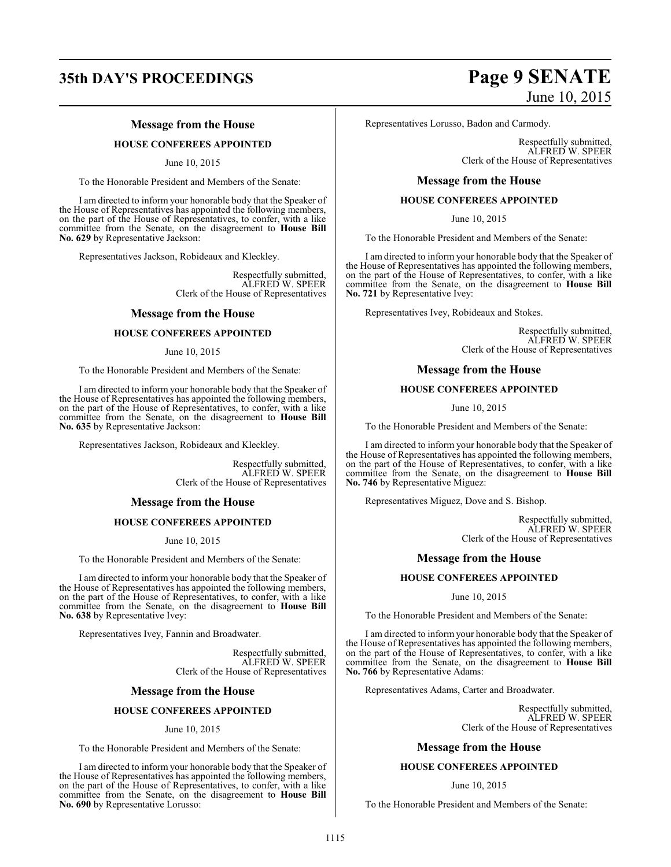# **35th DAY'S PROCEEDINGS Page 9 SENATE**

### **Message from the House**

### **HOUSE CONFEREES APPOINTED**

June 10, 2015

To the Honorable President and Members of the Senate:

I am directed to inform your honorable body that the Speaker of the House of Representatives has appointed the following members, on the part of the House of Representatives, to confer, with a like committee from the Senate, on the disagreement to **House Bill No. 629** by Representative Jackson:

Representatives Jackson, Robideaux and Kleckley.

Respectfully submitted, ALFRED W. SPEER Clerk of the House of Representatives

### **Message from the House**

### **HOUSE CONFEREES APPOINTED**

### June 10, 2015

To the Honorable President and Members of the Senate:

I am directed to inform your honorable body that the Speaker of the House of Representatives has appointed the following members, on the part of the House of Representatives, to confer, with a like committee from the Senate, on the disagreement to **House Bill No. 635** by Representative Jackson:

Representatives Jackson, Robideaux and Kleckley.

Respectfully submitted, ALFRED W. SPEER Clerk of the House of Representatives

### **Message from the House**

### **HOUSE CONFEREES APPOINTED**

June 10, 2015

To the Honorable President and Members of the Senate:

I am directed to inform your honorable body that the Speaker of the House of Representatives has appointed the following members, on the part of the House of Representatives, to confer, with a like committee from the Senate, on the disagreement to **House Bill No. 638** by Representative Ivey:

Representatives Ivey, Fannin and Broadwater.

Respectfully submitted, ALFRED W. SPEER Clerk of the House of Representatives

### **Message from the House**

### **HOUSE CONFEREES APPOINTED**

### June 10, 2015

To the Honorable President and Members of the Senate:

I am directed to inform your honorable body that the Speaker of the House of Representatives has appointed the following members, on the part of the House of Representatives, to confer, with a like committee from the Senate, on the disagreement to **House Bill No. 690** by Representative Lorusso:

# June 10, 2015

Representatives Lorusso, Badon and Carmody.

Respectfully submitted, ALFRED W. SPEER Clerk of the House of Representatives

### **Message from the House**

### **HOUSE CONFEREES APPOINTED**

June 10, 2015

To the Honorable President and Members of the Senate:

I am directed to inform your honorable body that the Speaker of the House of Representatives has appointed the following members, on the part of the House of Representatives, to confer, with a like committee from the Senate, on the disagreement to **House Bill No. 721** by Representative Ivey:

Representatives Ivey, Robideaux and Stokes.

Respectfully submitted, ALFRED W. SPEER Clerk of the House of Representatives

### **Message from the House**

### **HOUSE CONFEREES APPOINTED**

June 10, 2015

To the Honorable President and Members of the Senate:

I am directed to inform your honorable body that the Speaker of the House of Representatives has appointed the following members, on the part of the House of Representatives, to confer, with a like committee from the Senate, on the disagreement to **House Bill No. 746** by Representative Miguez:

Representatives Miguez, Dove and S. Bishop.

Respectfully submitted, ALFRED W. SPEER Clerk of the House of Representatives

### **Message from the House**

### **HOUSE CONFEREES APPOINTED**

June 10, 2015

To the Honorable President and Members of the Senate:

I am directed to inform your honorable body that the Speaker of the House of Representatives has appointed the following members, on the part of the House of Representatives, to confer, with a like committee from the Senate, on the disagreement to **House Bill No. 766** by Representative Adams:

Representatives Adams, Carter and Broadwater.

Respectfully submitted, ALFRED W. SPEER Clerk of the House of Representatives

### **Message from the House**

### **HOUSE CONFEREES APPOINTED**

### June 10, 2015

To the Honorable President and Members of the Senate: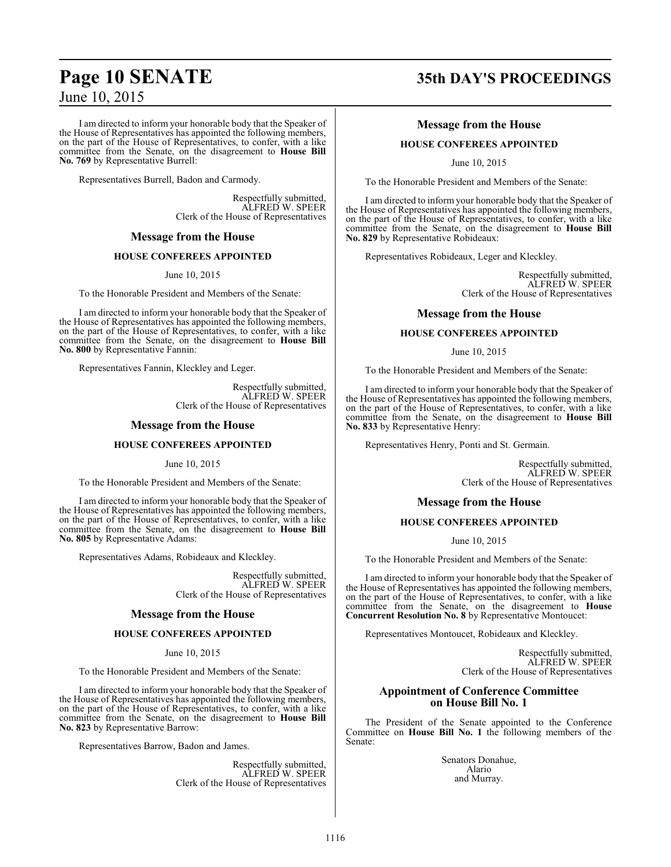I am directed to inform your honorable body that the Speaker of the House of Representatives has appointed the following members, on the part of the House of Representatives, to confer, with a like committee from the Senate, on the disagreement to **House Bill No. 769** by Representative Burrell:

Representatives Burrell, Badon and Carmody.

Respectfully submitted, ALFRED W. SPEER Clerk of the House of Representatives

### **Message from the House**

### **HOUSE CONFEREES APPOINTED**

June 10, 2015

To the Honorable President and Members of the Senate:

I am directed to inform your honorable body that the Speaker of the House of Representatives has appointed the following members, on the part of the House of Representatives, to confer, with a like committee from the Senate, on the disagreement to **House Bill No. 800** by Representative Fannin:

Representatives Fannin, Kleckley and Leger.

Respectfully submitted, ALFRED W. SPEER Clerk of the House of Representatives

### **Message from the House**

### **HOUSE CONFEREES APPOINTED**

June 10, 2015

To the Honorable President and Members of the Senate:

I am directed to inform your honorable body that the Speaker of the House of Representatives has appointed the following members, on the part of the House of Representatives, to confer, with a like committee from the Senate, on the disagreement to **House Bill No. 805** by Representative Adams:

Representatives Adams, Robideaux and Kleckley.

Respectfully submitted, ALFRED W. SPEER Clerk of the House of Representatives

### **Message from the House**

### **HOUSE CONFEREES APPOINTED**

June 10, 2015

To the Honorable President and Members of the Senate:

I am directed to inform your honorable body that the Speaker of the House of Representatives has appointed the following members, on the part of the House of Representatives, to confer, with a like committee from the Senate, on the disagreement to **House Bill No. 823** by Representative Barrow:

Representatives Barrow, Badon and James.

Respectfully submitted, ALFRED W. SPEER Clerk of the House of Representatives

# **Page 10 SENATE 35th DAY'S PROCEEDINGS**

### **Message from the House**

### **HOUSE CONFEREES APPOINTED**

June 10, 2015

To the Honorable President and Members of the Senate:

I am directed to inform your honorable body that the Speaker of the House of Representatives has appointed the following members, on the part of the House of Representatives, to confer, with a like committee from the Senate, on the disagreement to **House Bill No. 829** by Representative Robideaux:

Representatives Robideaux, Leger and Kleckley.

Respectfully submitted, ALFRED W. SPEER Clerk of the House of Representatives

### **Message from the House**

### **HOUSE CONFEREES APPOINTED**

June 10, 2015

To the Honorable President and Members of the Senate:

I am directed to inform your honorable body that the Speaker of the House of Representatives has appointed the following members, on the part of the House of Representatives, to confer, with a like committee from the Senate, on the disagreement to **House Bill No. 833** by Representative Henry:

Representatives Henry, Ponti and St. Germain.

Respectfully submitted, ALFRED W. SPEER Clerk of the House of Representatives

### **Message from the House**

### **HOUSE CONFEREES APPOINTED**

June 10, 2015

To the Honorable President and Members of the Senate:

I am directed to inform your honorable body that the Speaker of the House of Representatives has appointed the following members, on the part of the House of Representatives, to confer, with a like committee from the Senate, on the disagreement to **House Concurrent Resolution No. 8** by Representative Montoucet:

Representatives Montoucet, Robideaux and Kleckley.

Respectfully submitted, ALFRED W. SPEER Clerk of the House of Representatives

### **Appointment of Conference Committee on House Bill No. 1**

The President of the Senate appointed to the Conference Committee on **House Bill No. 1** the following members of the Senate:

> Senators Donahue, Alario and Murray.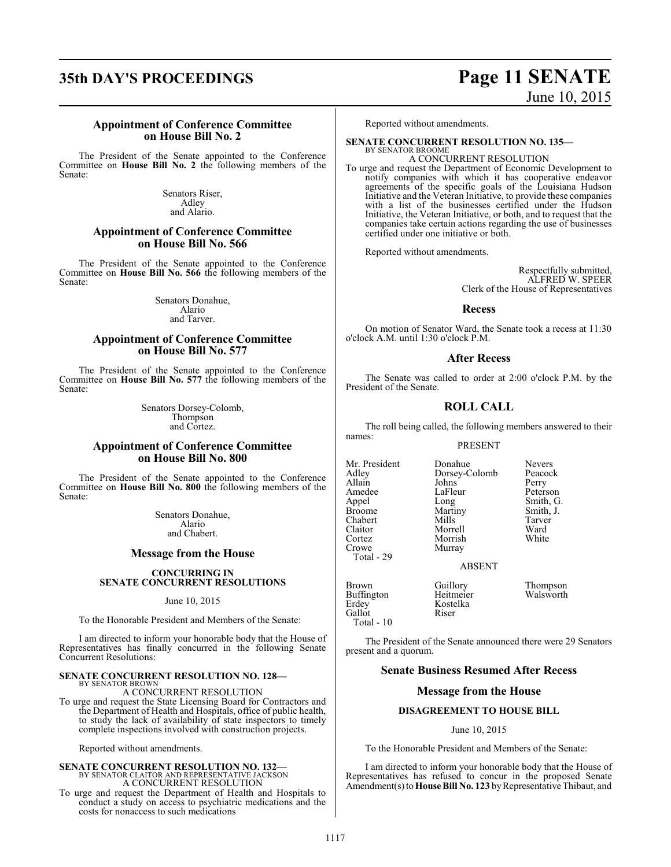# **35th DAY'S PROCEEDINGS Page 11 SENATE**

# June 10, 2015

### **Appointment of Conference Committee on House Bill No. 2**

The President of the Senate appointed to the Conference Committee on **House Bill No. 2** the following members of the Senate:

> Senators Riser, Adley and Alario.

### **Appointment of Conference Committee on House Bill No. 566**

The President of the Senate appointed to the Conference Committee on **House Bill No. 566** the following members of the Senate:

> Senators Donahue, Alario and Tarver.

### **Appointment of Conference Committee on House Bill No. 577**

The President of the Senate appointed to the Conference Committee on **House Bill No. 577** the following members of the Senate:

> Senators Dorsey-Colomb, Thompson and Cortez.

### **Appointment of Conference Committee on House Bill No. 800**

The President of the Senate appointed to the Conference Committee on **House Bill No. 800** the following members of the Senate:

> Senators Donahue, Alario and Chabert.

### **Message from the House**

### **CONCURRING IN SENATE CONCURRENT RESOLUTIONS**

June 10, 2015

To the Honorable President and Members of the Senate:

I am directed to inform your honorable body that the House of Representatives has finally concurred in the following Senate Concurrent Resolutions:

### **SENATE CONCURRENT RESOLUTION NO. 128—** BY SENATOR BROWN

A CONCURRENT RESOLUTION

To urge and request the State Licensing Board for Contractors and the Department of Health and Hospitals, office of public health, to study the lack of availability of state inspectors to timely complete inspections involved with construction projects.

Reported without amendments.

# **SENATE CONCURRENT RESOLUTION NO. 132—**<br>BY SENATOR CLAITOR AND REPRESENTATIVE JACKSON<br>A CONCURRENT RESOLUTION

To urge and request the Department of Health and Hospitals to conduct a study on access to psychiatric medications and the costs for nonaccess to such medications

Reported without amendments.

### **SENATE CONCURRENT RESOLUTION NO. 135—**

BY SENATOR BROOME A CONCURRENT RESOLUTION

To urge and request the Department of Economic Development to notify companies with which it has cooperative endeavor agreements of the specific goals of the Louisiana Hudson Initiative and the Veteran Initiative, to provide these companies with a list of the businesses certified under the Hudson Initiative, the Veteran Initiative, or both, and to request that the companies take certain actions regarding the use of businesses certified under one initiative or both.

Reported without amendments.

Respectfully submitted, ALFRED W. SPEER Clerk of the House of Representatives

### **Recess**

On motion of Senator Ward, the Senate took a recess at 11:30 o'clock A.M. until 1:30 o'clock P.M.

### **After Recess**

The Senate was called to order at 2:00 o'clock P.M. by the President of the Senate.

### **ROLL CALL**

The roll being called, the following members answered to their names:

### PRESENT

Mr. President Donahue Nevers<br>Adley Dorsey-Colomb Peacock Allain Johns Perry<br>Amedee LaFleur Peterson Amedee LaFle<br>Appel Long Appel Long Smith, G.<br>Broome Martiny Smith, J. Chabert Mills Tarver<br>Claitor Morrell Ward Claitor Morrell Ward Cortez Morrish<br>Crowe Murray Total - 29

Murray

Dorsey-Colomb Peaco<br>Johns Perry Martiny Smith,<br>Mills Tarver

### ABSENT

Brown Guillory Thompson<br>Buffington Heitmeier Walsworth Buffington<br>Erdey Gallot Total - 10

Kostelka<br>Riser

The President of the Senate announced there were 29 Senators present and a quorum.

### **Senate Business Resumed After Recess**

### **Message from the House**

### **DISAGREEMENT TO HOUSE BILL**

### June 10, 2015

To the Honorable President and Members of the Senate:

I am directed to inform your honorable body that the House of Representatives has refused to concur in the proposed Senate Amendment(s) to **House Bill No. 123** by Representative Thibaut, and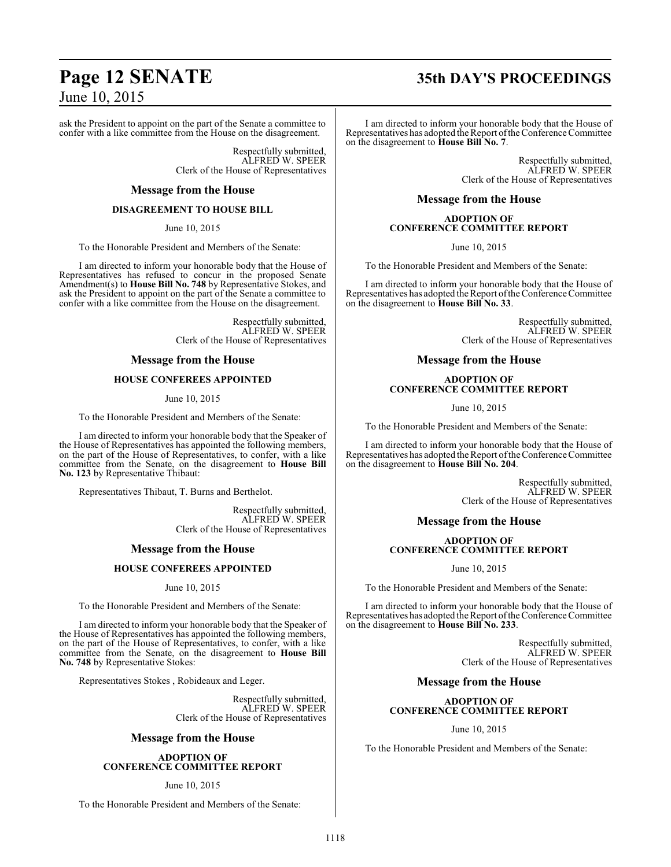### ask the President to appoint on the part of the Senate a committee to confer with a like committee from the House on the disagreement.

Respectfully submitted, ALFRED W. SPEER Clerk of the House of Representatives

### **Message from the House**

### **DISAGREEMENT TO HOUSE BILL**

June 10, 2015

To the Honorable President and Members of the Senate:

I am directed to inform your honorable body that the House of Representatives has refused to concur in the proposed Senate Amendment(s) to **House Bill No. 748** by Representative Stokes, and ask the President to appoint on the part of the Senate a committee to confer with a like committee from the House on the disagreement.

> Respectfully submitted, ALFRED W. SPEER Clerk of the House of Representatives

### **Message from the House**

### **HOUSE CONFEREES APPOINTED**

June 10, 2015

To the Honorable President and Members of the Senate:

I am directed to inform your honorable body that the Speaker of the House of Representatives has appointed the following members, on the part of the House of Representatives, to confer, with a like committee from the Senate, on the disagreement to **House Bill No. 123** by Representative Thibaut:

Representatives Thibaut, T. Burns and Berthelot.

Respectfully submitted, ALFRED W. SPEER Clerk of the House of Representatives

### **Message from the House**

### **HOUSE CONFEREES APPOINTED**

June 10, 2015

To the Honorable President and Members of the Senate:

I am directed to inform your honorable body that the Speaker of the House of Representatives has appointed the following members, on the part of the House of Representatives, to confer, with a like committee from the Senate, on the disagreement to **House Bill No. 748** by Representative Stokes:

Representatives Stokes , Robideaux and Leger.

Respectfully submitted, ALFRED W. SPEER Clerk of the House of Representatives

### **Message from the House**

**ADOPTION OF CONFERENCE COMMITTEE REPORT**

### June 10, 2015

To the Honorable President and Members of the Senate:

# **Page 12 SENATE 35th DAY'S PROCEEDINGS**

I am directed to inform your honorable body that the House of Representatives has adopted the Report ofthe Conference Committee on the disagreement to **House Bill No. 7**.

> Respectfully submitted, ALFRED W. SPEER Clerk of the House of Representatives

### **Message from the House**

### **ADOPTION OF CONFERENCE COMMITTEE REPORT**

June 10, 2015

To the Honorable President and Members of the Senate:

I am directed to inform your honorable body that the House of Representatives has adopted the Report ofthe Conference Committee on the disagreement to **House Bill No. 33**.

> Respectfully submitted, ALFRED W. SPEER Clerk of the House of Representatives

### **Message from the House**

### **ADOPTION OF CONFERENCE COMMITTEE REPORT**

June 10, 2015

To the Honorable President and Members of the Senate:

I am directed to inform your honorable body that the House of Representatives has adopted the Report of the Conference Committee on the disagreement to **House Bill No. 204**.

> Respectfully submitted, ALFRED W. SPEER Clerk of the House of Representatives

### **Message from the House**

### **ADOPTION OF CONFERENCE COMMITTEE REPORT**

June 10, 2015

To the Honorable President and Members of the Senate:

I am directed to inform your honorable body that the House of Representatives has adopted the Report of the Conference Committee on the disagreement to **House Bill No. 233**.

> Respectfully submitted, ALFRED W. SPEER Clerk of the House of Representatives

### **Message from the House**

### **ADOPTION OF CONFERENCE COMMITTEE REPORT**

June 10, 2015

To the Honorable President and Members of the Senate: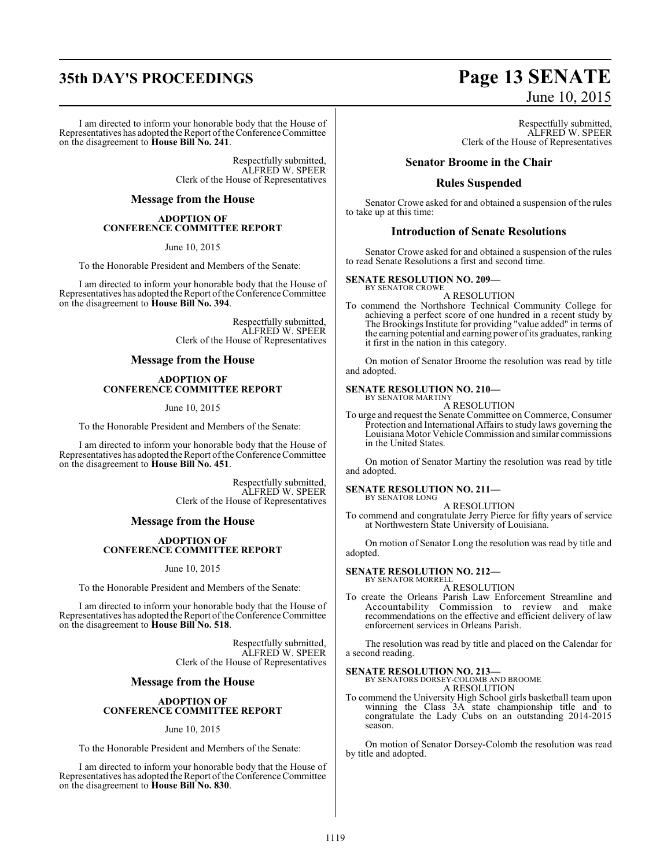# **35th DAY'S PROCEEDINGS Page 13 SENATE**

I am directed to inform your honorable body that the House of Representatives has adopted the Report of the Conference Committee on the disagreement to **House Bill No. 241**.

> Respectfully submitted, ALFRED W. SPEER Clerk of the House of Representatives

### **Message from the House**

### **ADOPTION OF CONFERENCE COMMITTEE REPORT**

June 10, 2015

To the Honorable President and Members of the Senate:

I am directed to inform your honorable body that the House of Representatives has adopted the Report ofthe Conference Committee on the disagreement to **House Bill No. 394**.

> Respectfully submitted, ALFRED W. SPEER Clerk of the House of Representatives

### **Message from the House**

### **ADOPTION OF CONFERENCE COMMITTEE REPORT**

June 10, 2015

To the Honorable President and Members of the Senate:

I am directed to inform your honorable body that the House of Representatives has adopted the Report ofthe Conference Committee on the disagreement to **House Bill No. 451**.

> Respectfully submitted, ALFRED W. SPEER Clerk of the House of Representatives

### **Message from the House**

### **ADOPTION OF CONFERENCE COMMITTEE REPORT**

### June 10, 2015

To the Honorable President and Members of the Senate:

I am directed to inform your honorable body that the House of Representatives has adopted the Report of the Conference Committee on the disagreement to **House Bill No. 518**.

> Respectfully submitted, ALFRED W. SPEER Clerk of the House of Representatives

### **Message from the House**

### **ADOPTION OF CONFERENCE COMMITTEE REPORT**

June 10, 2015

To the Honorable President and Members of the Senate:

I am directed to inform your honorable body that the House of Representatives has adopted the Report of the Conference Committee on the disagreement to **House Bill No. 830**.

# June 10, 2015

Respectfully submitted, ALFRED W. SPEER Clerk of the House of Representatives

### **Senator Broome in the Chair**

### **Rules Suspended**

Senator Crowe asked for and obtained a suspension of the rules to take up at this time:

### **Introduction of Senate Resolutions**

Senator Crowe asked for and obtained a suspension of the rules to read Senate Resolutions a first and second time.

### **SENATE RESOLUTION NO. 209—**

BY SENATOR CROWE A RESOLUTION

To commend the Northshore Technical Community College for achieving a perfect score of one hundred in a recent study by The Brookings Institute for providing "value added" in terms of the earning potential and earning power ofits graduates, ranking it first in the nation in this category.

On motion of Senator Broome the resolution was read by title and adopted.

### **SENATE RESOLUTION NO. 210—** BY SENATOR MARTINY

A RESOLUTION

To urge and request the Senate Committee on Commerce, Consumer Protection and International Affairs to study laws governing the Louisiana Motor Vehicle Commission and similar commissions in the United States.

On motion of Senator Martiny the resolution was read by title and adopted.

**SENATE RESOLUTION NO. 211—** BY SENATOR LONG

A RESOLUTION

To commend and congratulate Jerry Pierce for fifty years of service at Northwestern State University of Louisiana.

On motion of Senator Long the resolution was read by title and adopted.

### **SENATE RESOLUTION NO. 212—**

BY SENATOR MORRELL A RESOLUTION

To create the Orleans Parish Law Enforcement Streamline and Accountability Commission to review and make recommendations on the effective and efficient delivery of law enforcement services in Orleans Parish.

The resolution was read by title and placed on the Calendar for a second reading.

**SENATE RESOLUTION NO. 213—** BY SENATORS DORSEY-COLOMB AND BROOME A RESOLUTION

To commend the University High School girls basketball team upon winning the Class 3A state championship title and to congratulate the Lady Cubs on an outstanding 2014-2015 season.

On motion of Senator Dorsey-Colomb the resolution was read by title and adopted.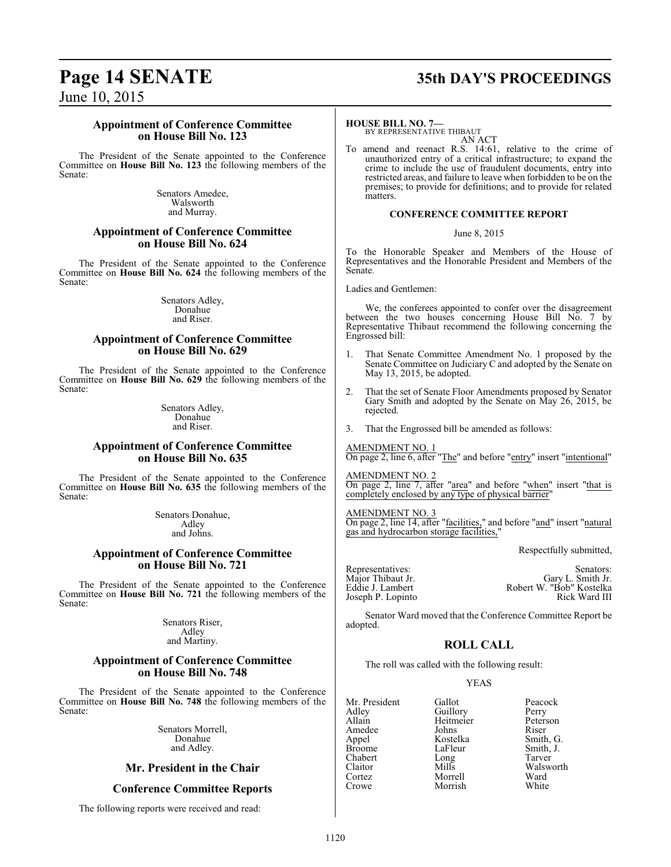# **Page 14 SENATE 35th DAY'S PROCEEDINGS**

June 10, 2015

### **Appointment of Conference Committee on House Bill No. 123**

The President of the Senate appointed to the Conference Committee on **House Bill No. 123** the following members of the Senate:

> Senators Amedee, Walsworth and Murray.

### **Appointment of Conference Committee on House Bill No. 624**

The President of the Senate appointed to the Conference Committee on **House Bill No. 624** the following members of the Senate:

> Senators Adley, Donahue and Riser.

### **Appointment of Conference Committee on House Bill No. 629**

The President of the Senate appointed to the Conference Committee on **House Bill No. 629** the following members of the Senate:

> Senators Adley, Donahue and Riser.

### **Appointment of Conference Committee on House Bill No. 635**

The President of the Senate appointed to the Conference Committee on **House Bill No. 635** the following members of the Senate:

> Senators Donahue, Adley and Johns.

### **Appointment of Conference Committee on House Bill No. 721**

The President of the Senate appointed to the Conference Committee on **House Bill No. 721** the following members of the Senate:

> Senators Riser, Adley and Martiny.

### **Appointment of Conference Committee on House Bill No. 748**

The President of the Senate appointed to the Conference Committee on **House Bill No. 748** the following members of the Senate:

> Senators Morrell, Donahue and Adley.

### **Mr. President in the Chair**

### **Conference Committee Reports**

The following reports were received and read:

### **HOUSE BILL NO. 7—**

BY REPRESENTATIVE THIBAUT AN ACT

To amend and reenact R.S. 14:61, relative to the crime of unauthorized entry of a critical infrastructure; to expand the crime to include the use of fraudulent documents, entry into restricted areas, and failure to leave when forbidden to be on the premises; to provide for definitions; and to provide for related matters.

### **CONFERENCE COMMITTEE REPORT**

June 8, 2015

To the Honorable Speaker and Members of the House of Representatives and the Honorable President and Members of the Senate.

Ladies and Gentlemen:

We, the conferees appointed to confer over the disagreement between the two houses concerning House Bill No. 7 by Representative Thibaut recommend the following concerning the Engrossed bill:

- 1. That Senate Committee Amendment No. 1 proposed by the Senate Committee on Judiciary C and adopted by the Senate on May 13, 2015, be adopted.
- 2. That the set of Senate Floor Amendments proposed by Senator Gary Smith and adopted by the Senate on May 26, 2015, be rejected.
- 3. That the Engrossed bill be amended as follows:

AMENDMENT NO. 1 On page 2, line 6, after "The" and before "entry" insert "intentional"

AMENDMENT NO. 2 On page 2, line 7, after "area" and before "when" insert "that is completely enclosed by any type of physical barrier"

AMENDMENT NO. 3

On page 2, line 14, after "facilities," and before "and" insert "natural gas and hydrocarbon storage facilities,"

Respectfully submitted,

| Representatives:  | Senators:                |
|-------------------|--------------------------|
| Major Thibaut Jr. | Gary L. Smith Jr.        |
| Edďie J. Lambert  | Robert W. "Bob" Kostelka |
| Joseph P. Lopinto | Rick Ward III            |

Senator Ward moved that the Conference Committee Report be adopted.

### **ROLL CALL**

The roll was called with the following result:

Morrish

### YEAS

Mr. President Gallot Peacock<br>Adley Guillory Perry Adley Guillory Perry Amedee Johns<br>Appel Kostelka Appel Kostelka Smith, G. Chabert Long Claitor Mills Walsworth Cortez Morrell Ward

Heitmeier Peters<br>Johns Riser Smith, J.<br>Tarver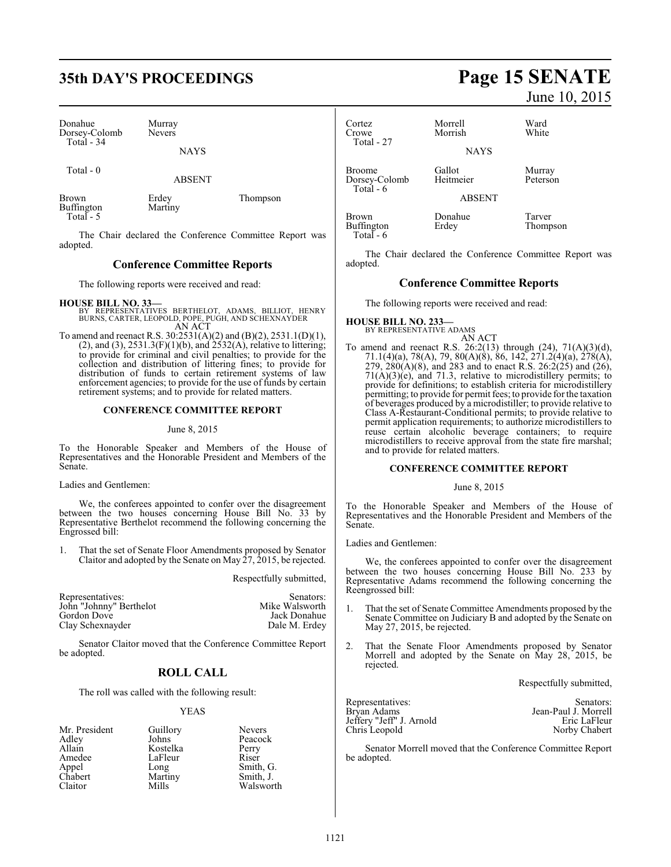# **35th DAY'S PROCEEDINGS Page 15 SENATE**

Donahue Murray<br>Dorsey-Colomb Nevers Dorsey-Colomb Total - 34

Total - 0

ABSENT

Brown Erdey Thompson<br>Buffington Martiny Buffington Total - 5

The Chair declared the Conference Committee Report was adopted.

### **Conference Committee Reports**

The following reports were received and read:

**HOUSE BILL NO. 33—**

- BY REPRESENTATIVES BERTHELOT, ADAMS, BILLIOT, HENRY BURNS, CARTER, LEOPOLD, POPE, PUGH, AND SCHEXNAYDER AN ACT
- To amend and reenact R.S. 30:2531(A)(2) and (B)(2), 2531.1(D)(1),  $(2)$ , and  $(3)$ ,  $2531.3(F)(1)(b)$ , and  $2532(A)$ , relative to littering; to provide for criminal and civil penalties; to provide for the collection and distribution of littering fines; to provide for distribution of funds to certain retirement systems of law enforcement agencies; to provide for the use of funds by certain retirement systems; and to provide for related matters.

### **CONFERENCE COMMITTEE REPORT**

### June 8, 2015

To the Honorable Speaker and Members of the House of Representatives and the Honorable President and Members of the Senate.

Ladies and Gentlemen:

We, the conferees appointed to confer over the disagreement between the two houses concerning House Bill No. 33 by Representative Berthelot recommend the following concerning the Engrossed bill:

1. That the set of Senate Floor Amendments proposed by Senator Claitor and adopted by the Senate on May 27, 2015, be rejected.

Respectfully submitted,

| Senators:      |
|----------------|
| Mike Walsworth |
| Jack Donahue   |
| Dale M. Erdey  |
|                |

Senator Claitor moved that the Conference Committee Report be adopted.

### **ROLL CALL**

The roll was called with the following result:

### YEAS

| Mr. President | Guillory | <b>Nevers</b> |
|---------------|----------|---------------|
| Adley         | Johns    | Peacock       |
| Allain        | Kostelka | Perry         |
| Amedee        | LaFleur  | Riser         |
| Appel         | Long     | Smith, G.     |
| Chabert       | Martiny  | Smith, J.     |
| Claitor       | Mills    | Walsworth     |

# June 10, 2015

| Cortez<br>Crowe<br>Total - 27               | Morrell<br>Morrish<br><b>NAYS</b>    | Ward<br>White      |
|---------------------------------------------|--------------------------------------|--------------------|
| <b>Broome</b><br>Dorsey-Colomb<br>Total - 6 | Gallot<br>Heitmeier<br><b>ABSENT</b> | Murray<br>Peterson |
| Brown<br>Buffington<br>Total $-6$           | Donahue<br>Erdey                     | Tarver<br>Thompson |

The Chair declared the Conference Committee Report was adopted.

### **Conference Committee Reports**

The following reports were received and read:

### **HOUSE BILL NO. 233—** BY REPRESENTATIVE ADAMS

AN ACT To amend and reenact R.S. 26:2(13) through  $(24)$ , 71(A)(3)(d), 71.1(4)(a), 78(A), 79, 80(A)(8), 86, 142, 271.2(4)(a), 278(A), 279,  $280(A)(8)$ , and 283 and to enact R.S.  $26:2(25)$  and  $(26)$ ,  $71(A)(3)(e)$ , and  $71.3$ , relative to microdistillery permits; to provide for definitions; to establish criteria for microdistillery permitting; to provide for permit fees; to provide for the taxation of beverages produced by a microdistiller; to provide relative to Class A-Restaurant-Conditional permits; to provide relative to permit application requirements; to authorize microdistillers to reuse certain alcoholic beverage containers; to require microdistillers to receive approval from the state fire marshal; and to provide for related matters.

### **CONFERENCE COMMITTEE REPORT**

### June 8, 2015

To the Honorable Speaker and Members of the House of Representatives and the Honorable President and Members of the Senate.

Ladies and Gentlemen:

We, the conferees appointed to confer over the disagreement between the two houses concerning House Bill No. 233 by Representative Adams recommend the following concerning the Reengrossed bill:

- 1. That the set of Senate Committee Amendments proposed by the Senate Committee on Judiciary B and adopted by the Senate on May 27, 2015, be rejected.
- 2. That the Senate Floor Amendments proposed by Senator Morrell and adopted by the Senate on May 28, 2015, be rejected.

Respectfully submitted,

| Representatives:         | Senators:            |
|--------------------------|----------------------|
| Bryan Adams              | Jean-Paul J. Morrell |
| Jeffery "Jeff" J. Arnold | Eric LaFleur         |
| Chris Leopold            | Norby Chabert        |

Senator Morrell moved that the Conference Committee Report be adopted.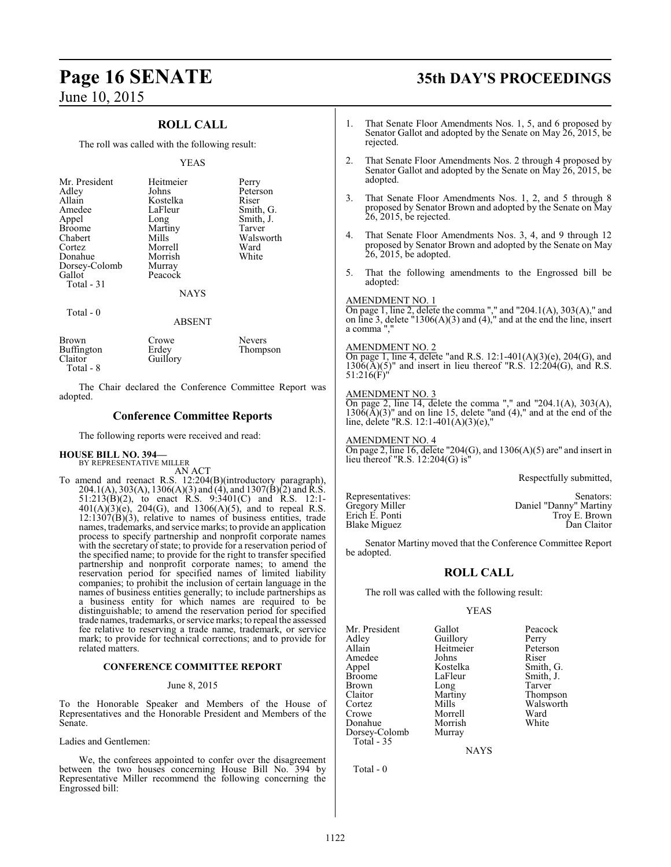### **ROLL CALL**

The roll was called with the following result:

### YEAS

| Mr. President<br>Adley<br>Allain<br>Amedee<br>Appel<br><b>Broome</b><br>Chabert<br>Cortez<br>Donahue<br>Dorsey-Colomb<br>Gallot<br>Total - 31 | Heitmeier<br>Johns<br>Kostelka<br>LaFleur<br>Long<br>Martiny<br>Mills<br>Morrell<br>Morrish<br>Murray<br>Peacock<br><b>NAYS</b> | Perry<br>Peterson<br>Riser<br>Smith, G.<br>Smith, J.<br>Tarver<br>Walsworth<br>Ward<br>White |
|-----------------------------------------------------------------------------------------------------------------------------------------------|---------------------------------------------------------------------------------------------------------------------------------|----------------------------------------------------------------------------------------------|
| Total - 0                                                                                                                                     |                                                                                                                                 |                                                                                              |

### ABSENT

| Brown<br>Buffington<br>Claitor<br>Total - 8 | Crowe<br>Erdey<br>Guillory | <b>Nevers</b><br>Thompson |
|---------------------------------------------|----------------------------|---------------------------|
|                                             |                            |                           |

The Chair declared the Conference Committee Report was adopted.

### **Conference Committee Reports**

The following reports were received and read:

### **HOUSE BILL NO. 394—** BY REPRESENTATIVE MILLER

AN ACT

To amend and reenact R.S. 12:204(B)(introductory paragraph), 204.1(A), 303(A), 1306(A)(3) and (4), and 1307(B)(2) and R.S. 51:213(B)(2), to enact R.S. 9:3401(C) and R.S. 12:1-  $401(A)(3)(e)$ , 204(G), and 1306(A)(5), and to repeal R.S.  $12:1307(B)(3)$ , relative to names of business entities, trade names, trademarks, and service marks; to provide an application process to specify partnership and nonprofit corporate names with the secretary of state; to provide for a reservation period of the specified name; to provide for the right to transfer specified partnership and nonprofit corporate names; to amend the reservation period for specified names of limited liability companies; to prohibit the inclusion of certain language in the names of business entities generally; to include partnerships as a business entity for which names are required to be distinguishable; to amend the reservation period for specified trade names, trademarks, or service marks; to repeal the assessed fee relative to reserving a trade name, trademark, or service mark; to provide for technical corrections; and to provide for related matters.

### **CONFERENCE COMMITTEE REPORT**

### June 8, 2015

To the Honorable Speaker and Members of the House of Representatives and the Honorable President and Members of the Senate.

Ladies and Gentlemen:

We, the conferees appointed to confer over the disagreement between the two houses concerning House Bill No. 394 by Representative Miller recommend the following concerning the Engrossed bill:

# **Page 16 SENATE 35th DAY'S PROCEEDINGS**

- 1. That Senate Floor Amendments Nos. 1, 5, and 6 proposed by Senator Gallot and adopted by the Senate on May 26, 2015, be rejected.
- 2. That Senate Floor Amendments Nos. 2 through 4 proposed by Senator Gallot and adopted by the Senate on May 26, 2015, be adopted.
- 3. That Senate Floor Amendments Nos. 1, 2, and 5 through 8 proposed by Senator Brown and adopted by the Senate on May 26, 2015, be rejected.
- 4. That Senate Floor Amendments Nos. 3, 4, and 9 through 12 proposed by Senator Brown and adopted by the Senate on May 26, 2015, be adopted.
- 5. That the following amendments to the Engrossed bill be adopted:

### AMENDMENT NO. 1

On page 1, line 2, delete the comma "," and "204.1(A), 303(A)," and on line 3, delete "1306(A)(3) and (4)," and at the end the line, insert a comma ","

### AMENDMENT NO. 2

On page 1, line 4, delete "and R.S. 12:1-401(A)(3)(e), 204(G), and  $1306(\overline{A})(5)$ " and insert in lieu thereof "R.S.  $12:204(G)$ , and R.S.  $51:216(F)'$ 

### AMENDMENT NO. 3

On page 2, line 14, delete the comma "," and "204.1(A), 303(A),  $130\tilde{6}(\bar{A})(3)$ " and on line 15, delete "and (4)," and at the end of the line, delete "R.S. 12:1-401(A)(3)(e),"

AMENDMENT NO. 4 On page 2, line 16, delete "204 $(G)$ , and 1306 $(A)(5)$  are" and insert in lieu thereof "R.S. 12:204(G) is"

Respectfully submitted,

Blake Miguez

Representatives: Senators:<br>
Gregory Miller Communisty Daniel "Danny" Martiny Gregory Miller **Daniel "Danny" Martiny**<br>Erich E. Ponti **Daniel "Danny" Martiny** Troy E. Brown<br>Dan Claitor

Senator Martiny moved that the Conference Committee Report be adopted.

### **ROLL CALL**

The roll was called with the following result:

### YEAS

Mr. President Gallot Peacock<br>Adley Guillory Perry Adley Guillory Perry Amedee Johns<br>Appel Kostelka Appel Kostelka Smith, G. Broome LaFleur Smith, J.<br>Brown Long Tarver Brown Long<br>Claitor Marti Claitor Martiny Thompson Cortez Mills Walsworth<br>Crowe Morrell Ward Donahue Morrish<br>Dorsey-Colomb Murray Dorsey-Colomb Total - 35

Heitmeier Peters<br>Johns Riser Morrell Ward<br>
Morrish White

**NAYS** 

Total - 0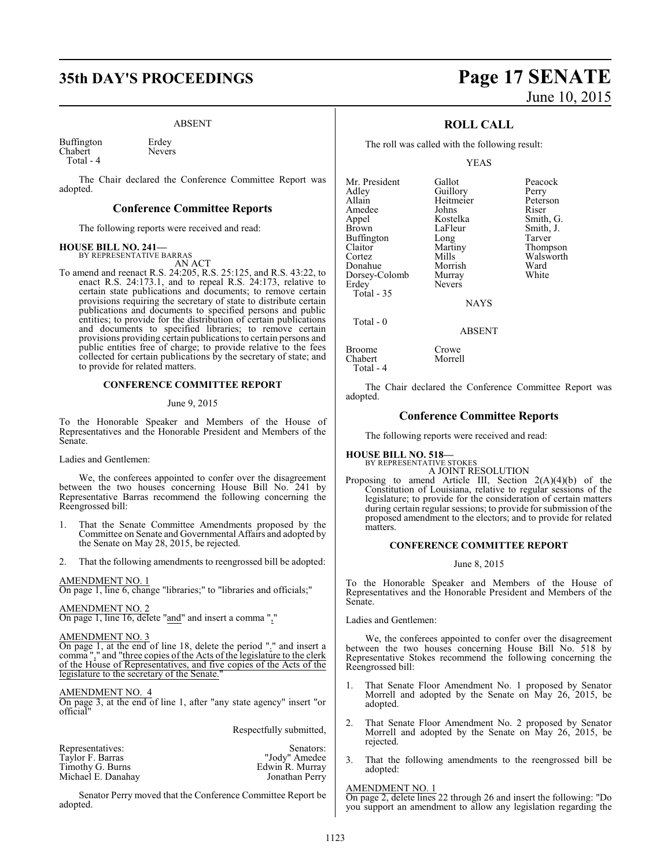# **35th DAY'S PROCEEDINGS Page 17 SENATE**

### ABSENT

Buffington Erdey Chabert Nevers Total - 4

The Chair declared the Conference Committee Report was adopted.

### **Conference Committee Reports**

The following reports were received and read:

## **HOUSE BILL NO. 241—** BY REPRESENTATIVE BARRAS

AN ACT

To amend and reenact R.S. 24:205, R.S. 25:125, and R.S. 43:22, to enact R.S. 24:173.1, and to repeal R.S. 24:173, relative to certain state publications and documents; to remove certain provisions requiring the secretary of state to distribute certain publications and documents to specified persons and public entities; to provide for the distribution of certain publications and documents to specified libraries; to remove certain provisions providing certain publications to certain persons and public entities free of charge; to provide relative to the fees collected for certain publications by the secretary of state; and to provide for related matters.

### **CONFERENCE COMMITTEE REPORT**

### June 9, 2015

To the Honorable Speaker and Members of the House of Representatives and the Honorable President and Members of the Senate.

Ladies and Gentlemen:

We, the conferees appointed to confer over the disagreement between the two houses concerning House Bill No. 241 by Representative Barras recommend the following concerning the Reengrossed bill:

- 1. That the Senate Committee Amendments proposed by the Committee on Senate and Governmental Affairs and adopted by the Senate on May 28, 2015, be rejected.
- 2. That the following amendments to reengrossed bill be adopted:

### AMENDMENT NO. 1

On page 1, line 6, change "libraries;" to "libraries and officials;"

### AMENDMENT NO. 2

On page 1, line 16, delete "and" and insert a comma ","

### AMENDMENT NO. 3

On page 1, at the end of line 18, delete the period "." and insert a comma "," and "three copies of the Acts of the legislature to the clerk of the House of Representatives, and five copies of the Acts of the legislature to the secretary of the Senate."

### AMENDMENT NO. 4

On page 3, at the end of line 1, after "any state agency" insert "or official"

Respectfully submitted,

| Representatives:   | Senators:       |
|--------------------|-----------------|
| Taylor F. Barras   | "Jody" Amedee   |
| Timothy G. Burns   | Edwin R. Murray |
| Michael E. Danahay | Jonathan Perry  |

Senator Perry moved that the Conference Committee Report be adopted.

# June 10, 2015

### **ROLL CALL**

The roll was called with the following result:

YEAS

Mr. President Gallot Peacock<br>Adley Guillory Perry example and Adley<br>Allain Beitmeier Peterson Amedee Johns<br>Appel Kostelka Appel Kostelka Smith, G. Buffington Long<br>Claitor Martiny Claitor Martiny Thompson Donahue Morrish Ward Dorsey-Colomb<br>Erdey Total - 35

Heitmeier Peters<br>Johns Riser Nevers

LaFleur Smith, J.<br>Long Tarver Mills Walsworth<br>Morrish Ward

**NAYS** 

ABSENT

Broome Crowe<br>Chabert Morrell Chabert

Total - 0

Total - 4

The Chair declared the Conference Committee Report was adopted.

### **Conference Committee Reports**

The following reports were received and read:

## **HOUSE BILL NO. 518—** BY REPRESENTATIVE STOKES

A JOINT RESOLUTION

Proposing to amend Article III, Section 2(A)(4)(b) of the Constitution of Louisiana, relative to regular sessions of the legislature; to provide for the consideration of certain matters during certain regular sessions; to provide for submission of the proposed amendment to the electors; and to provide for related matters.

### **CONFERENCE COMMITTEE REPORT**

### June 8, 2015

To the Honorable Speaker and Members of the House of Representatives and the Honorable President and Members of the Senate.

Ladies and Gentlemen:

We, the conferees appointed to confer over the disagreement between the two houses concerning House Bill No. 518 by Representative Stokes recommend the following concerning the Reengrossed bill:

- 1. That Senate Floor Amendment No. 1 proposed by Senator Morrell and adopted by the Senate on May 26, 2015, be adopted.
- 2. That Senate Floor Amendment No. 2 proposed by Senator Morrell and adopted by the Senate on May 26, 2015, be rejected.
- 3. That the following amendments to the reengrossed bill be adopted:

### AMENDMENT NO. 1

On page 2, delete lines 22 through 26 and insert the following: "Do you support an amendment to allow any legislation regarding the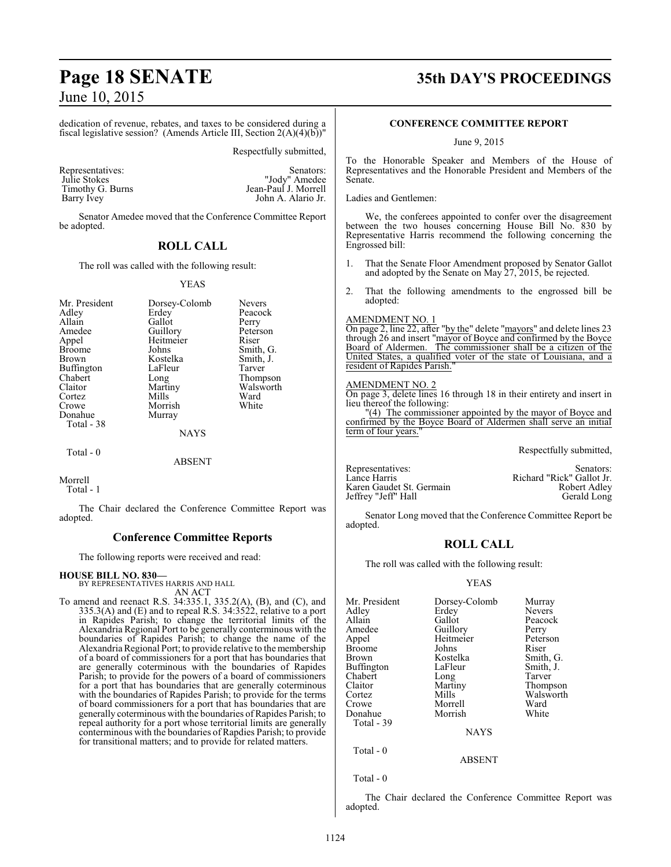dedication of revenue, rebates, and taxes to be considered during a fiscal legislative session? (Amends Article III, Section  $2(A)(4)(b)$ )"

Respectfully submitted,

| Representatives: | Senators:            |
|------------------|----------------------|
| Julie Stokes     | "Jody" Amedee        |
| Timothy G. Burns | Jean-Paul J. Morrell |
| Barry Ivey       | John A. Alario Jr.   |

Senators: John A. Alario Jr.

Senator Amedee moved that the Conference Committee Report be adopted.

### **ROLL CALL**

The roll was called with the following result:

### YEAS

| Mr. President<br>Adley<br>Allain<br>Amedee<br>Appel<br><b>Broome</b><br>Brown<br><b>Buffington</b><br>Chabert<br>Claitor<br>Cortez | Dorsey-Colomb<br>Erdey<br>Gallot<br>Guillory<br>Heitmeier<br>Johns<br>Kostelka<br>LaFleur<br>Long<br>Martiny<br>Mills | <b>Nevers</b><br>Peacock<br>Perry<br>Peterson<br>Riser<br>Smith, G.<br>Smith, J.<br>Tarver<br>Thompson<br>Walsworth<br>Ward |
|------------------------------------------------------------------------------------------------------------------------------------|-----------------------------------------------------------------------------------------------------------------------|-----------------------------------------------------------------------------------------------------------------------------|
| Crowe                                                                                                                              | Morrish                                                                                                               | White                                                                                                                       |
| Donahue<br>Total - 38                                                                                                              | Murray                                                                                                                |                                                                                                                             |
|                                                                                                                                    | <b>NAYS</b>                                                                                                           |                                                                                                                             |
| Total $-0$                                                                                                                         | <b>ABSENT</b>                                                                                                         |                                                                                                                             |

Morrell Total - 1

The Chair declared the Conference Committee Report was adopted.

### **Conference Committee Reports**

The following reports were received and read:

### **HOUSE BILL NO. 830—**

BY REPRESENTATIVES HARRIS AND HALL AN ACT

To amend and reenact R.S. 34:335.1, 335.2(A), (B), and (C), and 335.3(A) and (E) and to repeal R.S. 34:3522, relative to a port in Rapides Parish; to change the territorial limits of the Alexandria Regional Port to be generally conterminous with the boundaries of Rapides Parish; to change the name of the Alexandria Regional Port; to provide relative to the membership of a board of commissioners for a port that has boundaries that are generally coterminous with the boundaries of Rapides Parish; to provide for the powers of a board of commissioners for a port that has boundaries that are generally coterminous with the boundaries of Rapides Parish; to provide for the terms of board commissioners for a port that has boundaries that are generally coterminous with the boundaries of Rapides Parish; to repeal authority for a port whose territorial limits are generally conterminous with the boundaries of Rapdies Parish; to provide for transitional matters; and to provide for related matters.

# **Page 18 SENATE 35th DAY'S PROCEEDINGS**

### **CONFERENCE COMMITTEE REPORT**

June 9, 2015

To the Honorable Speaker and Members of the House of Representatives and the Honorable President and Members of the Senate.

Ladies and Gentlemen:

We, the conferees appointed to confer over the disagreement between the two houses concerning House Bill No. 830 by Representative Harris recommend the following concerning the Engrossed bill:

- 1. That the Senate Floor Amendment proposed by Senator Gallot and adopted by the Senate on May 27, 2015, be rejected.
- That the following amendments to the engrossed bill be adopted:

### AMENDMENT NO. 1

On page 2, line 22, after "by the" delete "mayors" and delete lines 23 through 26 and insert "mayor of Boyce and confirmed by the Boyce Board of Aldermen. The commissioner shall be a citizen of the United States, a qualified voter of the state of Louisiana, and a resident of Rapides Parish."

### AMENDMENT NO. 2

On page 3, delete lines 16 through 18 in their entirety and insert in lieu thereof the following: "(4) The commissioner appointed by the mayor of Boyce and

confirmed by the Boyce Board of Aldermen shall serve an initial term of four years.

Respectfully submitted,

| Representatives:         | Senators:                 |
|--------------------------|---------------------------|
| Lance Harris             | Richard "Rick" Gallot Jr. |
| Karen Gaudet St. Germain | Robert Adley              |
| Jeffrey "Jeff" Hall      | Gerald Long               |

Senator Long moved that the Conference Committee Report be adopted.

### **ROLL CALL**

The roll was called with the following result:

### YEAS

| Mr. President | Dorsey-Colomb | Murray        |
|---------------|---------------|---------------|
| Adlev         | Erdey         | <b>Nevers</b> |
| Allain        | Gallot        | Peacock       |
| Amedee        | Guillory      | Perry         |
| Appel         | Heitmeier     | Peterson      |
| Broome        | Johns         | Riser         |
| Brown         | Kostelka      | Smith, G.     |
| Buffington    | LaFleur       | Smith, J.     |
| Chabert       | Long          | Tarver        |
| Claitor       | Martiny       | Thompson      |
| Cortez        | Mills         | Walsworth     |
| Crowe         | Morrell       | Ward          |
| Donahue       | Morrish       | White         |
| Total - 39    |               |               |
|               | <b>NAYS</b>   |               |
|               |               |               |

Total - 0

```
 Total - 0
```
The Chair declared the Conference Committee Report was adopted.

ABSENT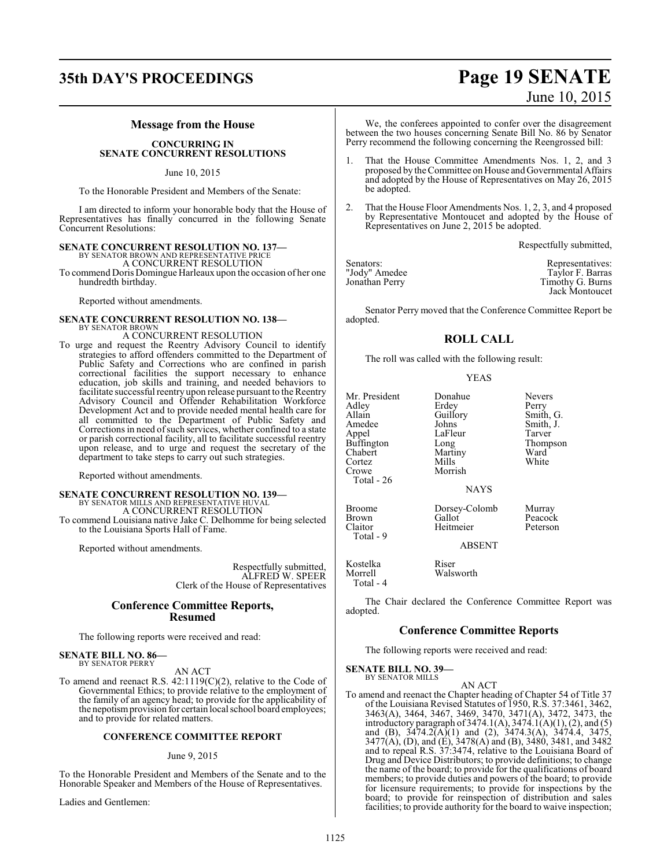# **35th DAY'S PROCEEDINGS Page 19 SENATE**

### **Message from the House**

**CONCURRING IN SENATE CONCURRENT RESOLUTIONS**

June 10, 2015

To the Honorable President and Members of the Senate:

I am directed to inform your honorable body that the House of Representatives has finally concurred in the following Senate Concurrent Resolutions:

# **SENATE CONCURRENT RESOLUTION NO. 137—** BY SENATOR BROWN AND REPRESENTATIVE PRICE

A CONCURRENT RESOLUTION

To commend Doris Domingue Harleaux upon the occasion of her one hundredth birthday.

Reported without amendments.

### **SENATE CONCURRENT RESOLUTION NO. 138—** BY SENATOR BROWN

A CONCURRENT RESOLUTION

To urge and request the Reentry Advisory Council to identify strategies to afford offenders committed to the Department of Public Safety and Corrections who are confined in parish correctional facilities the support necessary to enhance education, job skills and training, and needed behaviors to facilitate successful reentry upon release pursuant to the Reentry Advisory Council and Offender Rehabilitation Workforce Development Act and to provide needed mental health care for all committed to the Department of Public Safety and Corrections in need of such services, whether confined to a state or parish correctional facility, all to facilitate successful reentry upon release, and to urge and request the secretary of the department to take steps to carry out such strategies.

Reported without amendments.

# **SENATE CONCURRENT RESOLUTION NO. 139—**<br>BY SENATOR MILLS AND REPRESENTATIVE HUVAL<br>A CONCURRENT RESOLUTION

To commend Louisiana native Jake C. Delhomme for being selected to the Louisiana Sports Hall of Fame.

Reported without amendments.

Respectfully submitted, ALFRED W. SPEER Clerk of the House of Representatives

### **Conference Committee Reports, Resumed**

The following reports were received and read:

**SENATE BILL NO. 86—** BY SENATOR PERRY

AN ACT

To amend and reenact R.S. 42:1119(C)(2), relative to the Code of Governmental Ethics; to provide relative to the employment of the family of an agency head; to provide for the applicability of the nepotismprovision for certain local school board employees; and to provide for related matters.

### **CONFERENCE COMMITTEE REPORT**

### June 9, 2015

To the Honorable President and Members of the Senate and to the Honorable Speaker and Members of the House of Representatives.

Ladies and Gentlemen:

# June 10, 2015

We, the conferees appointed to confer over the disagreement between the two houses concerning Senate Bill No. 86 by Senator Perry recommend the following concerning the Reengrossed bill:

- That the House Committee Amendments Nos. 1, 2, and 3 proposed by the Committee on House and Governmental Affairs and adopted by the House of Representatives on May 26, 2015 be adopted.
- 2. That the House Floor Amendments Nos. 1, 2, 3, and 4 proposed by Representative Montoucet and adopted by the House of Representatives on June 2, 2015 be adopted.

Respectfully submitted,

| Senators:      | Representatives: |
|----------------|------------------|
| "Jody" Amedee  | Taylor F. Barras |
| Jonathan Perry | Timothy G. Burns |
|                | Jack Montoucet   |

Senator Perry moved that the Conference Committee Report be adopted.

### **ROLL CALL**

The roll was called with the following result:

YEAS

Mr. President Donahue Nevers<br>Adley Erdey Perry Adley Erdey Perry<br>Allain Guillory Smith Allain Guillory Smith, G.<br>Amedee Johns Smith, J. Amedee Johns Smith, J.<br>Appel LaFleur Tarver Buffington Long Thom<br>Chabert Martiny Ward Cortez<br>Crowe Total - 26 Broome Dorsey-Colomb Murray<br>Brown Gallot Peacocl

Total - 9

LaFleur Tarver<br>Long Thompson Martiny Ward<br>
Mills White Morrish

**NAYS** 

Brown Gallot Peacock<br>Claitor Heitmeier Peterson Heitmeier

ABSENT

Kostelka Riser<br>Morrell Walsv Walsworth Total - 4

The Chair declared the Conference Committee Report was adopted.

### **Conference Committee Reports**

The following reports were received and read:

**SENATE BILL NO. 39—** BY SENATOR MILLS

AN ACT

To amend and reenact the Chapter heading of Chapter 54 of Title 37 of the Louisiana Revised Statutes of 1950, R.S. 37:3461, 3462, 3463(A), 3464, 3467, 3469, 3470, 3471(A), 3472, 3473, the introductory paragraph of 3474.1(A), 3474.1(A)(1), (2), and (5) and (B), 3474.2(A)(1) and (2), 3474.3(A), 3474.4, 3475, 3477(A), (D), and (E), 3478(A) and (B), 3480, 3481, and 3482 and to repeal R.S. 37:3474, relative to the Louisiana Board of Drug and Device Distributors; to provide definitions; to change the name of the board; to provide for the qualifications of board members; to provide duties and powers of the board; to provide for licensure requirements; to provide for inspections by the board; to provide for reinspection of distribution and sales facilities; to provide authority for the board to waive inspection;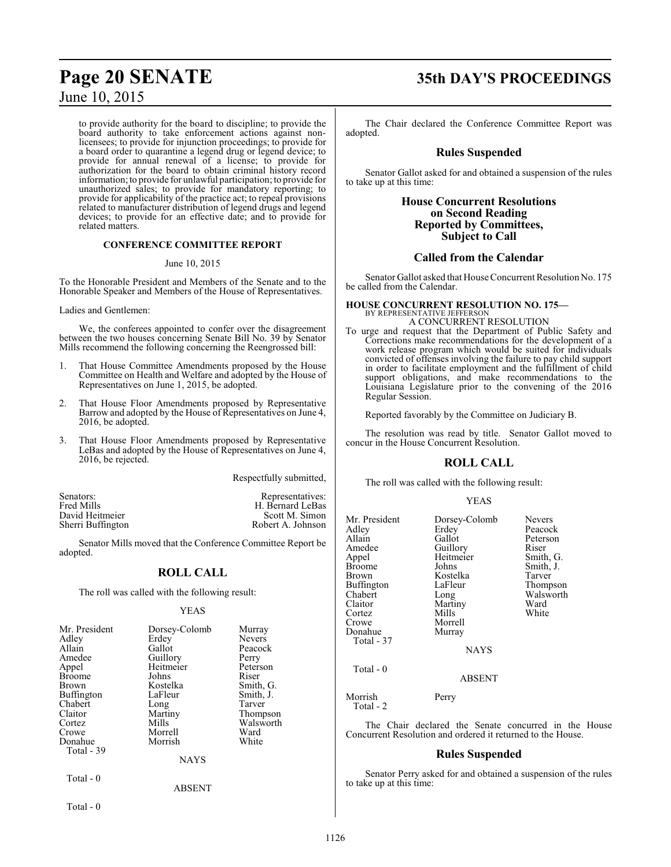to provide authority for the board to discipline; to provide the board authority to take enforcement actions against nonlicensees; to provide for injunction proceedings; to provide for a board order to quarantine a legend drug or legend device; to provide for annual renewal of a license; to provide for authorization for the board to obtain criminal history record information;to provide for unlawful participation; to provide for unauthorized sales; to provide for mandatory reporting; to provide for applicability of the practice act; to repeal provisions related to manufacturer distribution of legend drugs and legend devices; to provide for an effective date; and to provide for related matters.

### **CONFERENCE COMMITTEE REPORT**

### June 10, 2015

To the Honorable President and Members of the Senate and to the Honorable Speaker and Members of the House of Representatives.

Ladies and Gentlemen:

We, the conferees appointed to confer over the disagreement between the two houses concerning Senate Bill No. 39 by Senator Mills recommend the following concerning the Reengrossed bill:

- 1. That House Committee Amendments proposed by the House Committee on Health and Welfare and adopted by the House of Representatives on June 1, 2015, be adopted.
- 2. That House Floor Amendments proposed by Representative Barrow and adopted by the House of Representatives on June 4, 2016, be adopted.
- 3. That House Floor Amendments proposed by Representative LeBas and adopted by the House of Representatives on June 4, 2016, be rejected.

Respectfully submitted,

| Senators:         | Representatives:  |
|-------------------|-------------------|
| Fred Mills        | H. Bernard LeBas  |
| David Heitmeier   | Scott M. Simon    |
| Sherri Buffington | Robert A. Johnson |

Senator Mills moved that the Conference Committee Report be adopted.

### **ROLL CALL**

The roll was called with the following result:

### YEAS

| Mr. President<br>Adley<br>Allain<br>Amedee<br>Appel<br>Broome<br>Brown<br>Buffington<br>Chabert<br>Claitor<br>Cortez<br>Crowe<br>Donahue<br>Total - 39 | Dorsey-Colomb<br>Erdey<br>Gallot<br>Guillory<br>Heitmeier<br>Johns<br>Kostelka<br>LaFleur<br>Long<br>Martiny<br>Mills<br>Morrell<br>Morrish<br><b>NAYS</b> | Murray<br><b>Nevers</b><br>Peacock<br>Perry<br>Peterson<br>Riser<br>Smith, G.<br>Smith, J.<br>Tarver<br>Thompson<br>Walsworth<br>Ward<br>White |
|--------------------------------------------------------------------------------------------------------------------------------------------------------|------------------------------------------------------------------------------------------------------------------------------------------------------------|------------------------------------------------------------------------------------------------------------------------------------------------|
| Total - 0                                                                                                                                              | <b>ABSENT</b>                                                                                                                                              |                                                                                                                                                |

Total - 0

# **Page 20 SENATE 35th DAY'S PROCEEDINGS**

The Chair declared the Conference Committee Report was adopted.

### **Rules Suspended**

Senator Gallot asked for and obtained a suspension of the rules to take up at this time:

### **House Concurrent Resolutions on Second Reading Reported by Committees, Subject to Call**

### **Called from the Calendar**

Senator Gallot asked that House Concurrent Resolution No. 175 be called from the Calendar.

### **HOUSE CONCURRENT RESOLUTION NO. 175—** BY REPRESENTATIVE JEFFERSON A CONCURRENT RESOLUTION

To urge and request that the Department of Public Safety and Corrections make recommendations for the development of a work release program which would be suited for individuals convicted of offenses involving the failure to pay child support in order to facilitate employment and the fulfillment of child support obligations, and make recommendations to the Louisiana Legislature prior to the convening of the 2016 Regular Session.

Reported favorably by the Committee on Judiciary B.

The resolution was read by title. Senator Gallot moved to concur in the House Concurrent Resolution.

### **ROLL CALL**

The roll was called with the following result:

### YEAS

| Mr. President        | Dorsey-Colomb | <b>Nevers</b> |
|----------------------|---------------|---------------|
| Adley                | Erdey         | Peacock       |
| Allain               | Gallot        | Peterson      |
| Amedee               | Guillory      | Riser         |
| Appel                | Heitmeier     | Smith, G.     |
| <b>Broome</b>        | Johns         | Smith, J.     |
| <b>Brown</b>         | Kostelka      | Tarver        |
| Buffington           | LaFleur       | Thompson      |
| Chabert              | Long          | Walsworth     |
| Claitor              | Martiny       | Ward          |
| Cortez               | Mills         | White         |
| Crowe                | Morrell       |               |
| Donahue              | Murray        |               |
| Total - 37           |               |               |
|                      | <b>NAYS</b>   |               |
| Total - 0            |               |               |
|                      | <b>ABSENT</b> |               |
| Morrish<br>Total - 2 | Perry         |               |

The Chair declared the Senate concurred in the House Concurrent Resolution and ordered it returned to the House.

### **Rules Suspended**

Senator Perry asked for and obtained a suspension of the rules to take up at this time: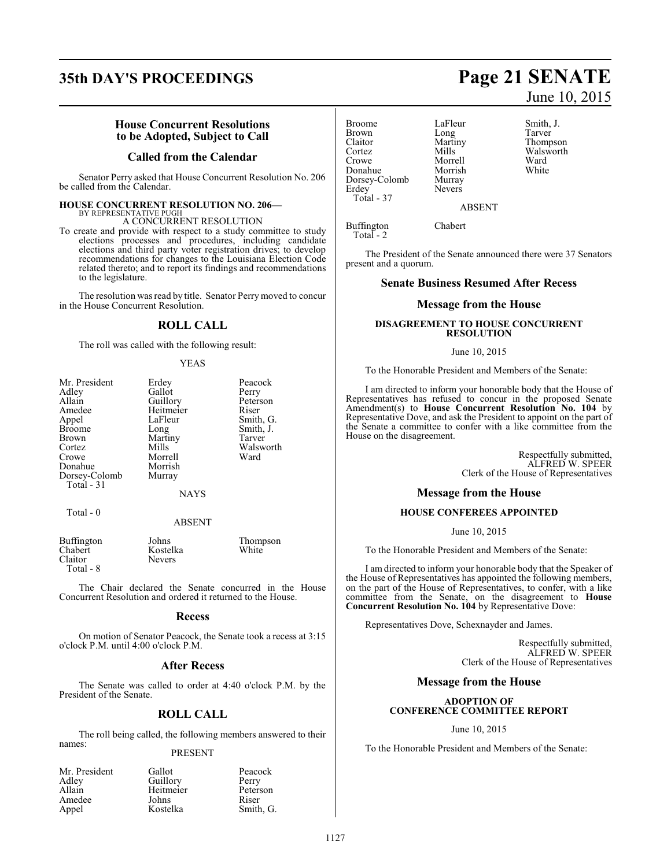# **35th DAY'S PROCEEDINGS Page 21 SENATE**

### **House Concurrent Resolutions to be Adopted, Subject to Call**

### **Called from the Calendar**

Senator Perry asked that House Concurrent Resolution No. 206 be called from the Calendar.

### **HOUSE CONCURRENT RESOLUTION NO. 206—** BY REPRESENTATIVE PUGH

A CONCURRENT RESOLUTION

To create and provide with respect to a study committee to study elections processes and procedures, including candidate elections and third party voter registration drives; to develop recommendations for changes to the Louisiana Election Code related thereto; and to report its findings and recommendations to the legislature.

The resolution was read by title. Senator Perry moved to concur in the House Concurrent Resolution.

### **ROLL CALL**

The roll was called with the following result:

### YEAS

| Mr. President | Erdey       | Peacock   |
|---------------|-------------|-----------|
| Adley         | Gallot      | Perry     |
| Allain        | Guillory    | Peterson  |
| Amedee        | Heitmeier   | Riser     |
| Appel         | LaFleur     | Smith, G. |
| <b>Broome</b> | Long        | Smith, J. |
| Brown         | Martiny     | Tarver    |
| Cortez        | Mills       | Walsworth |
| Crowe         | Morrell     | Ward      |
| Donahue       | Morrish     |           |
| Dorsey-Colomb | Murray      |           |
| Total - 31    |             |           |
|               | <b>NAYS</b> |           |
| Total - 0     |             |           |
|               | ABSENT      |           |

| Buffington | Johns         | Thompson |
|------------|---------------|----------|
| Chabert    | Kostelka      | White    |
| Claitor    | <b>Nevers</b> |          |
| Total - 8  |               |          |

The Chair declared the Senate concurred in the House Concurrent Resolution and ordered it returned to the House.

### **Recess**

On motion of Senator Peacock, the Senate took a recess at 3:15 o'clock P.M. until 4:00 o'clock P.M.

### **After Recess**

The Senate was called to order at 4:40 o'clock P.M. by the President of the Senate.

### **ROLL CALL**

The roll being called, the following members answered to their names:

### PRESENT

| Mr. President | Gallot    | Peacock   |
|---------------|-----------|-----------|
| Adley         | Guillory  | Perry     |
| Allain        | Heitmeier | Peterson  |
| Amedee        | Johns     | Riser     |
| Appel         | Kostelka  | Smith, G. |

Broome LaFleur Smith, J.<br>Brown Long Tarver Brown Long<br>Claitor Martiny Claitor Martiny Thompson Cortez Mills Walsworth<br>Crowe Morrell Ward Donahue Morrish<br>Dorsey-Colomb Murray Dorsey-Colomb Erdey Nevers Total - 37

Morrell Ward<br>
Morrish White

ABSENT

Buffington Chabert Total - 2

The President of the Senate announced there were 37 Senators present and a quorum.

### **Senate Business Resumed After Recess**

### **Message from the House**

### **DISAGREEMENT TO HOUSE CONCURRENT RESOLUTION**

### June 10, 2015

To the Honorable President and Members of the Senate:

I am directed to inform your honorable body that the House of Representatives has refused to concur in the proposed Senate Amendment(s) to **House Concurrent Resolution No. 104** by Representative Dove, and ask the President to appoint on the part of the Senate a committee to confer with a like committee from the House on the disagreement.

> Respectfully submitted, ALFRED W. SPEER Clerk of the House of Representatives

### **Message from the House**

### **HOUSE CONFEREES APPOINTED**

June 10, 2015

To the Honorable President and Members of the Senate:

I am directed to inform your honorable body that the Speaker of the House of Representatives has appointed the following members, on the part of the House of Representatives, to confer, with a like committee from the Senate, on the disagreement to **House Concurrent Resolution No. 104** by Representative Dove:

Representatives Dove, Schexnayder and James.

Respectfully submitted, ALFRED W. SPEER Clerk of the House of Representatives

### **Message from the House**

### **ADOPTION OF CONFERENCE COMMITTEE REPORT**

June 10, 2015

To the Honorable President and Members of the Senate:

# June 10, 2015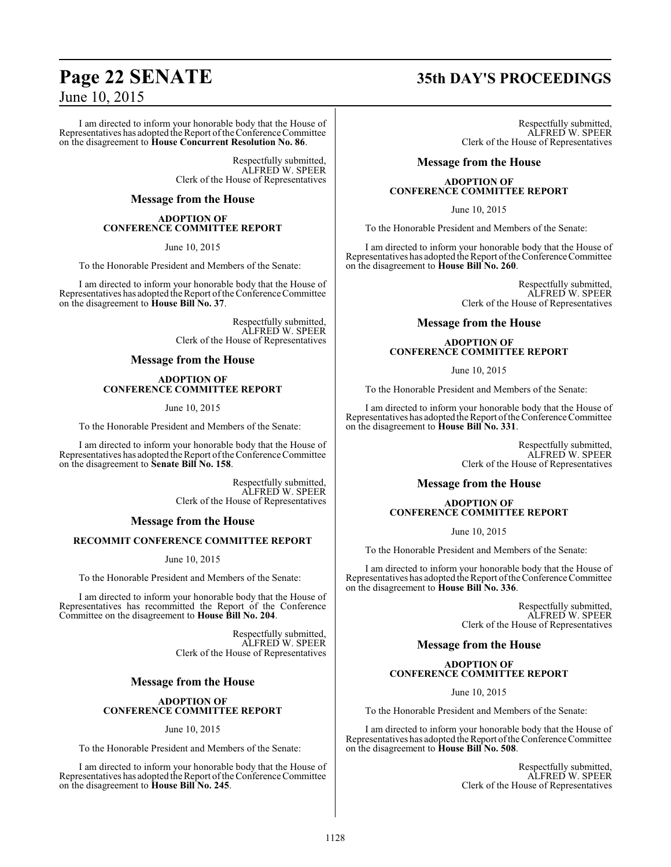I am directed to inform your honorable body that the House of Representatives has adopted the Report of the Conference Committee on the disagreement to **House Concurrent Resolution No. 86**.

> Respectfully submitted, ALFRED W. SPEER Clerk of the House of Representatives

### **Message from the House**

### **ADOPTION OF CONFERENCE COMMITTEE REPORT**

June 10, 2015

To the Honorable President and Members of the Senate:

I am directed to inform your honorable body that the House of Representatives has adopted the Report ofthe Conference Committee on the disagreement to **House Bill No. 37**.

> Respectfully submitted, ALFRED W. SPEER Clerk of the House of Representatives

### **Message from the House**

### **ADOPTION OF CONFERENCE COMMITTEE REPORT**

June 10, 2015

To the Honorable President and Members of the Senate:

I am directed to inform your honorable body that the House of Representatives has adopted the Report of the Conference Committee on the disagreement to **Senate Bill No. 158**.

> Respectfully submitted, ALFRED W. SPEER Clerk of the House of Representatives

### **Message from the House**

### **RECOMMIT CONFERENCE COMMITTEE REPORT**

June 10, 2015

To the Honorable President and Members of the Senate:

I am directed to inform your honorable body that the House of Representatives has recommitted the Report of the Conference Committee on the disagreement to **House Bill No. 204**.

> Respectfully submitted, ALFRED W. SPEER Clerk of the House of Representatives

### **Message from the House**

### **ADOPTION OF CONFERENCE COMMITTEE REPORT**

June 10, 2015

To the Honorable President and Members of the Senate:

I am directed to inform your honorable body that the House of Representatives has adopted the Report of the Conference Committee on the disagreement to **House Bill No. 245**.

# **Page 22 SENATE 35th DAY'S PROCEEDINGS**

Respectfully submitted, ALFRED W. SPEER Clerk of the House of Representatives

### **Message from the House**

### **ADOPTION OF CONFERENCE COMMITTEE REPORT**

June 10, 2015

To the Honorable President and Members of the Senate:

I am directed to inform your honorable body that the House of Representatives has adopted the Report of the Conference Committee on the disagreement to **House Bill No. 260**.

> Respectfully submitted, ALFRED W. SPEER Clerk of the House of Representatives

### **Message from the House**

### **ADOPTION OF CONFERENCE COMMITTEE REPORT**

June 10, 2015

To the Honorable President and Members of the Senate:

I am directed to inform your honorable body that the House of Representatives has adopted the Report ofthe Conference Committee on the disagreement to **House Bill No. 331**.

> Respectfully submitted, ALFRED W. SPEER Clerk of the House of Representatives

### **Message from the House**

### **ADOPTION OF CONFERENCE COMMITTEE REPORT**

June 10, 2015

To the Honorable President and Members of the Senate:

I am directed to inform your honorable body that the House of Representatives has adopted the Report ofthe Conference Committee on the disagreement to **House Bill No. 336**.

> Respectfully submitted, ALFRED W. SPEER Clerk of the House of Representatives

### **Message from the House**

### **ADOPTION OF CONFERENCE COMMITTEE REPORT**

June 10, 2015

To the Honorable President and Members of the Senate:

I am directed to inform your honorable body that the House of Representatives has adopted the Report of the Conference Committee on the disagreement to **House Bill No. 508**.

> Respectfully submitted, ALFRED W. SPEER Clerk of the House of Representatives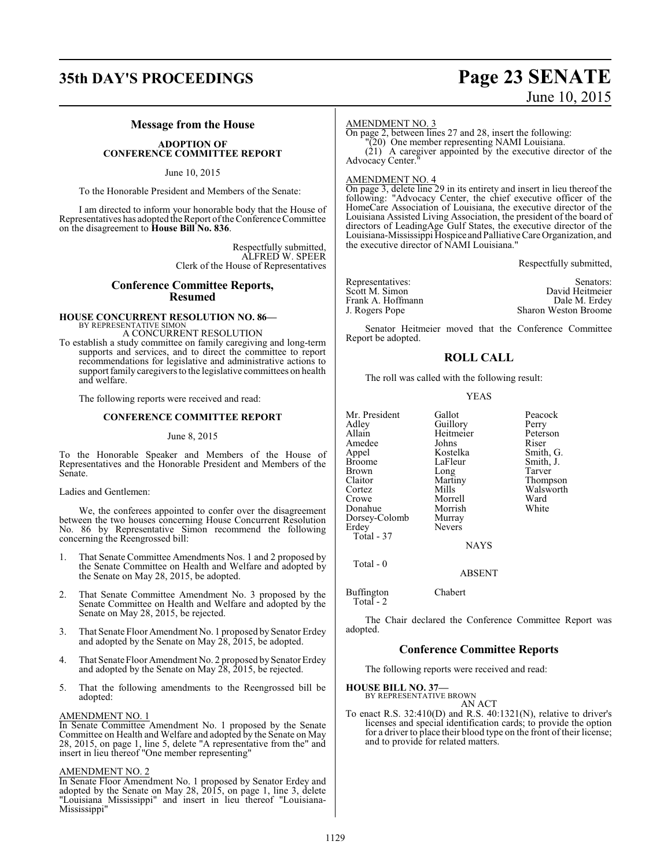# **35th DAY'S PROCEEDINGS Page 23 SENATE**

# June 10, 2015

### **Message from the House**

### **ADOPTION OF CONFERENCE COMMITTEE REPORT**

June 10, 2015

To the Honorable President and Members of the Senate:

I am directed to inform your honorable body that the House of Representatives has adopted the Report ofthe Conference Committee on the disagreement to **House Bill No. 836**.

> Respectfully submitted, ALFRED W. SPEER Clerk of the House of Representatives

### **Conference Committee Reports, Resumed**

### **HOUSE CONCURRENT RESOLUTION NO. 86—** BY REPRESENTATIVE SIMON

A CONCURRENT RESOLUTION

To establish a study committee on family caregiving and long-term supports and services, and to direct the committee to report recommendations for legislative and administrative actions to support family caregivers to the legislative committees on health and welfare.

The following reports were received and read:

### **CONFERENCE COMMITTEE REPORT**

### June 8, 2015

To the Honorable Speaker and Members of the House of Representatives and the Honorable President and Members of the Senate.

Ladies and Gentlemen:

We, the conferees appointed to confer over the disagreement between the two houses concerning House Concurrent Resolution No. 86 by Representative Simon recommend the following concerning the Reengrossed bill:

- 1. That Senate Committee Amendments Nos. 1 and 2 proposed by the Senate Committee on Health and Welfare and adopted by the Senate on May 28, 2015, be adopted.
- That Senate Committee Amendment No. 3 proposed by the Senate Committee on Health and Welfare and adopted by the Senate on May 28, 2015, be rejected.
- 3. That Senate Floor Amendment No. 1 proposed by Senator Erdey and adopted by the Senate on May 28, 2015, be adopted.
- 4. That Senate Floor Amendment No. 2 proposed by Senator Erdey and adopted by the Senate on May 28, 2015, be rejected.
- 5. That the following amendments to the Reengrossed bill be adopted:

### AMENDMENT NO. 1

In Senate Committee Amendment No. 1 proposed by the Senate Committee on Health and Welfare and adopted by the Senate on May 28, 2015, on page 1, line 5, delete "A representative from the" and insert in lieu thereof "One member representing"

### AMENDMENT NO. 2

In Senate Floor Amendment No. 1 proposed by Senator Erdey and adopted by the Senate on May 28, 2015, on page 1, line 3, delete "Louisiana Mississippi" and insert in lieu thereof "Louisiana-Mississippi"

### AMENDMENT NO. 3

On page 2, between lines 27 and 28, insert the following:

"(20) One member representing NAMI Louisiana. (21) A caregiver appointed by the executive director of the Advocacy Center."

### AMENDMENT NO. 4

On page 3, delete line 29 in its entirety and insert in lieu thereof the following: "Advocacy Center, the chief executive officer of the HomeCare Association of Louisiana, the executive director of the Louisiana Assisted Living Association, the president of the board of directors of LeadingAge Gulf States, the executive director of the Louisiana-Mississippi Hospice and PalliativeCare Organization, and the executive director of NAMI Louisiana."

Respectfully submitted,

| Representatives:  | Senators:                   |
|-------------------|-----------------------------|
| Scott M. Simon    | David Heitmeier             |
| Frank A. Hoffmann | Dale M. Erdey               |
| J. Rogers Pope    | <b>Sharon Weston Broome</b> |

Senator Heitmeier moved that the Conference Committee Report be adopted.

### **ROLL CALL**

The roll was called with the following result:

### YEAS

| Mr. President<br>Adley<br>Allain<br>Amedee<br>Appel<br><b>Broome</b><br><b>Brown</b><br>Claitor<br>Cortez<br>Crowe<br>Donahue<br>Dorsey-Colomb<br>Erdey<br>Total - 37 | Gallot<br>Guillory<br>Heitmeier<br>Johns<br>Kostelka<br>LaFleur<br>Long<br>Martiny<br>Mills<br>Morrell<br>Morrish<br>Murray<br><b>Nevers</b><br><b>NAYS</b> | Peacock<br>Perry<br>Peterson<br>Riser<br>Smith, G.<br>Smith, J.<br>Tarver<br>Thompson<br>Walsworth<br>Ward<br>White |
|-----------------------------------------------------------------------------------------------------------------------------------------------------------------------|-------------------------------------------------------------------------------------------------------------------------------------------------------------|---------------------------------------------------------------------------------------------------------------------|
| Total - 0                                                                                                                                                             | <b>ABSENT</b>                                                                                                                                               |                                                                                                                     |

Buffington Chabert Total - 2

The Chair declared the Conference Committee Report was adopted.

### **Conference Committee Reports**

The following reports were received and read:

**HOUSE BILL NO. 37—**

BY REPRESENTATIVE BROWN AN ACT

To enact R.S. 32:410(D) and R.S. 40:1321(N), relative to driver's licenses and special identification cards; to provide the option for a driver to place their blood type on the front of their license; and to provide for related matters.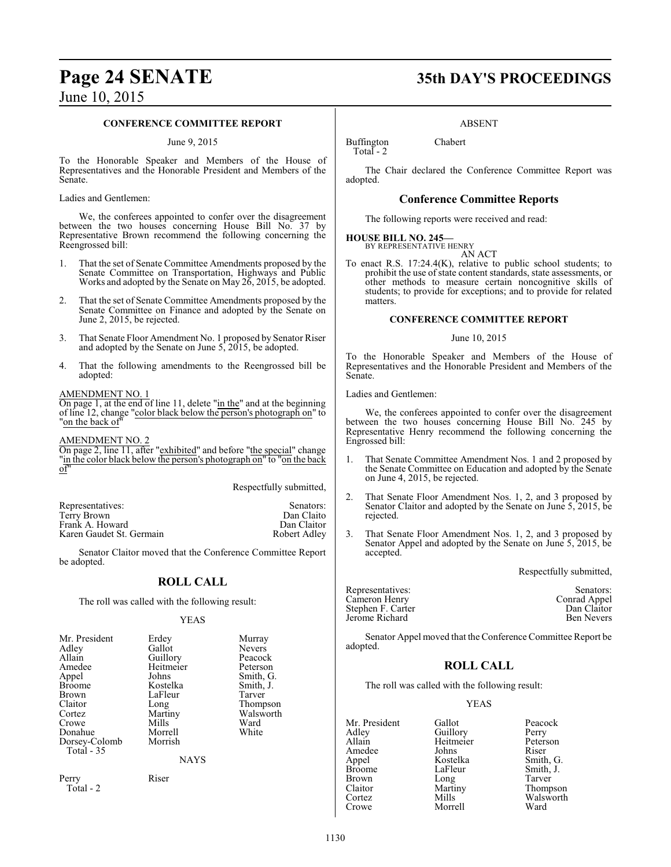### **CONFERENCE COMMITTEE REPORT**

### June 9, 2015

To the Honorable Speaker and Members of the House of Representatives and the Honorable President and Members of the Senate.

Ladies and Gentlemen:

We, the conferees appointed to confer over the disagreement between the two houses concerning House Bill No. 37 by Representative Brown recommend the following concerning the Reengrossed bill:

- 1. That the set of Senate Committee Amendments proposed by the Senate Committee on Transportation, Highways and Public Works and adopted by the Senate on May 26, 2015, be adopted.
- 2. That the set of Senate Committee Amendments proposed by the Senate Committee on Finance and adopted by the Senate on June 2, 2015, be rejected.
- 3. That Senate Floor Amendment No. 1 proposed by Senator Riser and adopted by the Senate on June 5, 2015, be adopted.
- 4. That the following amendments to the Reengrossed bill be adopted:

### AMENDMENT NO. 1

On page 1, at the end of line 11, delete "in the" and at the beginning of line 12, change "color black below the person's photograph on" to 'on the back of

AMENDMENT NO. 2

On page 2, line 11, after "exhibited" and before "the special" change "in the color black below the person's photograph on" to "on the back of"

Respectfully submitted,

| Representatives:         | Senators:    |
|--------------------------|--------------|
| Terry Brown              | Dan Claito   |
| Frank A. Howard          | Dan Claitor  |
| Karen Gaudet St. Germain | Robert Adley |
|                          |              |

Senator Claitor moved that the Conference Committee Report be adopted.

### **ROLL CALL**

The roll was called with the following result:

### YEAS

| Mr. President      | Erdey              | Murray                   |
|--------------------|--------------------|--------------------------|
| Adlev<br>Allain    | Gallot<br>Guillory | <b>Nevers</b><br>Peacock |
| Amedee             | Heitmeier          | Peterson                 |
| Appel              | Johns              | Smith, G.                |
| Broome             | Kostelka           | Smith, J.                |
| Brown              | LaFleur            | Tarver                   |
| Claitor            | Long               | Thompson                 |
| Cortez             | Martiny            | Walsworth                |
| Crowe              | Mills              | Ward                     |
| Donahue            | Morrell            | White                    |
| Dorsey-Colomb      | Morrish            |                          |
| Total - 35         |                    |                          |
|                    | <b>NAYS</b>        |                          |
| Perry<br>Total - 2 | Riser              |                          |
|                    |                    |                          |

# **Page 24 SENATE 35th DAY'S PROCEEDINGS**

### ABSENT

Buffington Chabert Total - 2

The Chair declared the Conference Committee Report was adopted.

### **Conference Committee Reports**

The following reports were received and read:

## **HOUSE BILL NO. 245—** BY REPRESENTATIVE HENRY

AN ACT

To enact R.S. 17:24.4(K), relative to public school students; to prohibit the use of state content standards, state assessments, or other methods to measure certain noncognitive skills of students; to provide for exceptions; and to provide for related matters.

### **CONFERENCE COMMITTEE REPORT**

### June 10, 2015

To the Honorable Speaker and Members of the House of Representatives and the Honorable President and Members of the Senate.

Ladies and Gentlemen:

We, the conferees appointed to confer over the disagreement between the two houses concerning House Bill No. 245 by Representative Henry recommend the following concerning the Engrossed bill:

- 1. That Senate Committee Amendment Nos. 1 and 2 proposed by the Senate Committee on Education and adopted by the Senate on June 4, 2015, be rejected.
- 2. That Senate Floor Amendment Nos. 1, 2, and 3 proposed by Senator Claitor and adopted by the Senate on June 5, 2015, be rejected.
- 3. That Senate Floor Amendment Nos. 1, 2, and 3 proposed by Senator Appel and adopted by the Senate on June 5, 2015, be accepted.

Respectfully submitted,

| Representatives:  | Senators:         |
|-------------------|-------------------|
| Cameron Henry     | Conrad Appel      |
| Stephen F. Carter | Dan Claitor       |
| Jerome Richard    | <b>Ben Nevers</b> |

Senator Appel moved that the Conference Committee Report be adopted.

### **ROLL CALL**

The roll was called with the following result:

Morrell

### YEAS

Mr. President Gallot Peacock<br>Adley Guillory Perry Adley Guillory<br>Allain Heitmeier Amedee Johns<br>
Appel Kostelka Appel Kostelka Smith, G. Broome LaFleur Smith, J.<br>Brown Long Tarver Brown Long Tarver Claitor Martiny Thompson

Heitmeier Peterson<br>Johns Riser Cortez Mills Walsworth<br>Crowe Morrell Ward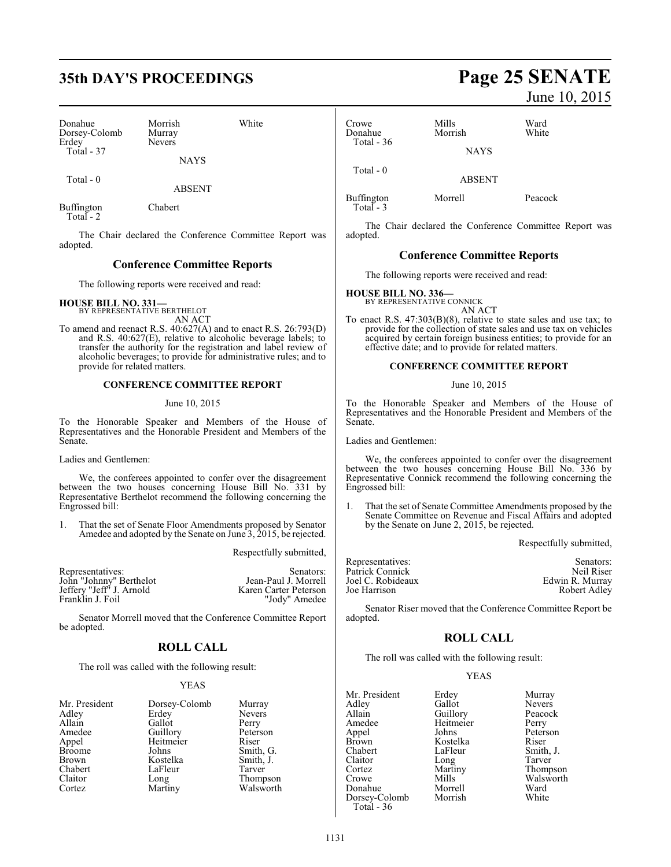# **35th DAY'S PROCEEDINGS Page 25 SENATE**

| Donahue<br>Dorsey-Colomb<br>Erdey | Morrish<br>Murray<br><b>Nevers</b> | White |
|-----------------------------------|------------------------------------|-------|
| <b>Total - 37</b>                 | <b>NAYS</b>                        |       |
| Total - 0                         |                                    |       |

Buffington Chabert Total - 2

The Chair declared the Conference Committee Report was adopted.

ABSENT

### **Conference Committee Reports**

The following reports were received and read:

**HOUSE BILL NO. 331—** BY REPRESENTATIVE BERTHELOT

AN ACT To amend and reenact R.S. 40:627(A) and to enact R.S. 26:793(D) and R.S. 40:627(E), relative to alcoholic beverage labels; to transfer the authority for the registration and label review of alcoholic beverages; to provide for administrative rules; and to provide for related matters.

### **CONFERENCE COMMITTEE REPORT**

### June 10, 2015

To the Honorable Speaker and Members of the House of Representatives and the Honorable President and Members of the Senate.

Ladies and Gentlemen:

We, the conferees appointed to confer over the disagreement between the two houses concerning House Bill No. 331 by Representative Berthelot recommend the following concerning the Engrossed bill:

1. That the set of Senate Floor Amendments proposed by Senator Amedee and adopted by the Senate on June 3, 2015, be rejected.

Respectfully submitted,

| Representatives:         | Senators:             |
|--------------------------|-----------------------|
| John "Johnny" Berthelot  | Jean-Paul J. Morrell  |
| Jeffery "Jeff" J. Arnold | Karen Carter Peterson |
| Franklin J. Foil         | "Jody" Amedee         |

Senator Morrell moved that the Conference Committee Report be adopted.

### **ROLL CALL**

The roll was called with the following result:

### YEAS

| Mr. President | Dorsey-Colomb | Murra         |
|---------------|---------------|---------------|
| Adley         | Erdey         | <b>Nevers</b> |
| Allain        | Gallot        | Perry         |
| Amedee        | Guillory      | Peters        |
| Appel         | Heitmeier     | Riser         |
| <b>Broome</b> | Johns         | Smith,        |
| Brown         | Kostelka      | Smith,        |
| Chabert       | LaFleur       | Tarver        |
| Claitor       | Long          | Thomp         |
| Cortez        | Martiny       | Walsw         |
|               |               |               |

Murray Nevers<br>Perry Peterson<br>Riser Smith, G. Smith, J.<br>Tarver Thompson Walsworth

June 10, 2015

| Crowe<br>Donahue<br>Total $-36$ | Mills<br>Morrish | Ward<br>White |
|---------------------------------|------------------|---------------|
|                                 | <b>NAYS</b>      |               |
| Total $-0$                      | <b>ABSENT</b>    |               |
| Buffington                      | Morrell          | Peacock       |

 Total - 3 The Chair declared the Conference Committee Report was

### **Conference Committee Reports**

The following reports were received and read:

# **HOUSE BILL NO. 336—** BY REPRESENTATIVE CONNICK

adopted.

AN ACT To enact R.S. 47:303(B)(8), relative to state sales and use tax; to provide for the collection of state sales and use tax on vehicles acquired by certain foreign business entities; to provide for an effective date; and to provide for related matters.

### **CONFERENCE COMMITTEE REPORT**

June 10, 2015

To the Honorable Speaker and Members of the House of Representatives and the Honorable President and Members of the Senate.

Ladies and Gentlemen:

We, the conferees appointed to confer over the disagreement between the two houses concerning House Bill No. 336 by Representative Connick recommend the following concerning the Engrossed bill:

1. That the set of Senate Committee Amendments proposed by the Senate Committee on Revenue and Fiscal Affairs and adopted by the Senate on June 2, 2015, be rejected.

Respectfully submitted,

Peacock<br>Perry

Peterson<br>Riser

Smith, J. Tarver Thompson Walsworth<br>Ward

| Representatives:  | Senators:       |
|-------------------|-----------------|
| Patrick Connick   | Neil Riser      |
| Joel C. Robideaux | Edwin R. Murray |
| Joe Harrison      | Robert Adley    |
|                   |                 |

Senator Riser moved that the Conference Committee Report be adopted.

### **ROLL CALL**

The roll was called with the following result:

### YEAS

| Mr. President | Erdey     | Murray        |
|---------------|-----------|---------------|
| Adley         | Gallot    | <b>Nevers</b> |
| Allain        | Guillory  | Peacocl       |
| Amedee        | Heitmeier | Perry         |
| Appel         | Johns     | Peterso       |
| <b>Brown</b>  | Kostelka  | Riser         |
| Chabert       | LaFleur   | Smith,        |
| Claitor       | Long      | Tarver        |
| Cortez        | Martiny   | Thomp:        |
| Crowe         | Mills     | Walswo        |
| Donahue       | Morrell   | Ward          |
| Dorsey-Colomb | Morrish   | White         |
| Total - 36    |           |               |

1131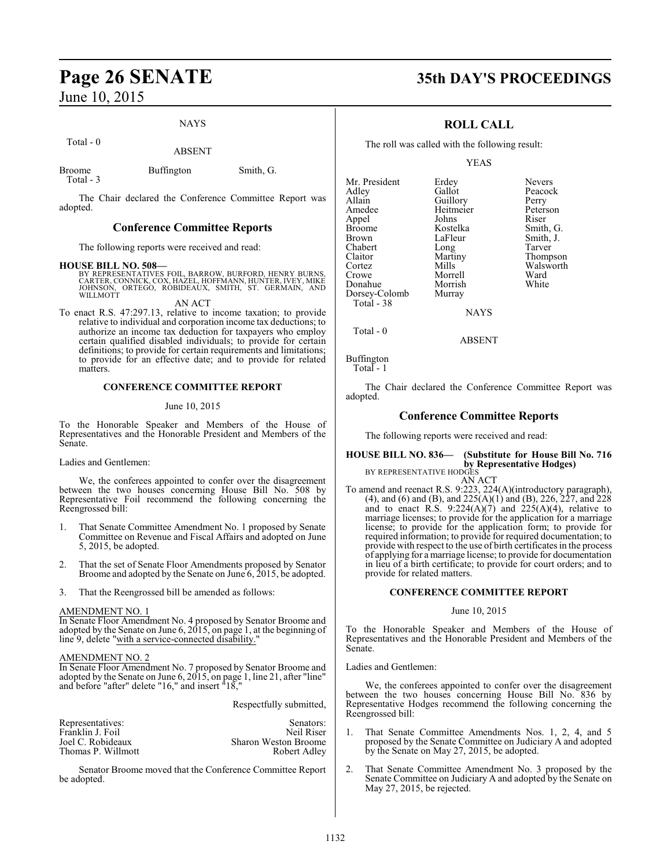### NAYS

Total - 0

ABSENT

Broome Buffington Smith, G.

Total - 3

The Chair declared the Conference Committee Report was adopted.

### **Conference Committee Reports**

The following reports were received and read:

### **HOUSE BILL NO. 508—**

BY REPRESENTATIVES FOIL, BARROW, BURFORD, HENRY BURNS,<br>CARTER, CONNICK, COX, HAZEL, HOFFMANN, HUNTER, IVEY, MIKE<br>JOHNSON, ORTEGO, ROBIDEAUX, SMITH, ST. GERMAIN, AND<br>WILLMOTT

AN ACT

To enact R.S. 47:297.13, relative to income taxation; to provide relative to individual and corporation income tax deductions; to authorize an income tax deduction for taxpayers who employ certain qualified disabled individuals; to provide for certain definitions; to provide for certain requirements and limitations; to provide for an effective date; and to provide for related matters.

### **CONFERENCE COMMITTEE REPORT**

### June 10, 2015

To the Honorable Speaker and Members of the House of Representatives and the Honorable President and Members of the Senate.

Ladies and Gentlemen:

We, the conferees appointed to confer over the disagreement between the two houses concerning House Bill No. 508 by Representative Foil recommend the following concerning the Reengrossed bill:

- 1. That Senate Committee Amendment No. 1 proposed by Senate Committee on Revenue and Fiscal Affairs and adopted on June 5, 2015, be adopted.
- 2. That the set of Senate Floor Amendments proposed by Senator Broome and adopted by the Senate on June 6, 2015, be adopted.
- 3. That the Reengrossed bill be amended as follows:

### AMENDMENT NO. 1

In Senate Floor Amendment No. 4 proposed by Senator Broome and adopted by the Senate on June 6, 2015, on page 1, at the beginning of line 9, delete "with a service-connected disability."

### AMENDMENT NO. 2

In Senate Floor Amendment No. 7 proposed by Senator Broome and adopted by the Senate on June 6, 2015, on page 1, line 21, after "line" and before "after" delete "16," and insert "18,"

Respectfully submitted,

| Representatives:   | Senators:                   |
|--------------------|-----------------------------|
| Franklin J. Foil   | Neil Riser                  |
| Joel C. Robideaux  | <b>Sharon Weston Broome</b> |
| Thomas P. Willmott | Robert Adley                |
|                    |                             |

Senator Broome moved that the Conference Committee Report be adopted.

# **Page 26 SENATE 35th DAY'S PROCEEDINGS**

### **ROLL CALL**

The roll was called with the following result:

YEAS

**NAYS** 

ABSENT

Buffington

Total - 0

Total - 1

The Chair declared the Conference Committee Report was adopted.

### **Conference Committee Reports**

The following reports were received and read:

### **HOUSE BILL NO. 836— (Substitute for House Bill No. 716 by Representative Hodges)**<br>BY REPRESENTATIVE HODGES

BY REPRESENTATIVE HODGES AN ACT To amend and reenact R.S. 9:223, 224(A)(introductory paragraph), (4), and (6) and (B), and 225(A)(1) and (B), 226, 227, and 228 and to enact R.S.  $9:224(A)(7)$  and  $225(A)(4)$ , relative to marriage licenses; to provide for the application for a marriage license; to provide for the application form; to provide for required information; to provide for required documentation; to provide with respect to the use of birth certificates in the process of applying for a marriage license; to provide for documentation in lieu of a birth certificate; to provide for court orders; and to provide for related matters.

### **CONFERENCE COMMITTEE REPORT**

### June 10, 2015

To the Honorable Speaker and Members of the House of Representatives and the Honorable President and Members of the Senate.

Ladies and Gentlemen:

We, the conferees appointed to confer over the disagreement between the two houses concerning House Bill No. 836 by Representative Hodges recommend the following concerning the Reengrossed bill:

- 1. That Senate Committee Amendments Nos. 1, 2, 4, and 5 proposed by the Senate Committee on Judiciary A and adopted by the Senate on May 27, 2015, be adopted.
- 2. That Senate Committee Amendment No. 3 proposed by the Senate Committee on Judiciary A and adopted by the Senate on May 27, 2015, be rejected.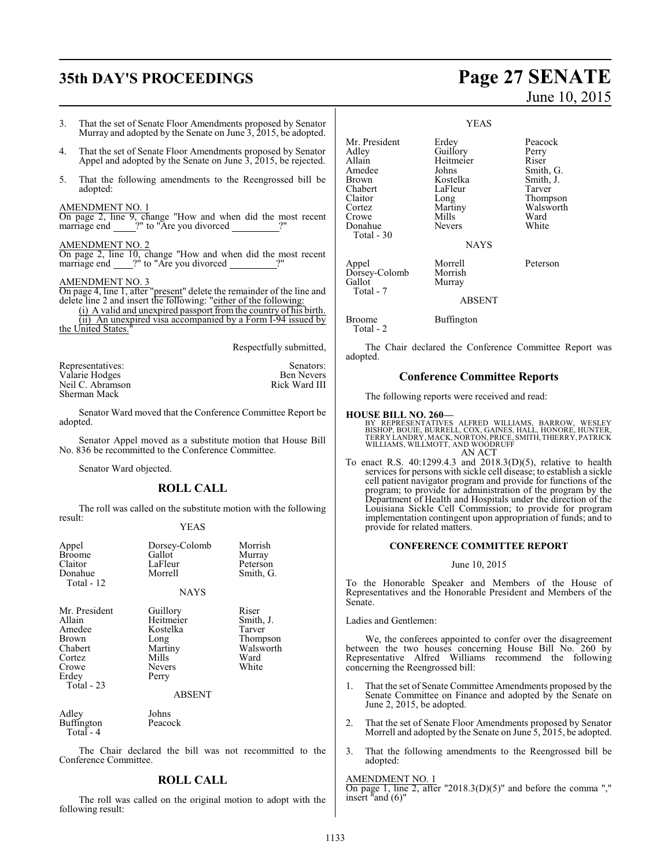# **35th DAY'S PROCEEDINGS Page 27 SENATE**

Donahue Total - 30

- 3. That the set of Senate Floor Amendments proposed by Senator Murray and adopted by the Senate on June 3, 2015, be adopted.
- 4. That the set of Senate Floor Amendments proposed by Senator Appel and adopted by the Senate on June 3, 2015, be rejected.
- 5. That the following amendments to the Reengrossed bill be adopted:

### AMENDMENT NO. 1

On page 2, line 9, change "How and when did the most recent marriage end \_\_\_\_\_?" to "Are you divorced \_\_\_\_\_\_\_\_\_\_\_?"

### AMENDMENT NO. 2

On page 2, line 10, change "How and when did the most recent marriage end  $\frac{?}{''}$  to "Are you divorced

### AMENDMENT NO. 3

On page 4, line 1, after "present" delete the remainder of the line and delete line 2 and insert the following: "either of the following:

(i) A valid and unexpired passport from the country of his birth. (ii) An unexpired visa accompanied by a Form I-94 issued by the United States.

Respectfully submitted,

| Representatives: | Senators:         |
|------------------|-------------------|
| Valarie Hodges   | <b>Ben Nevers</b> |
| Neil C. Abramson | Rick Ward III     |
| Sherman Mack     |                   |

Senator Ward moved that the Conference Committee Report be adopted.

Senator Appel moved as a substitute motion that House Bill No. 836 be recommitted to the Conference Committee.

Senator Ward objected.

### **ROLL CALL**

The roll was called on the substitute motion with the following result:

### YEAS

| Appel<br><b>Broome</b><br>Claitor<br>Donahue<br>Total - 12                                             | Dorsey-Colomb<br>Gallot<br>LaFleur<br>Morrell<br><b>NAYS</b>                            | Morrish<br>Murray<br>Peterson<br>Smith, G.                             |
|--------------------------------------------------------------------------------------------------------|-----------------------------------------------------------------------------------------|------------------------------------------------------------------------|
| Mr. President<br>Allain<br>Amedee<br><b>Brown</b><br>Chabert<br>Cortez<br>Crowe<br>Erdey<br>Total - 23 | Guillory<br>Heitmeier<br>Kostelka<br>Long<br>Martiny<br>Mills<br><b>Nevers</b><br>Perry | Riser<br>Smith, J.<br>Tarver<br>Thompson<br>Walsworth<br>Ward<br>White |
|                                                                                                        | <b>ABSENT</b>                                                                           |                                                                        |
| Adley                                                                                                  | Johns                                                                                   |                                                                        |

Buffington Peacock Total - 4

The Chair declared the bill was not recommitted to the Conference Committee.

### **ROLL CALL**

The roll was called on the original motion to adopt with the following result:

| Adley   | Guillory  | Perry     |
|---------|-----------|-----------|
| Allain  | Heitmeier | Riser     |
| Amedee  | Johns     | Smith, G. |
| Brown   | Kostelka  | Smith, J. |
| Chabert | LaFleur   | Tarver    |
| Claitor | Long      | Thompson  |
| Cortez  | Martiny   | Walsworth |
| Crowe   | Mills     | Ward      |

Crowe Mills Ward<br>
Donahue Nevers White

Mr. President Erdey Peacock<br>Adley Guillory Perry

Appel Morrell Peterson Dorsey-Colomb Morrish<br>Gallot Murray Murray

ABSENT

NAYS

### Broome Buffington

Total - 2

Total - 7

The Chair declared the Conference Committee Report was adopted.

### **Conference Committee Reports**

The following reports were received and read:

### **HOUSE BILL NO. 260—**

BY REPRESENTATIVES ALFRED WILLIAMS, BARROW, WESLEY<br>BISHOP, BOUIE, BURRELL, COX, GAINES, HALL, HONORE, HUNTER,<br>TERRY LANDRY,MACK,NORTON,PRICE,SMITH,THIERRY,PATRICK<br>WILLIAMS,WILLMOTT, AND WOODRUFF AN ACT

To enact R.S. 40:1299.4.3 and 2018.3(D)(5), relative to health services for persons with sickle cell disease; to establish a sickle cell patient navigator program and provide for functions of the program; to provide for administration of the program by the Department of Health and Hospitals under the direction of the Louisiana Sickle Cell Commission; to provide for program implementation contingent upon appropriation of funds; and to provide for related matters.

### **CONFERENCE COMMITTEE REPORT**

June 10, 2015

To the Honorable Speaker and Members of the House of Representatives and the Honorable President and Members of the Senate.

Ladies and Gentlemen:

We, the conferees appointed to confer over the disagreement between the two houses concerning House Bill No. 260 by Representative Alfred Williams recommend the following concerning the Reengrossed bill:

- 1. That the set of Senate Committee Amendments proposed by the Senate Committee on Finance and adopted by the Senate on June 2, 2015, be adopted.
- 2. That the set of Senate Floor Amendments proposed by Senator Morrell and adopted by the Senate on June 5, 2015, be adopted.
- 3. That the following amendments to the Reengrossed bill be adopted:

### AMENDMENT NO. 1

 $\overline{On}$  page 1, line 2, after "2018.3(D)(5)" and before the comma "," insert "and (6)"

# June 10, 2015

YEAS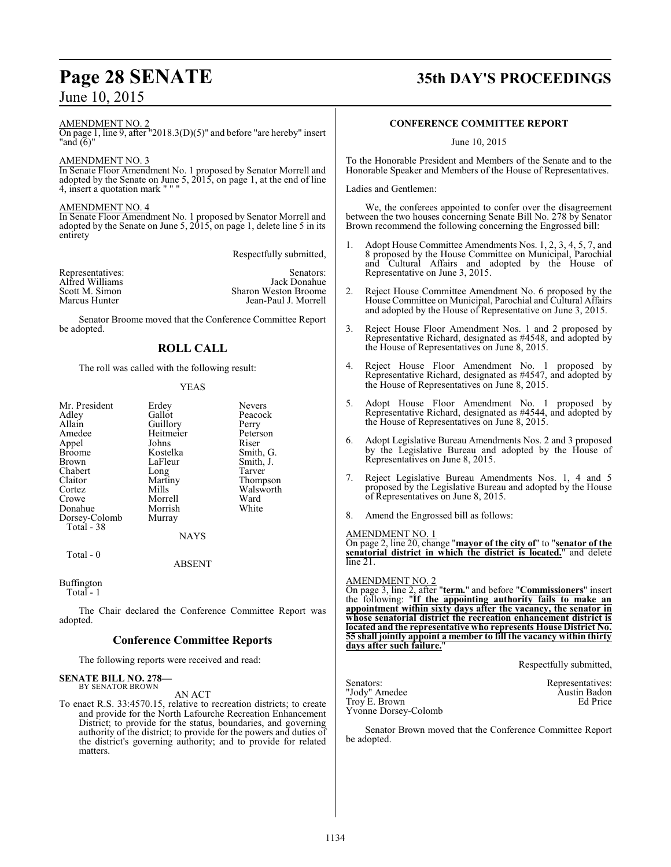### AMENDMENT NO. 2

On page 1, line 9, after "2018.3(D)(5)" and before "are hereby" insert "and (6)"

### AMENDMENT NO. 3

In Senate Floor Amendment No. 1 proposed by Senator Morrell and adopted by the Senate on June 5, 2015, on page 1, at the end of line 4, insert a quotation mark " " "

### AMENDMENT NO. 4

In Senate Floor Amendment No. 1 proposed by Senator Morrell and adopted by the Senate on June 5, 2015, on page 1, delete line 5 in its entirety

Respectfully submitted,

| Representatives: | Senators:                   |
|------------------|-----------------------------|
| Alfred Williams  | Jack Donahue                |
| Scott M. Simon   | <b>Sharon Weston Broome</b> |
| Marcus Hunter    | Jean-Paul J. Morrell        |

Senator Broome moved that the Conference Committee Report be adopted.

### **ROLL CALL**

The roll was called with the following result:

### YEAS

| Mr. President<br>Adley<br>Allain<br>Amedee<br>Appel<br><b>Broome</b><br>Brown<br>Chabert<br>Claitor<br>Cortez<br>Crowe<br>Donahue<br>Dorsey-Colomb | Erdey<br>Gallot<br>Guillory<br>Heitmeier<br>Johns<br>Kostelka<br>LaFleur<br>Long<br>Martiny<br>Mills<br>Morrell<br>Morrish<br>Murray | <b>Nevers</b><br>Peacock<br>Perry<br>Peterson<br>Riser<br>Smith, G.<br>Smith, J.<br>Tarver<br>Thompson<br>Walsworth<br>Ward<br>White |
|----------------------------------------------------------------------------------------------------------------------------------------------------|--------------------------------------------------------------------------------------------------------------------------------------|--------------------------------------------------------------------------------------------------------------------------------------|
| Total - 38                                                                                                                                         | <b>NAYS</b>                                                                                                                          |                                                                                                                                      |
| Total - 0                                                                                                                                          |                                                                                                                                      |                                                                                                                                      |

ABSENT

Buffington

Total - 1

The Chair declared the Conference Committee Report was adopted.

### **Conference Committee Reports**

The following reports were received and read:

### **SENATE BILL NO. 278—** BY SENATOR BROWN

AN ACT

To enact R.S. 33:4570.15, relative to recreation districts; to create and provide for the North Lafourche Recreation Enhancement District; to provide for the status, boundaries, and governing authority of the district; to provide for the powers and duties of the district's governing authority; and to provide for related matters.

# **Page 28 SENATE 35th DAY'S PROCEEDINGS**

### **CONFERENCE COMMITTEE REPORT**

June 10, 2015

To the Honorable President and Members of the Senate and to the Honorable Speaker and Members of the House of Representatives.

Ladies and Gentlemen:

We, the conferees appointed to confer over the disagreement between the two houses concerning Senate Bill No. 278 by Senator Brown recommend the following concerning the Engrossed bill:

- 1. Adopt House Committee Amendments Nos. 1, 2, 3, 4, 5, 7, and 8 proposed by the House Committee on Municipal, Parochial and Cultural Affairs and adopted by the House of Representative on June 3, 2015.
- 2. Reject House Committee Amendment No. 6 proposed by the House Committee on Municipal, Parochial and Cultural Affairs and adopted by the House of Representative on June 3, 2015.
- 3. Reject House Floor Amendment Nos. 1 and 2 proposed by Representative Richard, designated as #4548, and adopted by the House of Representatives on June 8, 2015.
- 4. Reject House Floor Amendment No. 1 proposed by Representative Richard, designated as #4547, and adopted by the House of Representatives on June 8, 2015.
- 5. Adopt House Floor Amendment No. 1 proposed by Representative Richard, designated as #4544, and adopted by the House of Representatives on June 8, 2015.
- 6. Adopt Legislative Bureau Amendments Nos. 2 and 3 proposed by the Legislative Bureau and adopted by the House of Representatives on June 8, 2015.
- 7. Reject Legislative Bureau Amendments Nos. 1, 4 and 5 proposed by the Legislative Bureau and adopted by the House of Representatives on June 8, 2015.
- 8. Amend the Engrossed bill as follows:

### AMENDMENT NO. 1

On page 2, line 20, change "**mayor of the city of**" to "**senator of the senatorial district in which the district is located.**" and delete line 21.

### AMENDMENT NO. 2

On page 3, line 2, after "**term.**" and before "**Commissioners**" insert the following: "**If the appointing authority fails to make an appointment within sixty days after the vacancy, the senator in whose senatorial district the recreation enhancement district is located and the representative who represents House District No. 55 shall jointly appoint a member to fill the vacancy within thirty days after such failure.**"

Respectfully submitted,

Senators: Representatives: "Jody" Amedee Austin Badon" (Austin Badon Troy E. Brown Ed Price Yvonne Dorsey-Colomb

Senator Brown moved that the Conference Committee Report be adopted.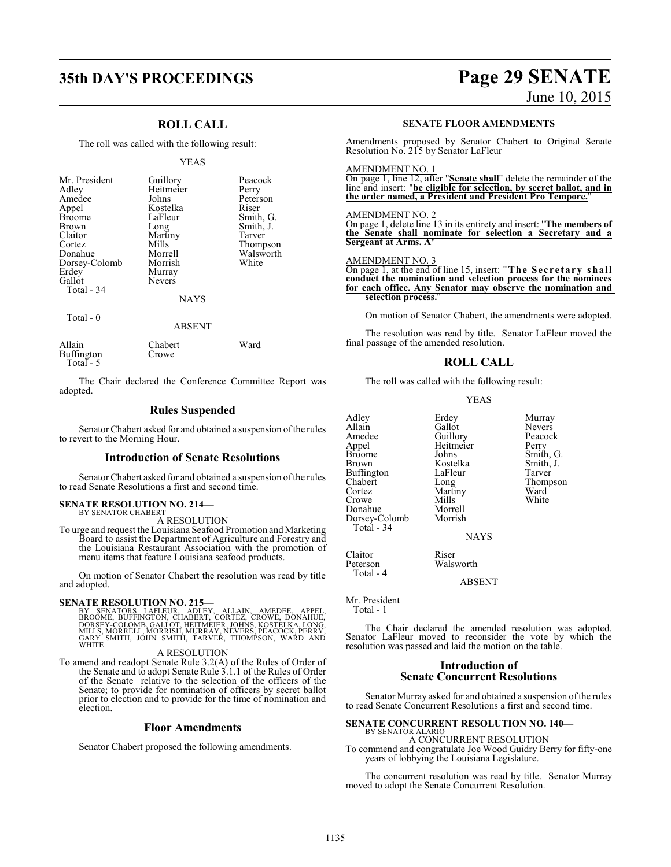# **35th DAY'S PROCEEDINGS Page 29 SENATE**

### June 10, 2015

### **ROLL CALL**

The roll was called with the following result:

### YEAS

| Mr. President<br>Adley<br>Amedee<br>Appel<br><b>Broome</b><br><b>Brown</b><br>Claitor<br>Cortez<br>Donahue<br>Dorsey-Colomb<br>Erdey<br>Gallot<br>Total - 34 | Guillory<br>Heitmeier<br>Johns<br>Kostelka<br>LaFleur<br>Long<br>Martiny<br>Mills<br>Morrell<br>Morrish<br>Murray<br><b>Nevers</b><br><b>NAYS</b> | Peacock<br>Perry<br>Peterson<br>Riser<br>Smith, G.<br>Smith, J.<br>Tarver<br>Thompson<br>Walsworth<br>White |
|--------------------------------------------------------------------------------------------------------------------------------------------------------------|---------------------------------------------------------------------------------------------------------------------------------------------------|-------------------------------------------------------------------------------------------------------------|
|                                                                                                                                                              |                                                                                                                                                   |                                                                                                             |

Total - 0

### ABSENT

| Allain     | Chabert | Ward |
|------------|---------|------|
| Buffington | Crowe   |      |
| Total $-5$ |         |      |

The Chair declared the Conference Committee Report was adopted.

### **Rules Suspended**

Senator Chabert asked for and obtained a suspension of the rules to revert to the Morning Hour.

### **Introduction of Senate Resolutions**

Senator Chabert asked for and obtained a suspension of the rules to read Senate Resolutions a first and second time.

# **SENATE RESOLUTION NO. 214–**<br>BY SENATOR CHABERT

A RESOLUTION

To urge and request the Louisiana Seafood Promotion and Marketing Board to assist the Department of Agriculture and Forestry and the Louisiana Restaurant Association with the promotion of menu items that feature Louisiana seafood products.

On motion of Senator Chabert the resolution was read by title and adopted.

SENATE RESOLUTION NO. 215—<br>BY SENATORS LAFLEUR, ADLEY, ALLAIN, AMEDEE, APPEL, BROOME, BUFFINGTON, CHABERT, CORTEZ, CROWE, DONAHUE,<br>DORSEY-COLOMB, GALLOT, HEITMEIER, JOHNS, KOSTELKA, LONG,<br>MILLS, MORRELL, MORRISH, MURRAY, N

### A RESOLUTION

To amend and readopt Senate Rule 3.2(A) of the Rules of Order of the Senate and to adopt Senate Rule 3.1.1 of the Rules of Order of the Senate relative to the selection of the officers of the Senate; to provide for nomination of officers by secret ballot prior to election and to provide for the time of nomination and election.

### **Floor Amendments**

Senator Chabert proposed the following amendments.

### **SENATE FLOOR AMENDMENTS**

Amendments proposed by Senator Chabert to Original Senate Resolution No. 215 by Senator LaFleur

### AMENDMENT NO. 1

On page 1, line 12, after "**Senate shall**" delete the remainder of the line and insert: "**be eligible for selection, by secret ballot, and in the order named, a President and President Pro Tempore.**"

### AMENDMENT NO. 2

On page 1, delete line 13 in its entirety and insert: "**The members of the Senate shall nominate for selection a Secretary and a Sergeant at Arms. A**"

### AMENDMENT NO. 3

On page 1, at the end of line 15, insert: "**The Se c r e t a r y shall conduct the nomination and selection process for the nominees for each office. Any Senator may observe the nomination and selection process.**"

On motion of Senator Chabert, the amendments were adopted.

The resolution was read by title. Senator LaFleur moved the final passage of the amended resolution.

### **ROLL CALL**

The roll was called with the following result:

### YEAS

Adley Erdey Murray Allain Gallot<br>Amedee Guillory Amedee Guillory Peacock<br>
Appel Heitmeier Perry Appel Heitmeier<br>Broome Johns Broome Johns Smith, G.<br>Broome Johns Smith, G.<br>Brown Kostelka Smith, J. Buffington LaFle<br>Chabert Long Chabert Long Thompson Cortez Martiny<br>Crowe Mills Crowe Mills White<br>Donahue Morrell Donahue Morrell Dorsey-Colomb Morrish Total - 34

Kostelka Smith, J.<br>LaFleur Tarver

NAYS

Claitor Riser<br>Peterson Walsy Walsworth

ABSENT

Mr. President Total - 1

Total - 4

The Chair declared the amended resolution was adopted. Senator LaFleur moved to reconsider the vote by which the resolution was passed and laid the motion on the table.

### **Introduction of Senate Concurrent Resolutions**

Senator Murray asked for and obtained a suspension of the rules to read Senate Concurrent Resolutions a first and second time.

# **SENATE CONCURRENT RESOLUTION NO. 140—** BY SENATOR ALARIO

A CONCURRENT RESOLUTION To commend and congratulate Joe Wood Guidry Berry for fifty-one

years of lobbying the Louisiana Legislature.

The concurrent resolution was read by title. Senator Murray moved to adopt the Senate Concurrent Resolution.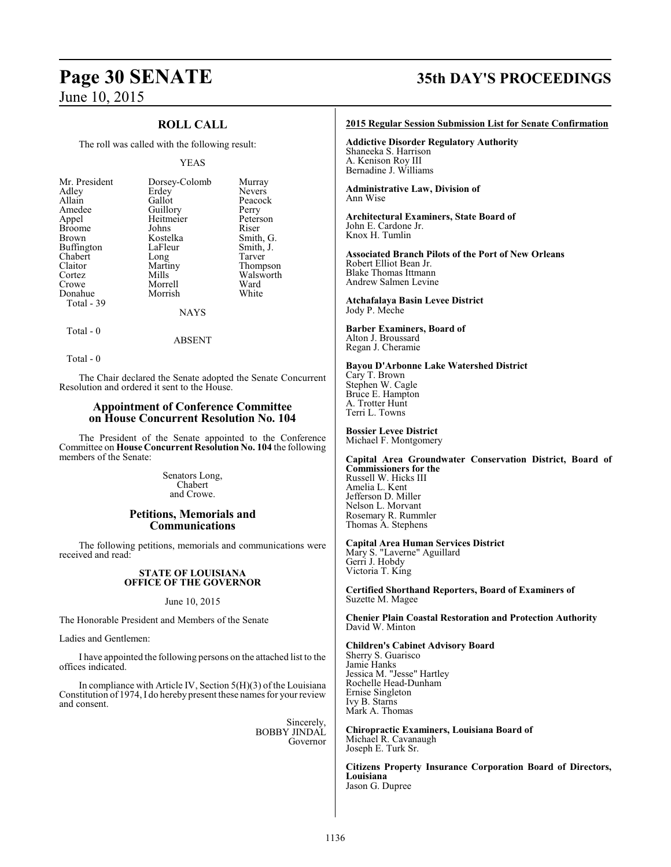### **ROLL CALL**

The roll was called with the following result:

### YEAS

| Mr. President | Dorsey-Colomb | Murray        |
|---------------|---------------|---------------|
| Adley         | Erdey         | <b>Nevers</b> |
| Allain        | Gallot        | Peacock       |
| Amedee        | Guillory      | Perry         |
| Appel         | Heitmeier     | Peterson      |
| <b>Broome</b> | Johns         | Riser         |
| Brown         | Kostelka      | Smith, G.     |
| Buffington    | LaFleur       | Smith, J.     |
| Chabert       | Long          | Tarver        |
| Claitor       | Martiny       | Thompson      |
| Cortez        | Mills         | Walsworth     |
| Crowe         | Morrell       | Ward          |
| Donahue       | Morrish       | White         |
| Total - 39    |               |               |
|               | NAYS          |               |

 $Total - 0$ 

Total - 0

The Chair declared the Senate adopted the Senate Concurrent Resolution and ordered it sent to the House.

ABSENT

### **Appointment of Conference Committee on House Concurrent Resolution No. 104**

The President of the Senate appointed to the Conference Committee on **House Concurrent Resolution No. 104** the following members of the Senate:

> Senators Long, Chabert and Crowe.

### **Petitions, Memorials and Communications**

The following petitions, memorials and communications were received and read:

### **STATE OF LOUISIANA OFFICE OF THE GOVERNOR**

June 10, 2015

The Honorable President and Members of the Senate

Ladies and Gentlemen:

I have appointed the following persons on the attached list to the offices indicated.

In compliance with Article IV, Section 5(H)(3) of the Louisiana Constitution of 1974, I do hereby present these names for your review and consent.

> Sincerely, BOBBY JINDAL Governor

# **Page 30 SENATE 35th DAY'S PROCEEDINGS**

### **2015 Regular Session Submission List for Senate Confirmation**

**Addictive Disorder Regulatory Authority** Shaneeka S. Harrison A. Kenison Roy III Bernadine J. Williams

**Administrative Law, Division of** Ann Wise

### **Architectural Examiners, State Board of** John E. Cardone Jr. Knox H. Tumlin

**Associated Branch Pilots of the Port of New Orleans** Robert Elliot Bean Jr. Blake Thomas Ittmann Andrew Salmen Levine

**Atchafalaya Basin Levee District** Jody P. Meche

### **Barber Examiners, Board of** Alton J. Broussard

Regan J. Cheramie

### **Bayou D'Arbonne Lake Watershed District**

Cary T. Brown Stephen W. Cagle Bruce E. Hampton A. Trotter Hunt Terri L. Towns

**Bossier Levee District** Michael F. Montgomery

**Capital Area Groundwater Conservation District, Board of Commissioners for the** Russell W. Hicks III Amelia L. Kent Jefferson D. Miller Nelson L. Morvant Rosemary R. Rummler Thomas A. Stephens

### **Capital Area Human Services District**

Mary S. "Laverne" Aguillard Gerri J. Hobdy Victoria T. King

**Certified Shorthand Reporters, Board of Examiners of** Suzette M. Magee

**Chenier Plain Coastal Restoration and Protection Authority** David W. Minton

**Children's Cabinet Advisory Board** Sherry S. Guarisco Jamie Hanks Jessica M. "Jesse" Hartley Rochelle Head-Dunham Ernise Singleton Ivy B. Starns Mark A. Thomas

**Chiropractic Examiners, Louisiana Board of** Michael R. Cavanaugh Joseph E. Turk Sr.

**Citizens Property Insurance Corporation Board of Directors, Louisiana** Jason G. Dupree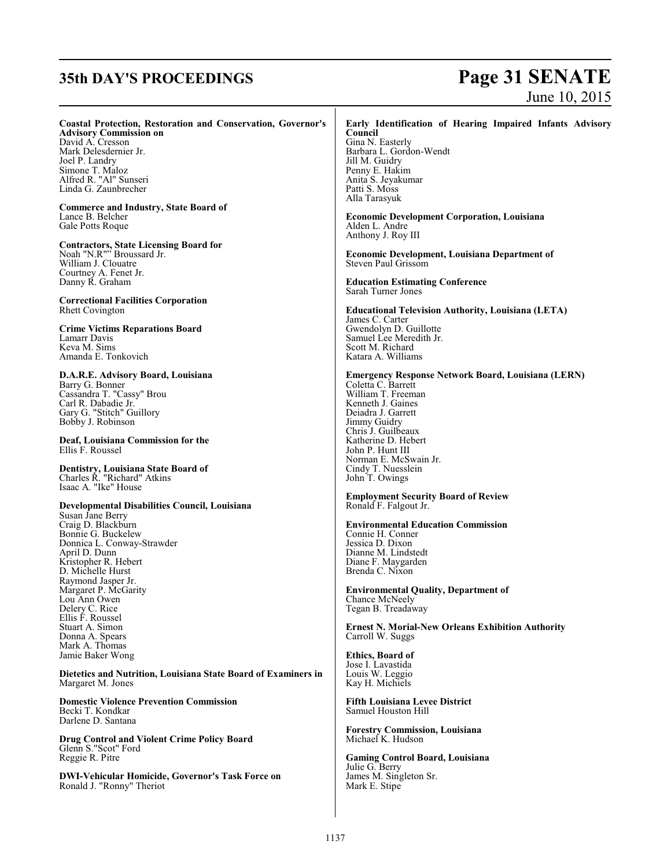# **35th DAY'S PROCEEDINGS Page 31 SENATE** June 10, 2015

### **Coastal Protection, Restoration and Conservation, Governor's**

**Advisory Commission on** David A. Cresson Mark Delesdernier Jr. Joel P. Landry Simone T. Maloz Alfred R. "Al" Sunseri Linda G. Zaunbrecher

**Commerce and Industry, State Board of** Lance B. Belcher Gale Potts Roque

**Contractors, State Licensing Board for** Noah "N.R"" Broussard Jr. William J. Clouatre Courtney A. Fenet Jr. Danny R. Graham

**Correctional Facilities Corporation** Rhett Covington

**Crime Victims Reparations Board** Lamarr Davis Keva M. Sims Amanda E. Tonkovich

**D.A.R.E. Advisory Board, Louisiana** Barry G. Bonner Cassandra T. "Cassy" Brou Carl R. Dabadie Jr. Gary G. "Stitch" Guillory Bobby J. Robinson

**Deaf, Louisiana Commission for the** Ellis F. Roussel

**Dentistry, Louisiana State Board of** Charles R. "Richard" Atkins Isaac A. "Ike" House

### **Developmental Disabilities Council, Louisiana**

Susan Jane Berry Craig D. Blackburn Bonnie G. Buckelew Donnica L. Conway-Strawder April D. Dunn Kristopher R. Hebert D. Michelle Hurst Raymond Jasper Jr. Margaret P. McGarity Lou Ann Owen Delery C. Rice Ellis F. Roussel Stuart A. Simon Donna A. Spears Mark A. Thomas Jamie Baker Wong

**Dietetics and Nutrition, Louisiana State Board of Examiners in** Margaret M. Jones

**Domestic Violence Prevention Commission** Becki T. Kondkar Darlene D. Santana

**Drug Control and Violent Crime Policy Board** Glenn S."Scot" Ford Reggie R. Pitre

**DWI-Vehicular Homicide, Governor's Task Force on** Ronald J. "Ronny" Theriot

### **Early Identification of Hearing Impaired Infants Advisory Council**

Gina N. Easterly Barbara L. Gordon-Wendt Jill M. Guidry Penny E. Hakim Anita S. Jeyakumar Patti S. Moss Alla Tarasyuk

**Economic Development Corporation, Louisiana** Alden L. Andre Anthony J. Roy III

**Economic Development, Louisiana Department of** Steven Paul Grissom

**Education Estimating Conference** Sarah Turner Jones

**Educational Television Authority, Louisiana (LETA)** James C. Carter Gwendolyn D. Guillotte Samuel Lee Meredith Jr. Scott M. Richard Katara A. Williams

**Emergency Response Network Board, Louisiana (LERN)** Coletta C. Barrett

William T. Freeman Kenneth J. Gaines Deiadra J. Garrett Jimmy Guidry Chris J. Guilbeaux Katherine D. Hebert John P. Hunt III Norman E. McSwain Jr. Cindy T. Nuesslein John T. Owings

**Employment Security Board of Review** Ronald F. Falgout Jr.

**Environmental Education Commission** Connie H. Conner Jessica D. Dixon Dianne M. Lindstedt Diane F. Maygarden Brenda C. Nixon

**Environmental Quality, Department of** Chance McNeely Tegan B. Treadaway

**Ernest N. Morial-New Orleans Exhibition Authority** Carroll W. Suggs

**Ethics, Board of** Jose I. Lavastida Louis W. Leggio Kay H. Michiels

**Fifth Louisiana Levee District** Samuel Houston Hill

**Forestry Commission, Louisiana** Michael K. Hudson

**Gaming Control Board, Louisiana** Julie G. Berry James M. Singleton Sr. Mark E. Stipe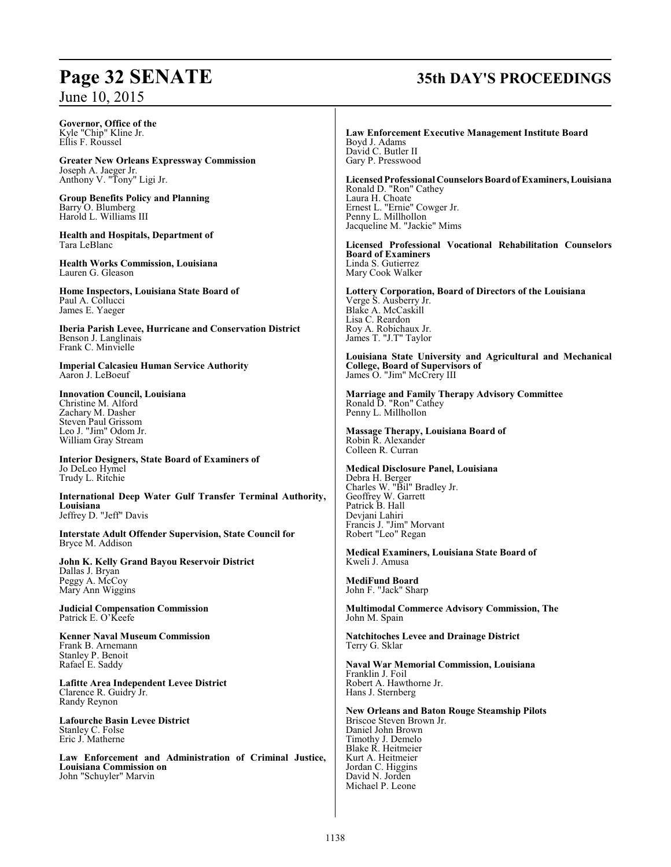**Governor, Office of the** Kyle "Chip" Kline Jr. Ellis F. Roussel

**Greater New Orleans Expressway Commission** Joseph A. Jaeger Jr. Anthony V. "Tony" Ligi Jr.

**Group Benefits Policy and Planning** Barry O. Blumberg Harold L. Williams III

**Health and Hospitals, Department of** Tara LeBlanc

**Health Works Commission, Louisiana** Lauren G. Gleason

**Home Inspectors, Louisiana State Board of** Paul A. Collucci James E. Yaeger

**Iberia Parish Levee, Hurricane and Conservation District** Benson J. Langlinais Frank C. Minvielle

**Imperial Calcasieu Human Service Authority** Aaron J. LeBoeuf

**Innovation Council, Louisiana** Christine M. Alford Zachary M. Dasher Steven Paul Grissom Leo J. "Jim" Odom Jr. William Gray Stream

**Interior Designers, State Board of Examiners of**  Jo DeLeo Hymel Trudy L. Ritchie

**International Deep Water Gulf Transfer Terminal Authority, Louisiana** Jeffrey D. "Jeff" Davis

**Interstate Adult Offender Supervision, State Council for** Bryce M. Addison

**John K. Kelly Grand Bayou Reservoir District** Dallas J. Bryan Peggy A. McCoy Mary Ann Wiggins

**Judicial Compensation Commission** Patrick E. O'Keefe

**Kenner Naval Museum Commission** Frank B. Arnemann Stanley P. Benoit Rafael E. Saddy

**Lafitte Area Independent Levee District** Clarence R. Guidry Jr. Randy Reynon

**Lafourche Basin Levee District** Stanley C. Folse Eric J. Matherne

**Law Enforcement and Administration of Criminal Justice, Louisiana Commission on** John "Schuyler" Marvin

# **Page 32 SENATE 35th DAY'S PROCEEDINGS**

**Law Enforcement Executive Management Institute Board** Boyd J. Adams David C. Butler II Gary P. Presswood

**LicensedProfessional Counselors Boardof Examiners, Louisiana** Ronald D. "Ron" Cathey Laura H. Choate Ernest L. "Ernie" Cowger Jr. Penny L. Millhollon Jacqueline M. "Jackie" Mims

**Licensed Professional Vocational Rehabilitation Counselors Board of Examiners** Linda S. Gutierrez Mary Cook Walker

**Lottery Corporation, Board of Directors of the Louisiana** Verge S. Ausberry Jr. Blake A. McCaskill Lisa C. Reardon Roy A. Robichaux Jr. James T. "J.T" Taylor

**Louisiana State University and Agricultural and Mechanical College, Board of Supervisors of** James O. "Jim" McCrery III

**Marriage and Family Therapy Advisory Committee** Ronald D. "Ron" Cathey Penny L. Millhollon

**Massage Therapy, Louisiana Board of** Robin R. Alexander Colleen R. Curran

**Medical Disclosure Panel, Louisiana** Debra H. Berger Charles W. "Bil" Bradley Jr. Geoffrey W. Garrett Patrick B. Hall Devjani Lahiri Francis J. "Jim" Morvant Robert "Leo" Regan

**Medical Examiners, Louisiana State Board of** Kweli J. Amusa

**MediFund Board** John F. "Jack" Sharp

**Multimodal Commerce Advisory Commission, The** John M. Spain

**Natchitoches Levee and Drainage District** Terry G. Sklar

**Naval War Memorial Commission, Louisiana** Franklin J. Foil Robert A. Hawthorne Jr. Hans J. Sternberg

**New Orleans and Baton Rouge Steamship Pilots** Briscoe Steven Brown Jr. Daniel John Brown Timothy J. Demelo Blake R. Heitmeier Kurt A. Heitmeier Jordan C. Higgins David N. Jorden Michael P. Leone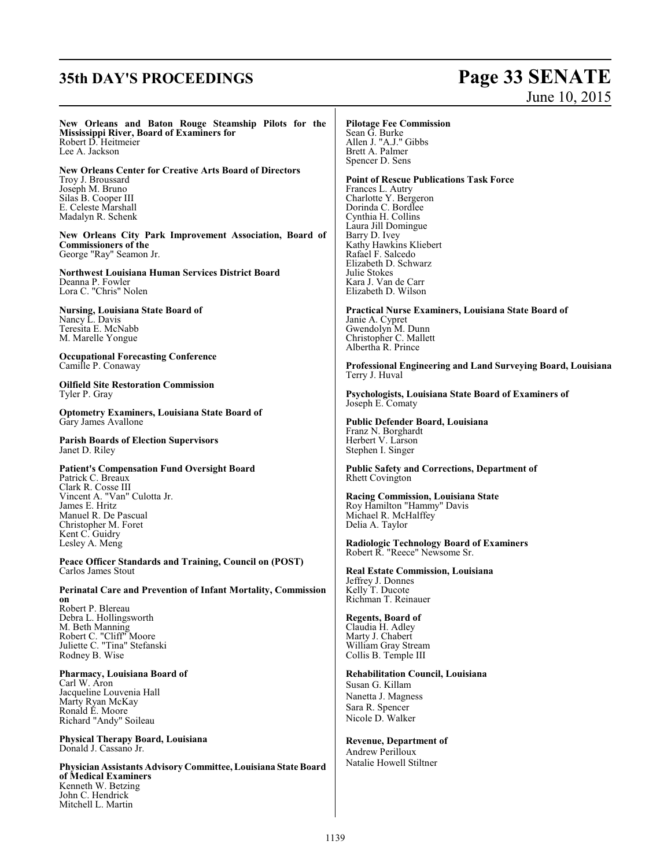# **35th DAY'S PROCEEDINGS Page 33 SENATE**

# June 10, 2015

**New Orleans and Baton Rouge Steamship Pilots for the Mississippi River, Board of Examiners for** Robert D. Heitmeier Lee A. Jackson

**New Orleans Center for Creative Arts Board of Directors** Troy J. Broussard Joseph M. Bruno Silas B. Cooper III E. Celeste Marshall Madalyn R. Schenk

**New Orleans City Park Improvement Association, Board of Commissioners of the** George "Ray" Seamon Jr.

**Northwest Louisiana Human Services District Board** Deanna P. Fowler Lora C. "Chris" Nolen

**Nursing, Louisiana State Board of** Nancy L. Davis Teresita E. McNabb M. Marelle Yongue

**Occupational Forecasting Conference** Camille P. Conaway

**Oilfield Site Restoration Commission** Tyler P. Gray

**Optometry Examiners, Louisiana State Board of** Gary James Avallone

**Parish Boards of Election Supervisors** Janet D. Riley

**Patient's Compensation Fund Oversight Board** Patrick C. Breaux Clark R. Cosse III Vincent A. "Van" Culotta Jr. James E. Hritz Manuel R. De Pascual Christopher M. Foret Kent C. Guidry

**Peace Officer Standards and Training, Council on (POST)** Carlos James Stout

**Perinatal Care and Prevention of Infant Mortality, Commission on** Robert P. Blereau

Debra L. Hollingsworth M. Beth Manning Robert C. "Cliff" Moore Juliette C. "Tina" Stefanski Rodney B. Wise

Lesley A. Meng

**Pharmacy, Louisiana Board of** Carl W. Aron Jacqueline Louvenia Hall Marty Ryan McKay Ronald E. Moore Richard "Andy" Soileau

**Physical Therapy Board, Louisiana** Donald J. Cassano Jr.

**Physician Assistants Advisory Committee, Louisiana State Board of Medical Examiners** Kenneth W. Betzing John C. Hendrick Mitchell L. Martin

### **Pilotage Fee Commission**

Sean G. Burke Allen J. "A.J." Gibbs Brett A. Palmer Spencer D. Sens

Julie Stokes

**Point of Rescue Publications Task Force** Frances L. Autry Charlotte Y. Bergeron Dorinda C. Bordlee Cynthia H. Collins Laura Jill Domingue Barry D. Ivey Kathy Hawkins Kliebert Rafael F. Salcedo Elizabeth D. Schwarz

Kara J. Van de Carr Elizabeth D. Wilson **Practical Nurse Examiners, Louisiana State Board of** Janie A. Cypret Gwendolyn M. Dunn Christopher C. Mallett Albertha R. Prince

**Professional Engineering and Land Surveying Board, Louisiana** Terry J. Huval

**Psychologists, Louisiana State Board of Examiners of** Joseph E. Comaty

**Public Defender Board, Louisiana** Franz N. Borghardt Herbert V. Larson Stephen I. Singer

**Public Safety and Corrections, Department of** Rhett Covington

**Racing Commission, Louisiana State** Roy Hamilton "Hammy" Davis Michael R. McHalffey Delia A. Taylor

**Radiologic Technology Board of Examiners** Robert R. "Reece" Newsome Sr.

**Real Estate Commission, Louisiana** Jeffrey J. Donnes Kelly T. Ducote Richman T. Reinauer

### **Regents, Board of**

Claudia H. Adley Marty J. Chabert William Gray Stream Collis B. Temple III

### **Rehabilitation Council, Louisiana**

Susan G. Killam Nanetta J. Magness Sara R. Spencer Nicole D. Walker

### **Revenue, Department of**

Andrew Perilloux Natalie Howell Stiltner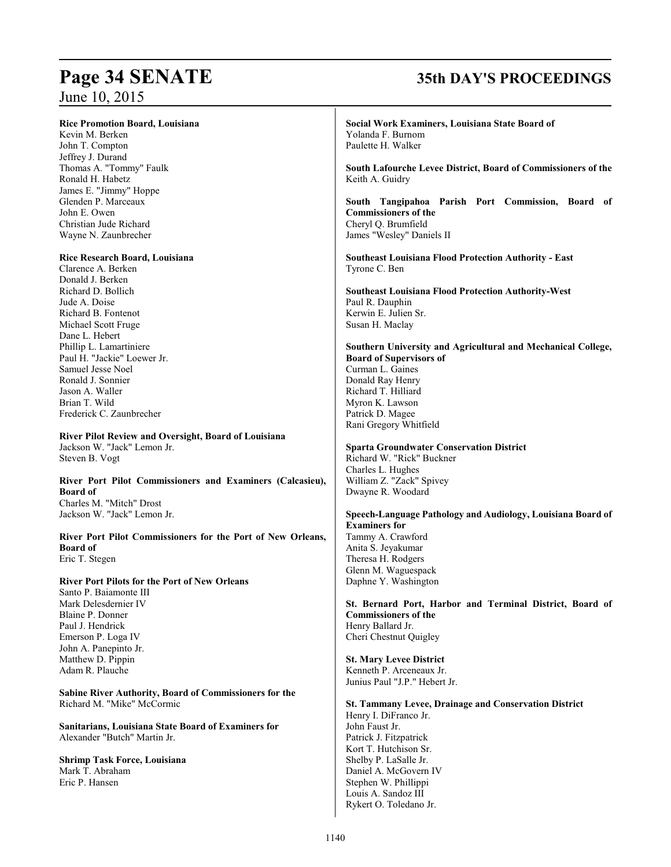### **Rice Promotion Board, Louisiana**

Kevin M. Berken John T. Compton Jeffrey J. Durand Thomas A. "Tommy" Faulk Ronald H. Habetz James E. "Jimmy" Hoppe Glenden P. Marceaux John E. Owen Christian Jude Richard Wayne N. Zaunbrecher

### **Rice Research Board, Louisiana**

Clarence A. Berken Donald J. Berken Richard D. Bollich Jude A. Doise Richard B. Fontenot Michael Scott Fruge Dane L. Hebert Phillip L. Lamartiniere Paul H. "Jackie" Loewer Jr. Samuel Jesse Noel Ronald J. Sonnier Jason A. Waller Brian T. Wild Frederick C. Zaunbrecher

**River Pilot Review and Oversight, Board of Louisiana** Jackson W. "Jack" Lemon Jr. Steven B. Vogt

**River Port Pilot Commissioners and Examiners (Calcasieu), Board of**  Charles M. "Mitch" Drost Jackson W. "Jack" Lemon Jr.

**River Port Pilot Commissioners for the Port of New Orleans, Board of** Eric T. Stegen

### **River Port Pilots for the Port of New Orleans**

Santo P. Baiamonte III Mark Delesdernier IV Blaine P. Donner Paul J. Hendrick Emerson P. Loga IV John A. Panepinto Jr. Matthew D. Pippin Adam R. Plauche

**Sabine River Authority, Board of Commissioners for the** Richard M. "Mike" McCormic

**Sanitarians, Louisiana State Board of Examiners for** Alexander "Butch" Martin Jr.

**Shrimp Task Force, Louisiana** Mark T. Abraham Eric P. Hansen

# **Page 34 SENATE 35th DAY'S PROCEEDINGS**

**Social Work Examiners, Louisiana State Board of**  Yolanda F. Burnom Paulette H. Walker

**South Lafourche Levee District, Board of Commissioners of the**  Keith A. Guidry

**South Tangipahoa Parish Port Commission, Board of Commissioners of the** Cheryl Q. Brumfield James "Wesley" Daniels II

**Southeast Louisiana Flood Protection Authority - East** Tyrone C. Ben

**Southeast Louisiana Flood Protection Authority-West** Paul R. Dauphin Kerwin E. Julien Sr. Susan H. Maclay

**Southern University and Agricultural and Mechanical College, Board of Supervisors of** Curman L. Gaines Donald Ray Henry Richard T. Hilliard Myron K. Lawson Patrick D. Magee Rani Gregory Whitfield

### **Sparta Groundwater Conservation District**

Richard W. "Rick" Buckner Charles L. Hughes William Z. "Zack" Spivey Dwayne R. Woodard

### **Speech-Language Pathology and Audiology, Louisiana Board of Examiners for** Tammy A. Crawford Anita S. Jeyakumar

Theresa H. Rodgers Glenn M. Waguespack Daphne Y. Washington

**St. Bernard Port, Harbor and Terminal District, Board of Commissioners of the** Henry Ballard Jr. Cheri Chestnut Quigley

### **St. Mary Levee District**

Kenneth P. Arceneaux Jr. Junius Paul "J.P." Hebert Jr.

**St. Tammany Levee, Drainage and Conservation District** Henry I. DiFranco Jr. John Faust Jr. Patrick J. Fitzpatrick Kort T. Hutchison Sr. Shelby P. LaSalle Jr. Daniel A. McGovern IV Stephen W. Phillippi Louis A. Sandoz III Rykert O. Toledano Jr.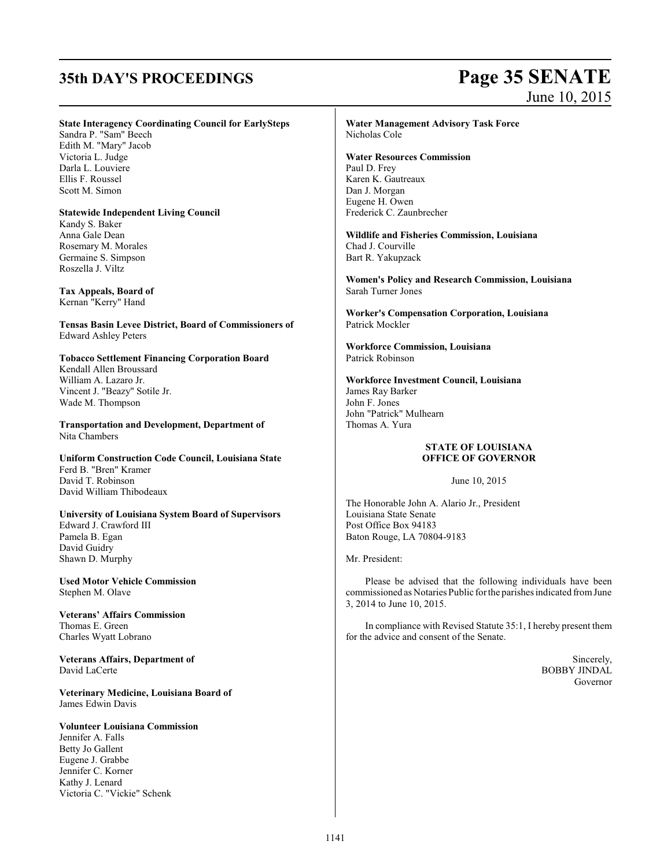# **35th DAY'S PROCEEDINGS Page 35 SENATE**

# June 10, 2015

### **State Interagency Coordinating Council for EarlySteps**

Sandra P. "Sam" Beech Edith M. "Mary" Jacob Victoria L. Judge Darla L. Louviere Ellis F. Roussel Scott M. Simon

### **Statewide Independent Living Council**

Kandy S. Baker Anna Gale Dean Rosemary M. Morales Germaine S. Simpson Roszella J. Viltz

**Tax Appeals, Board of** Kernan "Kerry" Hand

**Tensas Basin Levee District, Board of Commissioners of** Edward Ashley Peters

### **Tobacco Settlement Financing Corporation Board**

Kendall Allen Broussard William A. Lazaro Jr. Vincent J. "Beazy" Sotile Jr. Wade M. Thompson

**Transportation and Development, Department of** Nita Chambers

**Uniform Construction Code Council, Louisiana State** Ferd B. "Bren" Kramer David T. Robinson David William Thibodeaux

### **University of Louisiana System Board of Supervisors** Edward J. Crawford III Pamela B. Egan David Guidry Shawn D. Murphy

**Used Motor Vehicle Commission** Stephen M. Olave

**Veterans' Affairs Commission** Thomas E. Green Charles Wyatt Lobrano

**Veterans Affairs, Department of** David LaCerte

**Veterinary Medicine, Louisiana Board of**  James Edwin Davis

### **Volunteer Louisiana Commission** Jennifer A. Falls Betty Jo Gallent Eugene J. Grabbe Jennifer C. Korner Kathy J. Lenard Victoria C. "Vickie" Schenk

### **Water Management Advisory Task Force** Nicholas Cole

### **Water Resources Commission**

Paul D. Frey Karen K. Gautreaux Dan J. Morgan Eugene H. Owen Frederick C. Zaunbrecher

**Wildlife and Fisheries Commission, Louisiana** Chad J. Courville Bart R. Yakupzack

**Women's Policy and Research Commission, Louisiana** Sarah Turner Jones

**Worker's Compensation Corporation, Louisiana** Patrick Mockler

**Workforce Commission, Louisiana** Patrick Robinson

**Workforce Investment Council, Louisiana** James Ray Barker John F. Jones John "Patrick" Mulhearn Thomas A. Yura

### **STATE OF LOUISIANA OFFICE OF GOVERNOR**

June 10, 2015

The Honorable John A. Alario Jr., President Louisiana State Senate Post Office Box 94183 Baton Rouge, LA 70804-9183

Mr. President:

Please be advised that the following individuals have been commissioned as Notaries Public forthe parishes indicated fromJune 3, 2014 to June 10, 2015.

In compliance with Revised Statute 35:1, I hereby present them for the advice and consent of the Senate.

> Sincerely, BOBBY JINDAL Governor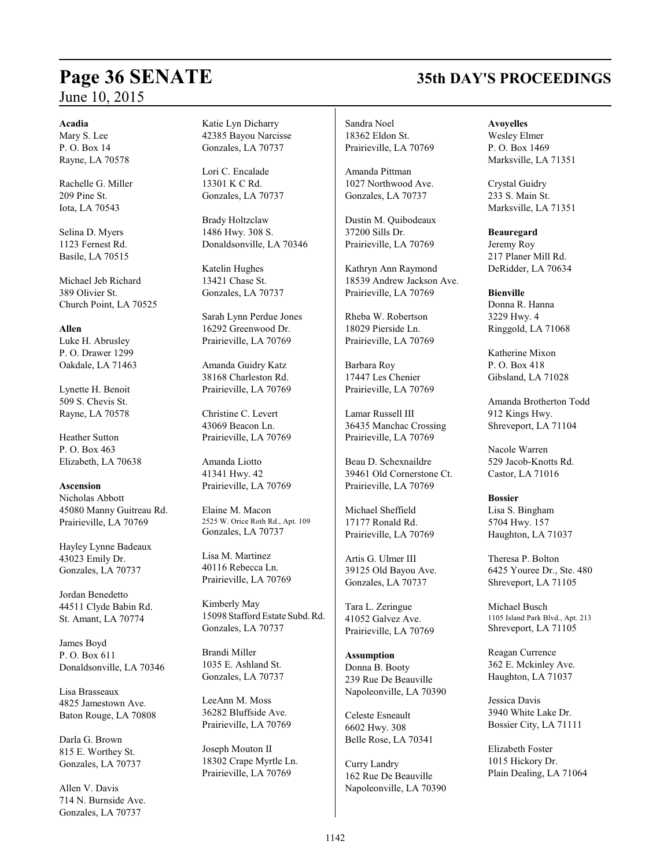# **Page 36 SENATE 35th DAY'S PROCEEDINGS** June 10, 2015

### **Acadia**

Mary S. Lee P. O. Box 14 Rayne, LA 70578

Rachelle G. Miller 209 Pine St. Iota, LA 70543

Selina D. Myers 1123 Fernest Rd. Basile, LA 70515

Michael Jeb Richard 389 Olivier St. Church Point, LA 70525

**Allen** Luke H. Abrusley P. O. Drawer 1299 Oakdale, LA 71463

Lynette H. Benoit 509 S. Chevis St. Rayne, LA 70578

Heather Sutton P. O. Box 463 Elizabeth, LA 70638

**Ascension** Nicholas Abbott 45080 Manny Guitreau Rd. Prairieville, LA 70769

Hayley Lynne Badeaux 43023 Emily Dr. Gonzales, LA 70737

Jordan Benedetto 44511 Clyde Babin Rd. St. Amant, LA 70774

James Boyd P. O. Box 611 Donaldsonville, LA 70346

Lisa Brasseaux 4825 Jamestown Ave. Baton Rouge, LA 70808

Darla G. Brown 815 E. Worthey St. Gonzales, LA 70737

Allen V. Davis 714 N. Burnside Ave. Gonzales, LA 70737

Katie Lyn Dicharry 42385 Bayou Narcisse Gonzales, LA 70737

Lori C. Encalade 13301 K C Rd. Gonzales, LA 70737

Brady Holtzclaw 1486 Hwy. 308 S. Donaldsonville, LA 70346

Katelin Hughes 13421 Chase St. Gonzales, LA 70737

Sarah Lynn Perdue Jones 16292 Greenwood Dr. Prairieville, LA 70769

Amanda Guidry Katz 38168 Charleston Rd. Prairieville, LA 70769

Christine C. Levert 43069 Beacon Ln. Prairieville, LA 70769

Amanda Liotto 41341 Hwy. 42 Prairieville, LA 70769

Elaine M. Macon 2525 W. Orice Roth Rd., Apt. 109 Gonzales, LA 70737

Lisa M. Martinez 40116 Rebecca Ln. Prairieville, LA 70769

Kimberly May 15098 Stafford Estate Subd.Rd. Gonzales, LA 70737

Brandi Miller 1035 E. Ashland St. Gonzales, LA 70737

LeeAnn M. Moss 36282 Bluffside Ave. Prairieville, LA 70769

Joseph Mouton II 18302 Crape Myrtle Ln. Prairieville, LA 70769

Sandra Noel 18362 Eldon St. Prairieville, LA 70769

Amanda Pittman 1027 Northwood Ave. Gonzales, LA 70737

Dustin M. Quibodeaux 37200 Sills Dr. Prairieville, LA 70769

Kathryn Ann Raymond 18539 Andrew Jackson Ave. Prairieville, LA 70769

Rheba W. Robertson 18029 Pierside Ln. Prairieville, LA 70769

Barbara Roy 17447 Les Chenier Prairieville, LA 70769

Lamar Russell III 36435 Manchac Crossing Prairieville, LA 70769

Beau D. Schexnaildre 39461 Old Cornerstone Ct. Prairieville, LA 70769

Michael Sheffield 17177 Ronald Rd. Prairieville, LA 70769

Artis G. Ulmer III 39125 Old Bayou Ave. Gonzales, LA 70737

Tara L. Zeringue 41052 Galvez Ave. Prairieville, LA 70769

**Assumption** Donna B. Booty 239 Rue De Beauville Napoleonville, LA 70390

Celeste Esneault 6602 Hwy. 308 Belle Rose, LA 70341

Curry Landry 162 Rue De Beauville Napoleonville, LA 70390

**Avoyelles** Wesley Elmer P. O. Box 1469 Marksville, LA 71351

Crystal Guidry 233 S. Main St. Marksville, LA 71351

**Beauregard** Jeremy Roy 217 Planer Mill Rd. DeRidder, LA 70634

**Bienville** Donna R. Hanna 3229 Hwy. 4 Ringgold, LA 71068

Katherine Mixon  $P$   $\Omega$  Rox 418 Gibsland, LA 71028

Amanda Brotherton Todd 912 Kings Hwy. Shreveport, LA 71104

Nacole Warren 529 Jacob-Knotts Rd. Castor, LA 71016

**Bossier** Lisa S. Bingham 5704 Hwy. 157 Haughton, LA 71037

Theresa P. Bolton 6425 Youree Dr., Ste. 480 Shreveport, LA 71105

Michael Busch 1105 Island Park Blvd., Apt. 213 Shreveport, LA 71105

Reagan Currence 362 E. Mckinley Ave. Haughton, LA 71037

Jessica Davis 3940 White Lake Dr. Bossier City, LA 71111

Elizabeth Foster 1015 Hickory Dr. Plain Dealing, LA 71064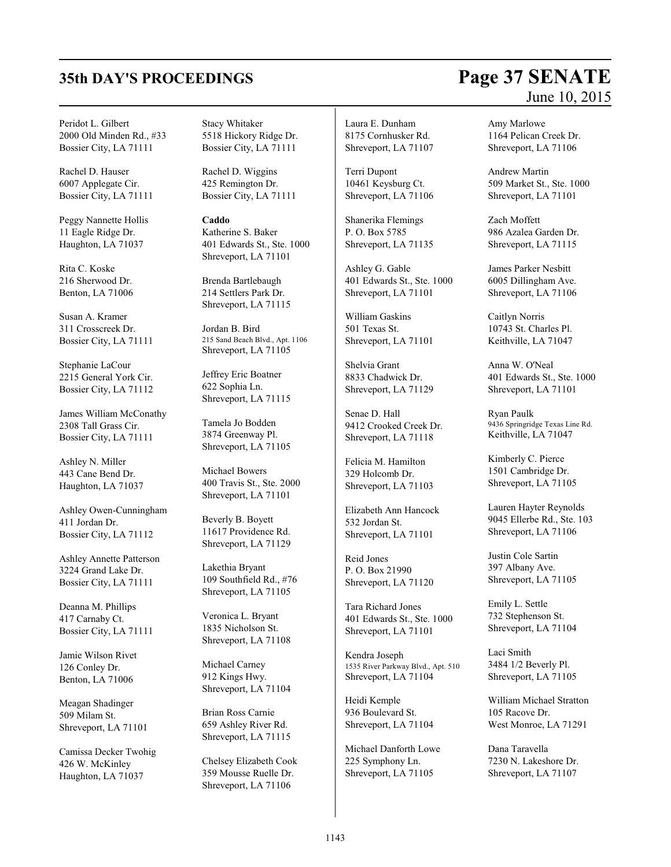Peridot L. Gilbert 2000 Old Minden Rd., #33 Bossier City, LA 71111

Rachel D. Hauser 6007 Applegate Cir. Bossier City, LA 71111

Peggy Nannette Hollis 11 Eagle Ridge Dr. Haughton, LA 71037

Rita C. Koske 216 Sherwood Dr. Benton, LA 71006

Susan A. Kramer 311 Crosscreek Dr. Bossier City, LA 71111

Stephanie LaCour 2215 General York Cir. Bossier City, LA 71112

James William McConathy 2308 Tall Grass Cir. Bossier City, LA 71111

Ashley N. Miller 443 Cane Bend Dr. Haughton, LA 71037

Ashley Owen-Cunningham 411 Jordan Dr. Bossier City, LA 71112

Ashley Annette Patterson 3224 Grand Lake Dr. Bossier City, LA 71111

Deanna M. Phillips 417 Carnaby Ct. Bossier City, LA 71111

Jamie Wilson Rivet 126 Conley Dr. Benton, LA 71006

Meagan Shadinger 509 Milam St. Shreveport, LA 71101

Camissa Decker Twohig 426 W. McKinley Haughton, LA 71037

Stacy Whitaker 5518 Hickory Ridge Dr. Bossier City, LA 71111

Rachel D. Wiggins 425 Remington Dr. Bossier City, LA 71111

**Caddo** Katherine S. Baker 401 Edwards St., Ste. 1000 Shreveport, LA 71101

Brenda Bartlebaugh 214 Settlers Park Dr. Shreveport, LA 71115

Jordan B. Bird 215 Sand Beach Blvd., Apt. 1106 Shreveport, LA 71105

Jeffrey Eric Boatner 622 Sophia Ln. Shreveport, LA 71115

Tamela Jo Bodden 3874 Greenway Pl. Shreveport, LA 71105

Michael Bowers 400 Travis St., Ste. 2000 Shreveport, LA 71101

Beverly B. Boyett 11617 Providence Rd. Shreveport, LA 71129

Lakethia Bryant 109 Southfield Rd., #76 Shreveport, LA 71105

Veronica L. Bryant 1835 Nicholson St. Shreveport, LA 71108

Michael Carney 912 Kings Hwy. Shreveport, LA 71104

Brian Ross Carnie 659 Ashley River Rd. Shreveport, LA 71115

Chelsey Elizabeth Cook 359 Mousse Ruelle Dr. Shreveport, LA 71106

Laura E. Dunham 8175 Cornhusker Rd. Shreveport, LA 71107

Terri Dupont 10461 Keysburg Ct. Shreveport, LA 71106

Shanerika Flemings P. O. Box 5785 Shreveport, LA 71135

Ashley G. Gable 401 Edwards St., Ste. 1000 Shreveport, LA 71101

William Gaskins 501 Texas St. Shreveport, LA 71101

Shelvia Grant 8833 Chadwick Dr. Shreveport, LA 71129

Senae D. Hall 9412 Crooked Creek Dr. Shreveport, LA 71118

Felicia M. Hamilton 329 Holcomb Dr. Shreveport, LA 71103

Elizabeth Ann Hancock 532 Jordan St. Shreveport, LA 71101

Reid Jones P. O. Box 21990 Shreveport, LA 71120

Tara Richard Jones 401 Edwards St., Ste. 1000 Shreveport, LA 71101

Kendra Joseph 1535 River Parkway Blvd., Apt. 510 Shreveport, LA 71104

Heidi Kemple 936 Boulevard St. Shreveport, LA 71104

Michael Danforth Lowe 225 Symphony Ln. Shreveport, LA 71105

# **35th DAY'S PROCEEDINGS Page 37 SENATE** June 10, 2015

Amy Marlowe 1164 Pelican Creek Dr. Shreveport, LA 71106

Andrew Martin 509 Market St., Ste. 1000 Shreveport, LA 71101

Zach Moffett 986 Azalea Garden Dr. Shreveport, LA 71115

James Parker Nesbitt 6005 Dillingham Ave. Shreveport, LA 71106

Caitlyn Norris 10743 St. Charles Pl. Keithville, LA 71047

Anna W. O'Neal 401 Edwards St., Ste. 1000 Shreveport, LA 71101

Ryan Paulk 9436 Springridge Texas Line Rd. Keithville, LA 71047

Kimberly C. Pierce 1501 Cambridge Dr. Shreveport, LA 71105

Lauren Hayter Reynolds 9045 Ellerbe Rd., Ste. 103 Shreveport, LA 71106

Justin Cole Sartin 397 Albany Ave. Shreveport, LA 71105

Emily L. Settle 732 Stephenson St. Shreveport, LA 71104

Laci Smith 3484 1/2 Beverly Pl. Shreveport, LA 71105

William Michael Stratton 105 Racove Dr. West Monroe, LA 71291

Dana Taravella 7230 N. Lakeshore Dr. Shreveport, LA 71107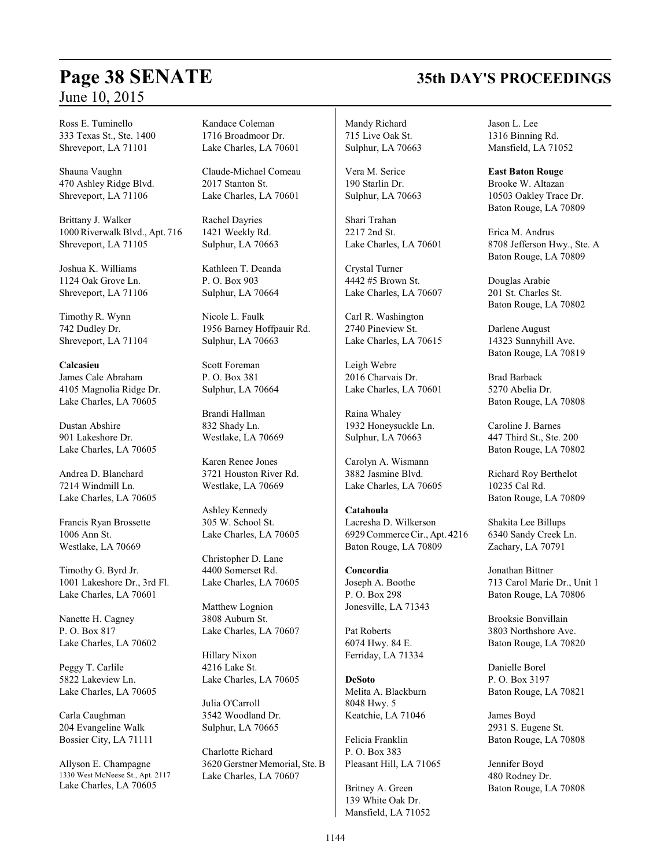# **Page 38 SENATE 35th DAY'S PROCEEDINGS**

Ross E. Tuminello 333 Texas St., Ste. 1400 Shreveport, LA 71101

Shauna Vaughn 470 Ashley Ridge Blvd. Shreveport, LA 71106

Brittany J. Walker 1000RiverwalkBlvd., Apt. 716 Shreveport, LA 71105

Joshua K. Williams 1124 Oak Grove Ln. Shreveport, LA 71106

Timothy R. Wynn 742 Dudley Dr. Shreveport, LA 71104

**Calcasieu** James Cale Abraham 4105 Magnolia Ridge Dr. Lake Charles, LA 70605

Dustan Abshire 901 Lakeshore Dr. Lake Charles, LA 70605

Andrea D. Blanchard 7214 Windmill Ln. Lake Charles, LA 70605

Francis Ryan Brossette 1006 Ann St. Westlake, LA 70669

Timothy G. Byrd Jr. 1001 Lakeshore Dr., 3rd Fl. Lake Charles, LA 70601

Nanette H. Cagney P. O. Box 817 Lake Charles, LA 70602

Peggy T. Carlile 5822 Lakeview Ln. Lake Charles, LA 70605

Carla Caughman 204 Evangeline Walk Bossier City, LA 71111

Allyson E. Champagne 1330 West McNeese St., Apt. 2117 Lake Charles, LA 70605

Kandace Coleman 1716 Broadmoor Dr. Lake Charles, LA 70601

Claude-Michael Comeau 2017 Stanton St. Lake Charles, LA 70601

Rachel Dayries 1421 Weekly Rd. Sulphur, LA 70663

Kathleen T. Deanda P. O. Box 903 Sulphur, LA 70664

Nicole L. Faulk 1956 Barney Hoffpauir Rd. Sulphur, LA 70663

Scott Foreman P. O. Box 381 Sulphur, LA 70664

Brandi Hallman 832 Shady Ln. Westlake, LA 70669

Karen Renee Jones 3721 Houston River Rd. Westlake, LA 70669

Ashley Kennedy 305 W. School St. Lake Charles, LA 70605

Christopher D. Lane 4400 Somerset Rd. Lake Charles, LA 70605

Matthew Lognion 3808 Auburn St. Lake Charles, LA 70607

Hillary Nixon 4216 Lake St. Lake Charles, LA 70605

Julia O'Carroll 3542 Woodland Dr. Sulphur, LA 70665

Charlotte Richard 3620 Gerstner Memorial, Ste. B Lake Charles, LA 70607

Mandy Richard 715 Live Oak St. Sulphur, LA 70663

Vera M. Serice 190 Starlin Dr. Sulphur, LA 70663

Shari Trahan 2217 2nd St. Lake Charles, LA 70601

Crystal Turner 4442 #5 Brown St. Lake Charles, LA 70607

Carl R. Washington 2740 Pineview St. Lake Charles, LA 70615

Leigh Webre 2016 Charvais Dr. Lake Charles, LA 70601

Raina Whaley 1932 Honeysuckle Ln. Sulphur, LA 70663

Carolyn A. Wismann 3882 Jasmine Blvd. Lake Charles, LA 70605

**Catahoula** Lacresha D. Wilkerson 6929 Commerce Cir., Apt. 4216 Baton Rouge, LA 70809

**Concordia** Joseph A. Boothe P. O. Box 298 Jonesville, LA 71343

Pat Roberts 6074 Hwy. 84 E. Ferriday, LA 71334

**DeSoto** Melita A. Blackburn 8048 Hwy. 5 Keatchie, LA 71046

Felicia Franklin P. O. Box 383 Pleasant Hill, LA 71065

Britney A. Green 139 White Oak Dr. Mansfield, LA 71052 Jason L. Lee 1316 Binning Rd. Mansfield, LA 71052

**East Baton Rouge** Brooke W. Altazan 10503 Oakley Trace Dr.

Baton Rouge, LA 70809

Erica M. Andrus 8708 Jefferson Hwy., Ste. A Baton Rouge, LA 70809

Douglas Arabie 201 St. Charles St. Baton Rouge, LA 70802

Darlene August 14323 Sunnyhill Ave. Baton Rouge, LA 70819

Brad Barback 5270 Abelia Dr. Baton Rouge, LA 70808

Caroline J. Barnes 447 Third St., Ste. 200 Baton Rouge, LA 70802

Richard Roy Berthelot 10235 Cal Rd. Baton Rouge, LA 70809

Shakita Lee Billups 6340 Sandy Creek Ln. Zachary, LA 70791

Jonathan Bittner 713 Carol Marie Dr., Unit 1 Baton Rouge, LA 70806

Brooksie Bonvillain 3803 Northshore Ave. Baton Rouge, LA 70820

Danielle Borel P. O. Box 3197 Baton Rouge, LA 70821

James Boyd 2931 S. Eugene St. Baton Rouge, LA 70808

Jennifer Boyd 480 Rodney Dr. Baton Rouge, LA 70808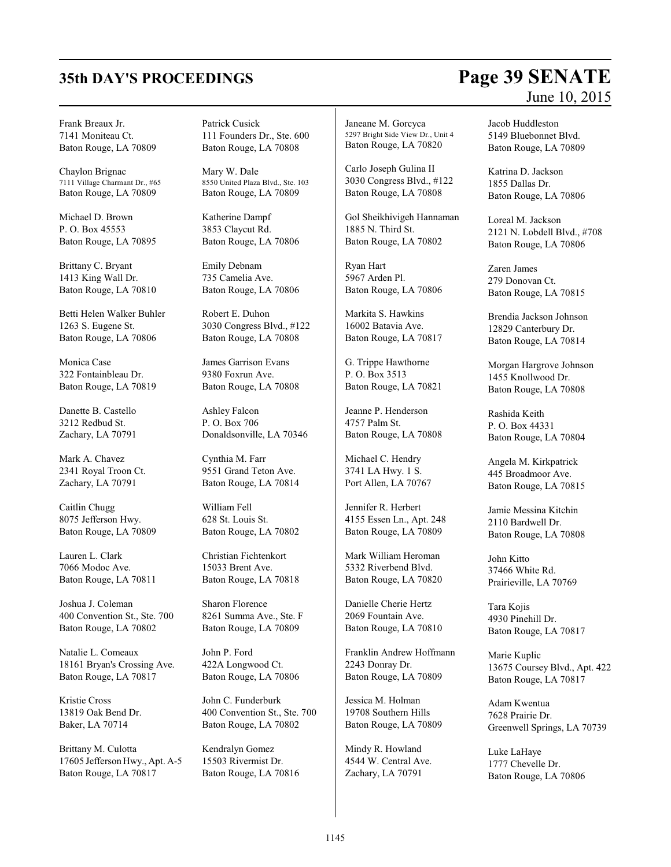# **35th DAY'S PROCEEDINGS Page 39 SENATE**

### Frank Breaux Jr. 7141 Moniteau Ct. Baton Rouge, LA 70809

Chaylon Brignac 7111 Village Charmant Dr., #65 Baton Rouge, LA 70809

Michael D. Brown P. O. Box 45553 Baton Rouge, LA 70895

Brittany C. Bryant 1413 King Wall Dr. Baton Rouge, LA 70810

Betti Helen Walker Buhler 1263 S. Eugene St. Baton Rouge, LA 70806

Monica Case 322 Fontainbleau Dr. Baton Rouge, LA 70819

Danette B. Castello 3212 Redbud St. Zachary, LA 70791

Mark A. Chavez 2341 Royal Troon Ct. Zachary, LA 70791

Caitlin Chugg 8075 Jefferson Hwy. Baton Rouge, LA 70809

Lauren L. Clark 7066 Modoc Ave. Baton Rouge, LA 70811

Joshua J. Coleman 400 Convention St., Ste. 700 Baton Rouge, LA 70802

Natalie L. Comeaux 18161 Bryan's Crossing Ave. Baton Rouge, LA 70817

Kristie Cross 13819 Oak Bend Dr. Baker, LA 70714

Brittany M. Culotta 17605 Jefferson Hwy., Apt. A-5 Baton Rouge, LA 70817

Patrick Cusick 111 Founders Dr., Ste. 600 Baton Rouge, LA 70808

Mary W. Dale 8550 United Plaza Blvd., Ste. 103 Baton Rouge, LA 70809

Katherine Dampf 3853 Claycut Rd. Baton Rouge, LA 70806

Emily Debnam 735 Camelia Ave. Baton Rouge, LA 70806

Robert E. Duhon 3030 Congress Blvd., #122 Baton Rouge, LA 70808

James Garrison Evans 9380 Foxrun Ave. Baton Rouge, LA 70808

Ashley Falcon P. O. Box 706 Donaldsonville, LA 70346

Cynthia M. Farr 9551 Grand Teton Ave. Baton Rouge, LA 70814

William Fell 628 St. Louis St. Baton Rouge, LA 70802

Christian Fichtenkort 15033 Brent Ave. Baton Rouge, LA 70818

Sharon Florence 8261 Summa Ave., Ste. F Baton Rouge, LA 70809

John P. Ford 422A Longwood Ct. Baton Rouge, LA 70806

John C. Funderburk 400 Convention St., Ste. 700 Baton Rouge, LA 70802

Kendralyn Gomez 15503 Rivermist Dr. Baton Rouge, LA 70816 Janeane M. Gorcyca 5297 Bright Side View Dr., Unit 4 Baton Rouge, LA 70820

Carlo Joseph Gulina II 3030 Congress Blvd., #122 Baton Rouge, LA 70808

Gol Sheikhivigeh Hannaman 1885 N. Third St. Baton Rouge, LA 70802

Ryan Hart 5967 Arden Pl. Baton Rouge, LA 70806

Markita S. Hawkins 16002 Batavia Ave. Baton Rouge, LA 70817

G. Trippe Hawthorne P. O. Box 3513 Baton Rouge, LA 70821

Jeanne P. Henderson 4757 Palm St. Baton Rouge, LA 70808

Michael C. Hendry 3741 LA Hwy. 1 S. Port Allen, LA 70767

Jennifer R. Herbert 4155 Essen Ln., Apt. 248 Baton Rouge, LA 70809

Mark William Heroman 5332 Riverbend Blvd. Baton Rouge, LA 70820

Danielle Cherie Hertz 2069 Fountain Ave. Baton Rouge, LA 70810

Franklin Andrew Hoffmann 2243 Donray Dr. Baton Rouge, LA 70809

Jessica M. Holman 19708 Southern Hills Baton Rouge, LA 70809

Mindy R. Howland 4544 W. Central Ave. Zachary, LA 70791

# June 10, 2015

Jacob Huddleston 5149 Bluebonnet Blvd. Baton Rouge, LA 70809

Katrina D. Jackson 1855 Dallas Dr. Baton Rouge, LA 70806

Loreal M. Jackson 2121 N. Lobdell Blvd., #708 Baton Rouge, LA 70806

Zaren James 279 Donovan Ct. Baton Rouge, LA 70815

Brendia Jackson Johnson 12829 Canterbury Dr. Baton Rouge, LA 70814

Morgan Hargrove Johnson 1455 Knollwood Dr. Baton Rouge, LA 70808

Rashida Keith P. O. Box 44331 Baton Rouge, LA 70804

Angela M. Kirkpatrick 445 Broadmoor Ave. Baton Rouge, LA 70815

Jamie Messina Kitchin 2110 Bardwell Dr. Baton Rouge, LA 70808

John Kitto 37466 White Rd. Prairieville, LA 70769

Tara Kojis 4930 Pinehill Dr. Baton Rouge, LA 70817

Marie Kuplic 13675 Coursey Blvd., Apt. 422 Baton Rouge, LA 70817

Adam Kwentua 7628 Prairie Dr. Greenwell Springs, LA 70739

Luke LaHaye 1777 Chevelle Dr. Baton Rouge, LA 70806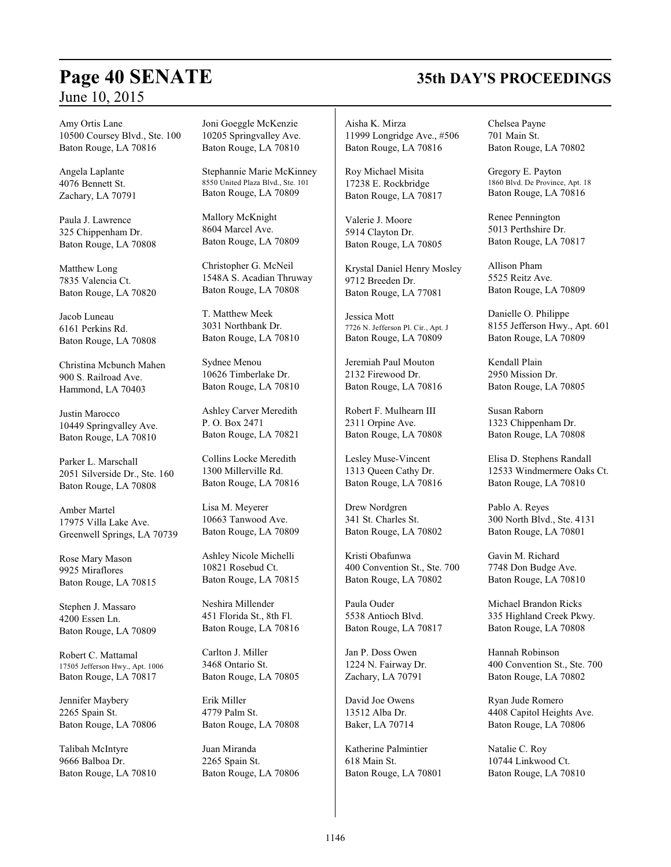# **Page 40 SENATE 35th DAY'S PROCEEDINGS**

Amy Ortis Lane 10500 Coursey Blvd., Ste. 100 Baton Rouge, LA 70816

Angela Laplante 4076 Bennett St. Zachary, LA 70791

Paula J. Lawrence 325 Chippenham Dr. Baton Rouge, LA 70808

Matthew Long 7835 Valencia Ct. Baton Rouge, LA 70820

Jacob Luneau 6161 Perkins Rd. Baton Rouge, LA 70808

Christina Mcbunch Mahen 900 S. Railroad Ave. Hammond, LA 70403

Justin Marocco 10449 Springvalley Ave. Baton Rouge, LA 70810

Parker L. Marschall 2051 Silverside Dr., Ste. 160 Baton Rouge, LA 70808

Amber Martel 17975 Villa Lake Ave. Greenwell Springs, LA 70739

Rose Mary Mason 9925 Miraflores Baton Rouge, LA 70815

Stephen J. Massaro 4200 Essen Ln. Baton Rouge, LA 70809

Robert C. Mattamal 17505 Jefferson Hwy., Apt. 1006 Baton Rouge, LA 70817

Jennifer Maybery 2265 Spain St. Baton Rouge, LA 70806

Talibah McIntyre 9666 Balboa Dr. Baton Rouge, LA 70810 Joni Goeggle McKenzie 10205 Springvalley Ave. Baton Rouge, LA 70810

Stephannie Marie McKinney 8550 United Plaza Blvd., Ste. 101 Baton Rouge, LA 70809

Mallory McKnight 8604 Marcel Ave. Baton Rouge, LA 70809

Christopher G. McNeil 1548A S. Acadian Thruway Baton Rouge, LA 70808

T. Matthew Meek 3031 Northbank Dr. Baton Rouge, LA 70810

Sydnee Menou 10626 Timberlake Dr. Baton Rouge, LA 70810

Ashley Carver Meredith P. O. Box 2471 Baton Rouge, LA 70821

Collins Locke Meredith 1300 Millerville Rd. Baton Rouge, LA 70816

Lisa M. Meyerer 10663 Tanwood Ave. Baton Rouge, LA 70809

Ashley Nicole Michelli 10821 Rosebud Ct. Baton Rouge, LA 70815

Neshira Millender 451 Florida St., 8th Fl. Baton Rouge, LA 70816

Carlton J. Miller 3468 Ontario St. Baton Rouge, LA 70805

Erik Miller 4779 Palm St. Baton Rouge, LA 70808

Juan Miranda 2265 Spain St. Baton Rouge, LA 70806

Aisha K. Mirza 11999 Longridge Ave., #506 Baton Rouge, LA 70816

Roy Michael Misita 17238 E. Rockbridge Baton Rouge, LA 70817

Valerie J. Moore 5914 Clayton Dr. Baton Rouge, LA 70805

Krystal Daniel Henry Mosley 9712 Breeden Dr. Baton Rouge, LA 77081

Jessica Mott 7726 N. Jefferson Pl. Cir., Apt. J Baton Rouge, LA 70809

Jeremiah Paul Mouton 2132 Firewood Dr. Baton Rouge, LA 70816

Robert F. Mulhearn III 2311 Orpine Ave. Baton Rouge, LA 70808

Lesley Muse-Vincent 1313 Queen Cathy Dr. Baton Rouge, LA 70816

Drew Nordgren 341 St. Charles St. Baton Rouge, LA 70802

Kristi Obafunwa 400 Convention St., Ste. 700 Baton Rouge, LA 70802

Paula Ouder 5538 Antioch Blvd. Baton Rouge, LA 70817

Jan P. Doss Owen 1224 N. Fairway Dr. Zachary, LA 70791

David Joe Owens 13512 Alba Dr. Baker, LA 70714

Katherine Palmintier 618 Main St. Baton Rouge, LA 70801 Chelsea Payne 701 Main St. Baton Rouge, LA 70802

Gregory E. Payton 1860 Blvd. De Province, Apt. 18 Baton Rouge, LA 70816

Renee Pennington 5013 Perthshire Dr. Baton Rouge, LA 70817

Allison Pham 5525 Reitz Ave. Baton Rouge, LA 70809

Danielle O. Philippe 8155 Jefferson Hwy., Apt. 601 Baton Rouge, LA 70809

Kendall Plain 2950 Mission Dr. Baton Rouge, LA 70805

Susan Raborn 1323 Chippenham Dr. Baton Rouge, LA 70808

Elisa D. Stephens Randall 12533 Windmermere Oaks Ct. Baton Rouge, LA 70810

Pablo A. Reyes 300 North Blvd., Ste. 4131 Baton Rouge, LA 70801

Gavin M. Richard 7748 Don Budge Ave. Baton Rouge, LA 70810

Michael Brandon Ricks 335 Highland Creek Pkwy. Baton Rouge, LA 70808

Hannah Robinson 400 Convention St., Ste. 700 Baton Rouge, LA 70802

Ryan Jude Romero 4408 Capitol Heights Ave. Baton Rouge, LA 70806

Natalie C. Roy 10744 Linkwood Ct. Baton Rouge, LA 70810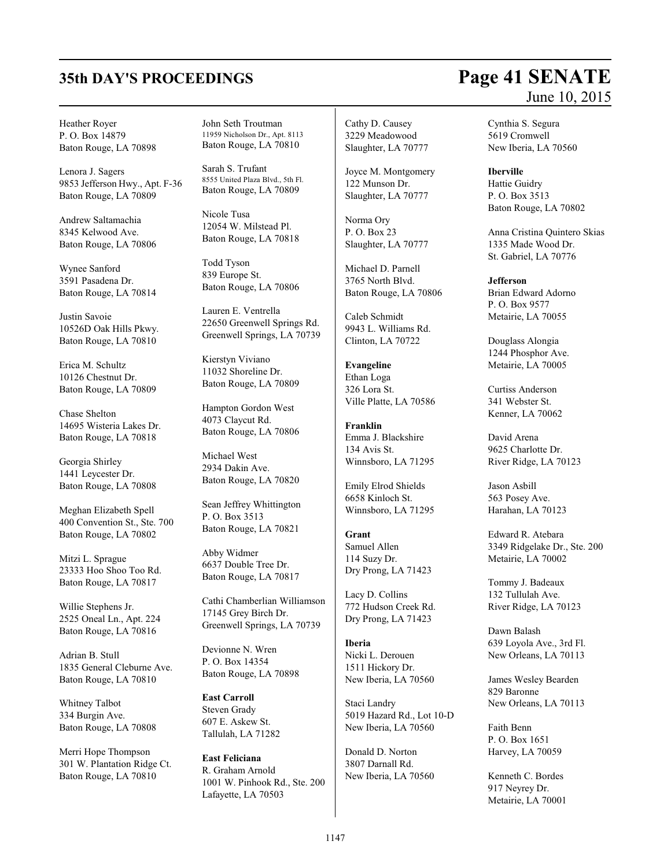### Heather Royer P. O. Box 14879 Baton Rouge, LA 70898

Lenora J. Sagers 9853 Jefferson Hwy., Apt. F-36 Baton Rouge, LA 70809

Andrew Saltamachia 8345 Kelwood Ave. Baton Rouge, LA 70806

Wynee Sanford 3591 Pasadena Dr. Baton Rouge, LA 70814

Justin Savoie 10526D Oak Hills Pkwy. Baton Rouge, LA 70810

Erica M. Schultz 10126 Chestnut Dr. Baton Rouge, LA 70809

Chase Shelton 14695 Wisteria Lakes Dr. Baton Rouge, LA 70818

Georgia Shirley 1441 Leycester Dr. Baton Rouge, LA 70808

Meghan Elizabeth Spell 400 Convention St., Ste. 700 Baton Rouge, LA 70802

Mitzi L. Sprague 23333 Hoo Shoo Too Rd. Baton Rouge, LA 70817

Willie Stephens Jr. 2525 Oneal Ln., Apt. 224 Baton Rouge, LA 70816

Adrian B. Stull 1835 General Cleburne Ave. Baton Rouge, LA 70810

Whitney Talbot 334 Burgin Ave. Baton Rouge, LA 70808

Merri Hope Thompson 301 W. Plantation Ridge Ct. Baton Rouge, LA 70810

John Seth Troutman 11959 Nicholson Dr., Apt. 8113 Baton Rouge, LA 70810

Sarah S. Trufant 8555 United Plaza Blvd., 5th Fl. Baton Rouge, LA 70809

Nicole Tusa 12054 W. Milstead Pl. Baton Rouge, LA 70818

Todd Tyson 839 Europe St. Baton Rouge, LA 70806

Lauren E. Ventrella 22650 Greenwell Springs Rd. Greenwell Springs, LA 70739

Kierstyn Viviano 11032 Shoreline Dr. Baton Rouge, LA 70809

Hampton Gordon West 4073 Claycut Rd. Baton Rouge, LA 70806

Michael West 2934 Dakin Ave. Baton Rouge, LA 70820

Sean Jeffrey Whittington P. O. Box 3513 Baton Rouge, LA 70821

Abby Widmer 6637 Double Tree Dr. Baton Rouge, LA 70817

Cathi Chamberlian Williamson 17145 Grey Birch Dr. Greenwell Springs, LA 70739

Devionne N. Wren P. O. Box 14354 Baton Rouge, LA 70898

**East Carroll** Steven Grady 607 E. Askew St. Tallulah, LA 71282

**East Feliciana** R. Graham Arnold 1001 W. Pinhook Rd., Ste. 200 Lafayette, LA 70503

Cathy D. Causey 3229 Meadowood Slaughter, LA 70777

Joyce M. Montgomery 122 Munson Dr. Slaughter, LA 70777

Norma Ory P. O. Box 23 Slaughter, LA 70777

Michael D. Parnell 3765 North Blvd. Baton Rouge, LA 70806

Caleb Schmidt 9943 L. Williams Rd. Clinton, LA 70722

**Evangeline** Ethan Loga 326 Lora St. Ville Platte, LA 70586

**Franklin** Emma J. Blackshire 134 Avis St. Winnsboro, LA 71295

Emily Elrod Shields 6658 Kinloch St. Winnsboro, LA 71295

**Grant** Samuel Allen 114 Suzy Dr. Dry Prong, LA 71423

Lacy D. Collins 772 Hudson Creek Rd. Dry Prong, LA 71423

**Iberia** Nicki L. Derouen 1511 Hickory Dr. New Iberia, LA 70560

Staci Landry 5019 Hazard Rd., Lot 10-D New Iberia, LA 70560

Donald D. Norton 3807 Darnall Rd. New Iberia, LA 70560

# **35th DAY'S PROCEEDINGS Page 41 SENATE** June 10, 2015

Cynthia S. Segura 5619 Cromwell New Iberia, LA 70560

**Iberville**

Hattie Guidry P. O. Box 3513 Baton Rouge, LA 70802

Anna Cristina Quintero Skias 1335 Made Wood Dr. St. Gabriel, LA 70776

**Jefferson**

Brian Edward Adorno P. O. Box 9577 Metairie, LA 70055

Douglass Alongia 1244 Phosphor Ave. Metairie, LA 70005

Curtiss Anderson 341 Webster St. Kenner, LA 70062

David Arena 9625 Charlotte Dr. River Ridge, LA 70123

Jason Asbill 563 Posey Ave. Harahan, LA 70123

Edward R. Atebara 3349 Ridgelake Dr., Ste. 200 Metairie, LA 70002

Tommy J. Badeaux 132 Tullulah Ave. River Ridge, LA 70123

Dawn Balash 639 Loyola Ave., 3rd Fl. New Orleans, LA 70113

James Wesley Bearden 829 Baronne New Orleans, LA 70113

Faith Benn P. O. Box 1651 Harvey, LA 70059

Kenneth C. Bordes 917 Neyrey Dr. Metairie, LA 70001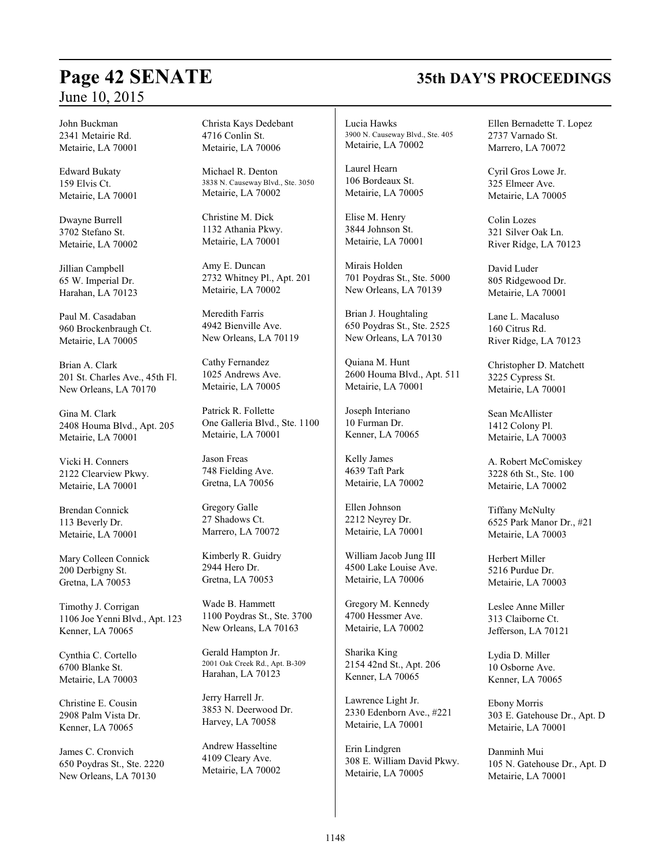# **Page 42 SENATE 35th DAY'S PROCEEDINGS**

John Buckman 2341 Metairie Rd. Metairie, LA 70001

Edward Bukaty 159 Elvis Ct. Metairie, LA 70001

Dwayne Burrell 3702 Stefano St. Metairie, LA 70002

Jillian Campbell 65 W. Imperial Dr. Harahan, LA 70123

Paul M. Casadaban 960 Brockenbraugh Ct. Metairie, LA 70005

Brian A. Clark 201 St. Charles Ave., 45th Fl. New Orleans, LA 70170

Gina M. Clark 2408 Houma Blvd., Apt. 205 Metairie, LA 70001

Vicki H. Conners 2122 Clearview Pkwy. Metairie, LA 70001

Brendan Connick 113 Beverly Dr. Metairie, LA 70001

Mary Colleen Connick 200 Derbigny St. Gretna, LA 70053

Timothy J. Corrigan 1106 Joe Yenni Blvd., Apt. 123 Kenner, LA 70065

Cynthia C. Cortello 6700 Blanke St. Metairie, LA 70003

Christine E. Cousin 2908 Palm Vista Dr. Kenner, LA 70065

James C. Cronvich 650 Poydras St., Ste. 2220 New Orleans, LA 70130

Christa Kays Dedebant 4716 Conlin St. Metairie, LA 70006

Michael R. Denton 3838 N. Causeway Blvd., Ste. 3050 Metairie, LA 70002

Christine M. Dick 1132 Athania Pkwy. Metairie, LA 70001

Amy E. Duncan 2732 Whitney Pl., Apt. 201 Metairie, LA 70002

Meredith Farris 4942 Bienville Ave. New Orleans, LA 70119

Cathy Fernandez 1025 Andrews Ave. Metairie, LA 70005

Patrick R. Follette One Galleria Blvd., Ste. 1100 Metairie, LA 70001

Jason Freas 748 Fielding Ave. Gretna, LA 70056

Gregory Galle 27 Shadows Ct. Marrero, LA 70072

Kimberly R. Guidry 2944 Hero Dr. Gretna, LA 70053

Wade B. Hammett 1100 Poydras St., Ste. 3700 New Orleans, LA 70163

Gerald Hampton Jr. 2001 Oak Creek Rd., Apt. B-309 Harahan, LA 70123

Jerry Harrell Jr. 3853 N. Deerwood Dr. Harvey, LA 70058

Andrew Hasseltine 4109 Cleary Ave. Metairie, LA 70002 Lucia Hawks 3900 N. Causeway Blvd., Ste. 405 Metairie, LA 70002

Laurel Hearn 106 Bordeaux St. Metairie, LA 70005

Elise M. Henry 3844 Johnson St. Metairie, LA 70001

Mirais Holden 701 Poydras St., Ste. 5000 New Orleans, LA 70139

Brian J. Houghtaling 650 Poydras St., Ste. 2525 New Orleans, LA 70130

Quiana M. Hunt 2600 Houma Blvd., Apt. 511 Metairie, LA 70001

Joseph Interiano 10 Furman Dr. Kenner, LA 70065

Kelly James 4639 Taft Park Metairie, LA 70002

Ellen Johnson 2212 Neyrey Dr. Metairie, LA 70001

William Jacob Jung III 4500 Lake Louise Ave. Metairie, LA 70006

Gregory M. Kennedy 4700 Hessmer Ave. Metairie, LA 70002

Sharika King 2154 42nd St., Apt. 206 Kenner, LA 70065

Lawrence Light Jr. 2330 Edenborn Ave., #221 Metairie, LA 70001

Erin Lindgren 308 E. William David Pkwy. Metairie, LA 70005

Ellen Bernadette T. Lopez 2737 Varnado St. Marrero, LA 70072

Cyril Gros Lowe Jr. 325 Elmeer Ave. Metairie, LA 70005

Colin Lozes 321 Silver Oak Ln. River Ridge, LA 70123

David Luder 805 Ridgewood Dr. Metairie, LA 70001

Lane L. Macaluso 160 Citrus Rd. River Ridge, LA 70123

Christopher D. Matchett 3225 Cypress St. Metairie, LA 70001

Sean McAllister 1412 Colony Pl. Metairie, LA 70003

A. Robert McComiskey 3228 6th St., Ste. 100 Metairie, LA 70002

Tiffany McNulty 6525 Park Manor Dr., #21 Metairie, LA 70003

Herbert Miller 5216 Purdue Dr. Metairie, LA 70003

Leslee Anne Miller 313 Claiborne Ct. Jefferson, LA 70121

Lydia D. Miller 10 Osborne Ave. Kenner, LA 70065

Ebony Morris 303 E. Gatehouse Dr., Apt. D Metairie, LA 70001

Danminh Mui 105 N. Gatehouse Dr., Apt. D Metairie, LA 70001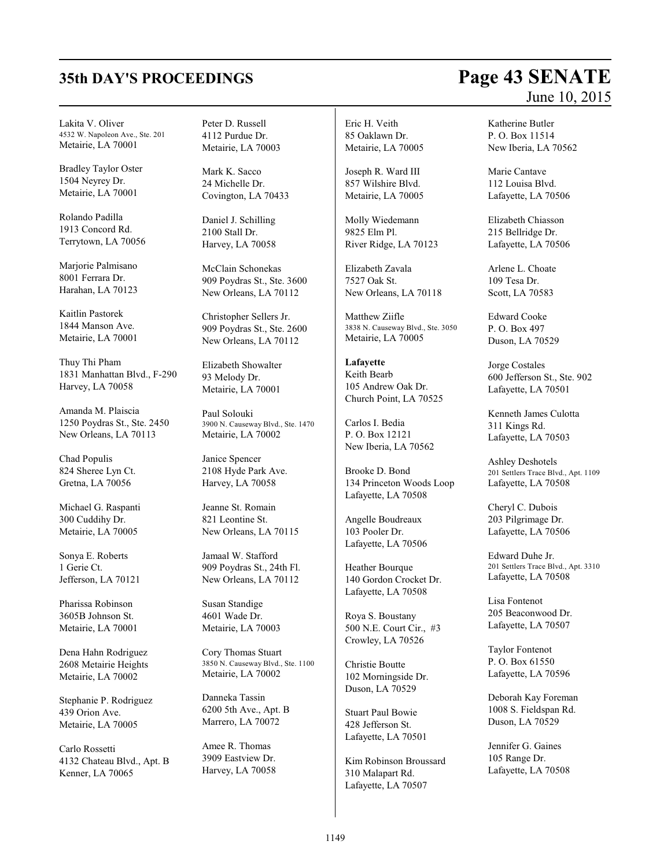# **35th DAY'S PROCEEDINGS Page 43 SENATE**

Lakita V. Oliver 4532 W. Napoleon Ave., Ste. 201 Metairie, LA 70001

Bradley Taylor Oster 1504 Neyrey Dr. Metairie, LA 70001

Rolando Padilla 1913 Concord Rd. Terrytown, LA 70056

Marjorie Palmisano 8001 Ferrara Dr. Harahan, LA 70123

Kaitlin Pastorek 1844 Manson Ave. Metairie, LA 70001

Thuy Thi Pham 1831 Manhattan Blvd., F-290 Harvey, LA 70058

Amanda M. Plaiscia 1250 Poydras St., Ste. 2450 New Orleans, LA 70113

Chad Populis 824 Sheree Lyn Ct. Gretna, LA 70056

Michael G. Raspanti 300 Cuddihy Dr. Metairie, LA 70005

Sonya E. Roberts 1 Gerie Ct. Jefferson, LA 70121

Pharissa Robinson 3605B Johnson St. Metairie, LA 70001

Dena Hahn Rodriguez 2608 Metairie Heights Metairie, LA 70002

Stephanie P. Rodriguez 439 Orion Ave. Metairie, LA 70005

Carlo Rossetti 4132 Chateau Blvd., Apt. B Kenner, LA 70065

Peter D. Russell 4112 Purdue Dr. Metairie, LA 70003

Mark K. Sacco 24 Michelle Dr. Covington, LA 70433

Daniel J. Schilling 2100 Stall Dr. Harvey, LA 70058

McClain Schonekas 909 Poydras St., Ste. 3600 New Orleans, LA 70112

Christopher Sellers Jr. 909 Poydras St., Ste. 2600 New Orleans, LA 70112

Elizabeth Showalter 93 Melody Dr. Metairie, LA 70001

Paul Solouki 3900 N. Causeway Blvd., Ste. 1470 Metairie, LA 70002

Janice Spencer 2108 Hyde Park Ave. Harvey, LA 70058

Jeanne St. Romain 821 Leontine St. New Orleans, LA 70115

Jamaal W. Stafford 909 Poydras St., 24th Fl. New Orleans, LA 70112

Susan Standige 4601 Wade Dr. Metairie, LA 70003

Cory Thomas Stuart 3850 N. Causeway Blvd., Ste. 1100 Metairie, LA 70002

Danneka Tassin 6200 5th Ave., Apt. B Marrero, LA 70072

Amee R. Thomas 3909 Eastview Dr. Harvey, LA 70058 Eric H. Veith 85 Oaklawn Dr. Metairie, LA 70005

Joseph R. Ward III 857 Wilshire Blvd. Metairie, LA 70005

Molly Wiedemann 9825 Elm Pl. River Ridge, LA 70123

Elizabeth Zavala 7527 Oak St. New Orleans, LA 70118

Matthew Ziifle 3838 N. Causeway Blvd., Ste. 3050 Metairie, LA 70005

**Lafayette** Keith Bearb 105 Andrew Oak Dr. Church Point, LA 70525

Carlos I. Bedia P. O. Box 12121 New Iberia, LA 70562

Brooke D. Bond 134 Princeton Woods Loop Lafayette, LA 70508

Angelle Boudreaux 103 Pooler Dr. Lafayette, LA 70506

Heather Bourque 140 Gordon Crocket Dr. Lafayette, LA 70508

Roya S. Boustany 500 N.E. Court Cir., #3 Crowley, LA 70526

Christie Boutte 102 Morningside Dr. Duson, LA 70529

Stuart Paul Bowie 428 Jefferson St. Lafayette, LA 70501

Kim Robinson Broussard 310 Malapart Rd. Lafayette, LA 70507

June 10, 2015

Katherine Butler P. O. Box 11514 New Iberia, LA 70562

Marie Cantave 112 Louisa Blvd. Lafayette, LA 70506

Elizabeth Chiasson 215 Bellridge Dr. Lafayette, LA 70506

Arlene L. Choate 109 Tesa Dr. Scott, LA 70583

Edward Cooke P. O. Box 497 Duson, LA 70529

Jorge Costales 600 Jefferson St., Ste. 902 Lafayette, LA 70501

Kenneth James Culotta 311 Kings Rd. Lafayette, LA 70503

Ashley Deshotels 201 Settlers Trace Blvd., Apt. 1109 Lafayette, LA 70508

Cheryl C. Dubois 203 Pilgrimage Dr. Lafayette, LA 70506

Edward Duhe Jr. 201 Settlers Trace Blvd., Apt. 3310 Lafayette, LA 70508

Lisa Fontenot 205 Beaconwood Dr. Lafayette, LA 70507

Taylor Fontenot P. O. Box 61550 Lafayette, LA 70596

Deborah Kay Foreman 1008 S. Fieldspan Rd. Duson, LA 70529

Jennifer G. Gaines 105 Range Dr. Lafayette, LA 70508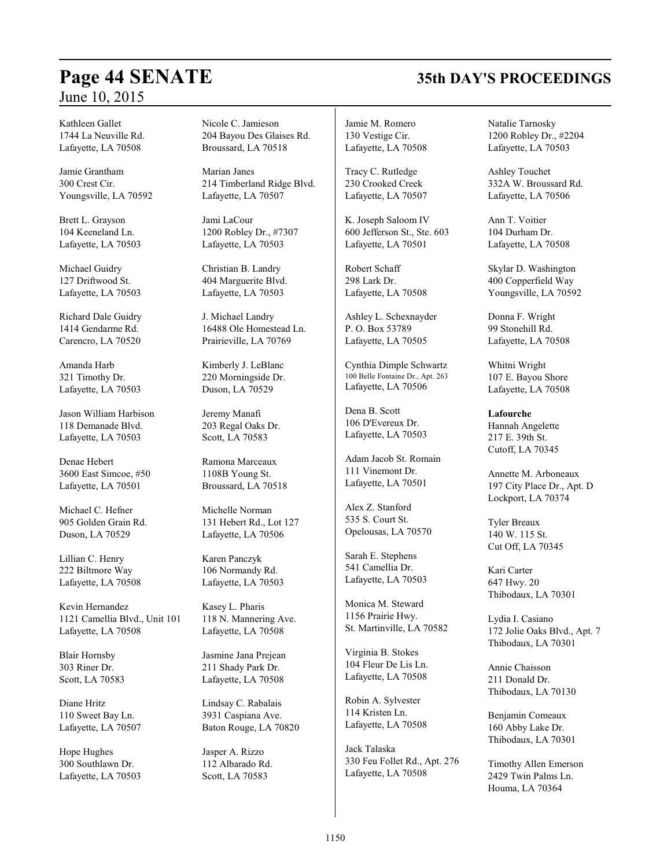# **Page 44 SENATE 35th DAY'S PROCEEDINGS**

Kathleen Gallet 1744 La Neuville Rd. Lafayette, LA 70508

Jamie Grantham 300 Crest Cir. Youngsville, LA 70592

Brett L. Grayson 104 Keeneland Ln. Lafayette, LA 70503

Michael Guidry 127 Driftwood St. Lafayette, LA 70503

Richard Dale Guidry 1414 Gendarme Rd. Carencro, LA 70520

Amanda Harb 321 Timothy Dr. Lafayette, LA 70503

Jason William Harbison 118 Demanade Blvd. Lafayette, LA 70503

Denae Hebert 3600 East Simcoe, #50 Lafayette, LA 70501

Michael C. Hefner 905 Golden Grain Rd. Duson, LA 70529

Lillian C. Henry 222 Biltmore Way Lafayette, LA 70508

Kevin Hernandez 1121 Camellia Blvd., Unit 101 Lafayette, LA 70508

Blair Hornsby 303 Riner Dr. Scott, LA 70583

Diane Hritz 110 Sweet Bay Ln. Lafayette, LA 70507

Hope Hughes 300 Southlawn Dr. Lafayette, LA 70503 Nicole C. Jamieson 204 Bayou Des Glaises Rd. Broussard, LA 70518

Marian Janes 214 Timberland Ridge Blvd. Lafayette, LA 70507

Jami LaCour 1200 Robley Dr., #7307 Lafayette, LA 70503

Christian B. Landry 404 Marguerite Blvd. Lafayette, LA 70503

J. Michael Landry 16488 Ole Homestead Ln. Prairieville, LA 70769

Kimberly J. LeBlanc 220 Morningside Dr. Duson, LA 70529

Jeremy Manafi 203 Regal Oaks Dr. Scott, LA 70583

Ramona Marceaux 1108B Young St. Broussard, LA 70518

Michelle Norman 131 Hebert Rd., Lot 127 Lafayette, LA 70506

Karen Panczyk 106 Normandy Rd. Lafayette, LA 70503

Kasey L. Pharis 118 N. Mannering Ave. Lafayette, LA 70508

Jasmine Jana Prejean 211 Shady Park Dr. Lafayette, LA 70508

Lindsay C. Rabalais 3931 Caspiana Ave. Baton Rouge, LA 70820

Jasper A. Rizzo 112 Albarado Rd. Scott, LA 70583

Jamie M. Romero 130 Vestige Cir. Lafayette, LA 70508

Tracy C. Rutledge 230 Crooked Creek Lafayette, LA 70507

K. Joseph Saloom IV 600 Jefferson St., Ste. 603 Lafayette, LA 70501

Robert Schaff 298 Lark Dr. Lafayette, LA 70508

Ashley L. Schexnayder P. O. Box 53789 Lafayette, LA 70505

Cynthia Dimple Schwartz 100 Belle Fontaine Dr., Apt. 263 Lafayette, LA 70506

Dena B. Scott 106 D'Evereux Dr. Lafayette, LA 70503

Adam Jacob St. Romain 111 Vinemont Dr. Lafayette, LA 70501

Alex Z. Stanford 535 S. Court St. Opelousas, LA 70570

Sarah E. Stephens 541 Camellia Dr. Lafayette, LA 70503

Monica M. Steward 1156 Prairie Hwy. St. Martinville, LA 70582

Virginia B. Stokes 104 Fleur De Lis Ln. Lafayette, LA 70508

Robin A. Sylvester 114 Kristen Ln. Lafayette, LA 70508

Jack Talaska 330 Feu Follet Rd., Apt. 276 Lafayette, LA 70508

Natalie Tarnosky 1200 Robley Dr., #2204 Lafayette, LA 70503

Ashley Touchet 332A W. Broussard Rd. Lafayette, LA 70506

Ann T. Voitier 104 Durham Dr. Lafayette, LA 70508

Skylar D. Washington 400 Copperfield Way Youngsville, LA 70592

Donna F. Wright 99 Stonehill Rd. Lafayette, LA 70508

Whitni Wright 107 E. Bayou Shore Lafayette, LA 70508

**Lafourche** Hannah Angelette 217 E. 39th St. Cutoff, LA 70345

Annette M. Arboneaux 197 City Place Dr., Apt. D Lockport, LA 70374

Tyler Breaux 140 W. 115 St. Cut Off, LA 70345

Kari Carter 647 Hwy. 20 Thibodaux, LA 70301

Lydia I. Casiano 172 Jolie Oaks Blvd., Apt. 7 Thibodaux, LA 70301

Annie Chaisson 211 Donald Dr. Thibodaux, LA 70130

Benjamin Comeaux 160 Abby Lake Dr. Thibodaux, LA 70301

Timothy Allen Emerson 2429 Twin Palms Ln. Houma, LA 70364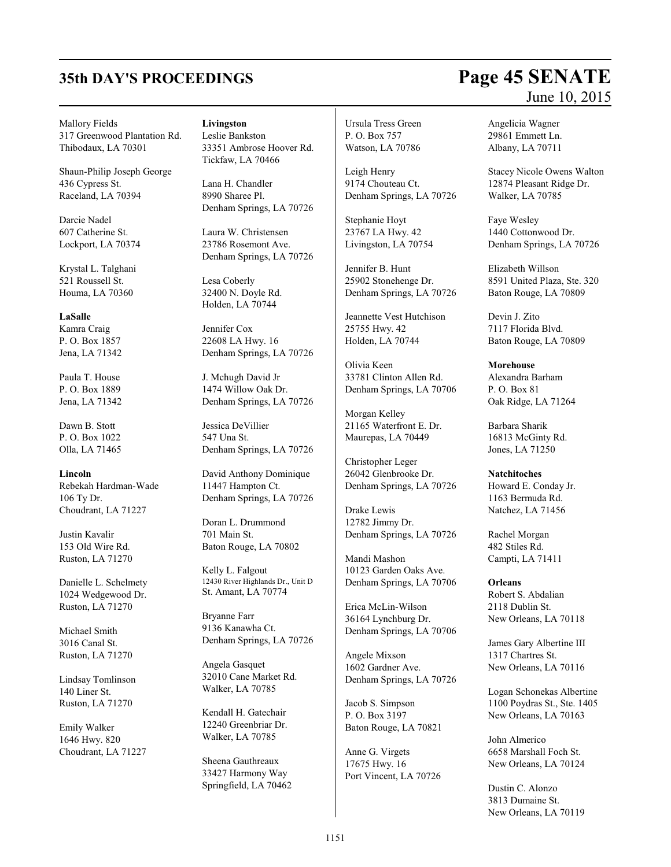### Mallory Fields 317 Greenwood Plantation Rd. Thibodaux, LA 70301

Shaun-Philip Joseph George 436 Cypress St. Raceland, LA 70394

Darcie Nadel 607 Catherine St. Lockport, LA 70374

Krystal L. Talghani 521 Roussell St. Houma, LA 70360

**LaSalle** Kamra Craig P. O. Box 1857 Jena, LA 71342

Paula T. House P. O. Box 1889 Jena, LA 71342

Dawn B. Stott P. O. Box 1022 Olla, LA 71465

**Lincoln** Rebekah Hardman-Wade 106 Ty Dr. Choudrant, LA 71227

Justin Kavalir 153 Old Wire Rd. Ruston, LA 71270

Danielle L. Schelmety 1024 Wedgewood Dr. Ruston, LA 71270

Michael Smith 3016 Canal St. Ruston, LA 71270

Lindsay Tomlinson 140 Liner St. Ruston, LA 71270

Emily Walker 1646 Hwy. 820 Choudrant, LA 71227 **Livingston** Leslie Bankston

33351 Ambrose Hoover Rd. Tickfaw, LA 70466

Lana H. Chandler 8990 Sharee Pl. Denham Springs, LA 70726

Laura W. Christensen 23786 Rosemont Ave. Denham Springs, LA 70726

Lesa Coberly 32400 N. Doyle Rd. Holden, LA 70744

Jennifer Cox 22608 LA Hwy. 16 Denham Springs, LA 70726

J. Mchugh David Jr 1474 Willow Oak Dr. Denham Springs, LA 70726

Jessica DeVillier 547 Una St. Denham Springs, LA 70726

David Anthony Dominique 11447 Hampton Ct. Denham Springs, LA 70726

Doran L. Drummond 701 Main St. Baton Rouge, LA 70802

Kelly L. Falgout 12430 River Highlands Dr., Unit D St. Amant, LA 70774

Bryanne Farr 9136 Kanawha Ct. Denham Springs, LA 70726

Angela Gasquet 32010 Cane Market Rd. Walker, LA 70785

Kendall H. Gatechair 12240 Greenbriar Dr. Walker, LA 70785

Sheena Gauthreaux 33427 Harmony Way Springfield, LA 70462 Ursula Tress Green P. O. Box 757 Watson, LA 70786

Leigh Henry 9174 Chouteau Ct. Denham Springs, LA 70726

Stephanie Hoyt 23767 LA Hwy. 42 Livingston, LA 70754

Jennifer B. Hunt 25902 Stonehenge Dr. Denham Springs, LA 70726

Jeannette Vest Hutchison 25755 Hwy. 42 Holden, LA 70744

Olivia Keen 33781 Clinton Allen Rd. Denham Springs, LA 70706

Morgan Kelley 21165 Waterfront E. Dr. Maurepas, LA 70449

Christopher Leger 26042 Glenbrooke Dr. Denham Springs, LA 70726

Drake Lewis 12782 Jimmy Dr. Denham Springs, LA 70726

Mandi Mashon 10123 Garden Oaks Ave. Denham Springs, LA 70706

Erica McLin-Wilson 36164 Lynchburg Dr. Denham Springs, LA 70706

Angele Mixson 1602 Gardner Ave. Denham Springs, LA 70726

Jacob S. Simpson P. O. Box 3197 Baton Rouge, LA 70821

Anne G. Virgets 17675 Hwy. 16 Port Vincent, LA 70726 Angelicia Wagner

29861 Emmett Ln. Albany, LA 70711

Stacey Nicole Owens Walton 12874 Pleasant Ridge Dr. Walker, LA 70785

Faye Wesley 1440 Cottonwood Dr. Denham Springs, LA 70726

Elizabeth Willson 8591 United Plaza, Ste. 320 Baton Rouge, LA 70809

Devin J. Zito 7117 Florida Blvd. Baton Rouge, LA 70809

**Morehouse**

Alexandra Barham P. O. Box 81 Oak Ridge, LA 71264

Barbara Sharik 16813 McGinty Rd. Jones, LA 71250

**Natchitoches** Howard E. Conday Jr. 1163 Bermuda Rd.

Natchez, LA 71456 Rachel Morgan

482 Stiles Rd. Campti, LA 71411

**Orleans** Robert S. Abdalian 2118 Dublin St. New Orleans, LA 70118

James Gary Albertine III 1317 Chartres St. New Orleans, LA 70116

Logan Schonekas Albertine 1100 Poydras St., Ste. 1405 New Orleans, LA 70163

John Almerico 6658 Marshall Foch St. New Orleans, LA 70124

Dustin C. Alonzo 3813 Dumaine St. New Orleans, LA 70119

# **35th DAY'S PROCEEDINGS Page 45 SENATE** June 10, 2015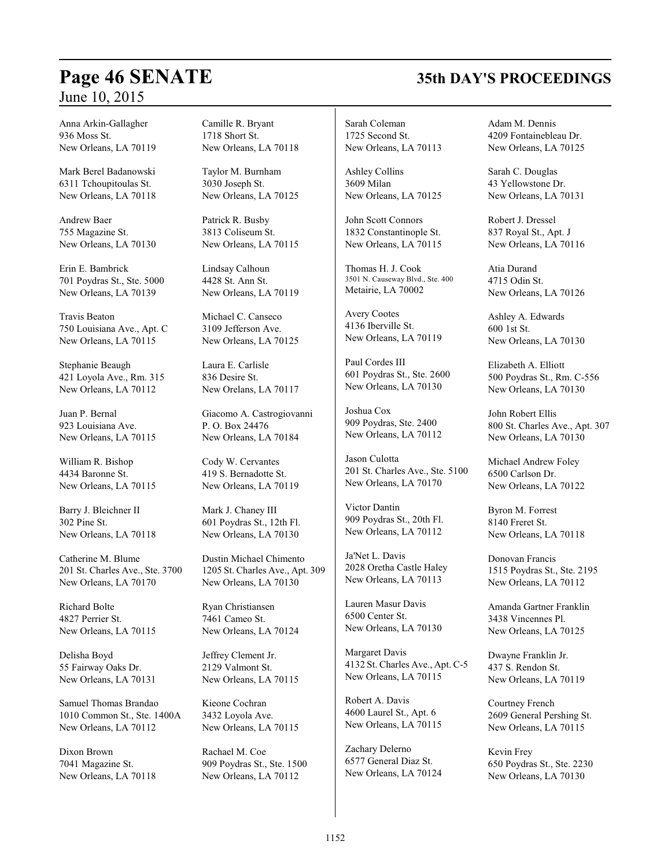## **Page 46 SENATE 35th DAY'S PROCEEDINGS**

Anna Arkin-Gallagher 936 Moss St. New Orleans, LA 70119

Mark Berel Badanowski 6311 Tchoupitoulas St. New Orleans, LA 70118

Andrew Baer 755 Magazine St. New Orleans, LA 70130

Erin E. Bambrick 701 Poydras St., Ste. 5000 New Orleans, LA 70139

Travis Beaton 750 Louisiana Ave., Apt. C New Orleans, LA 70115

Stephanie Beaugh 421 Loyola Ave., Rm. 315 New Orleans, LA 70112

Juan P. Bernal 923 Louisiana Ave. New Orleans, LA 70115

William R. Bishop 4434 Baronne St. New Orleans, LA 70115

Barry J. Bleichner II 302 Pine St. New Orleans, LA 70118

Catherine M. Blume 201 St. Charles Ave., Ste. 3700 New Orleans, LA 70170

Richard Bolte 4827 Perrier St. New Orleans, LA 70115

Delisha Boyd 55 Fairway Oaks Dr. New Orleans, LA 70131

Samuel Thomas Brandao 1010 Common St., Ste. 1400A New Orleans, LA 70112

Dixon Brown 7041 Magazine St. New Orleans, LA 70118 Camille R. Bryant 1718 Short St. New Orleans, LA 70118

Taylor M. Burnham 3030 Joseph St. New Orleans, LA 70125

Patrick R. Busby 3813 Coliseum St. New Orleans, LA 70115

Lindsay Calhoun 4428 St. Ann St. New Orleans, LA 70119

Michael C. Canseco 3109 Jefferson Ave. New Orleans, LA 70125

Laura E. Carlisle 836 Desire St. New Orelans, LA 70117

Giacomo A. Castrogiovanni P. O. Box 24476 New Orleans, LA 70184

Cody W. Cervantes 419 S. Bernadotte St. New Orleans, LA 70119

Mark J. Chaney III 601 Poydras St., 12th Fl. New Orleans, LA 70130

Dustin Michael Chimento 1205 St. Charles Ave., Apt. 309 New Orleans, LA 70130

Ryan Christiansen 7461 Cameo St. New Orleans, LA 70124

Jeffrey Clement Jr. 2129 Valmont St. New Orleans, LA 70115

Kieone Cochran 3432 Loyola Ave. New Orleans, LA 70115

Rachael M. Coe 909 Poydras St., Ste. 1500 New Orleans, LA 70112

Sarah Coleman 1725 Second St. New Orleans, LA 70113

Ashley Collins 3609 Milan New Orleans, LA 70125

John Scott Connors 1832 Constantinople St. New Orleans, LA 70115

Thomas H. J. Cook 3501 N. Causeway Blvd., Ste. 400 Metairie, LA 70002

Avery Cootes 4136 Iberville St. New Orleans, LA 70119

Paul Cordes III 601 Poydras St., Ste. 2600 New Orleans, LA 70130

Joshua Cox 909 Poydras, Ste. 2400 New Orleans, LA 70112

Jason Culotta 201 St. Charles Ave., Ste. 5100 New Orleans, LA 70170

Victor Dantin 909 Poydras St., 20th Fl. New Orleans, LA 70112

Ja'Net L. Davis 2028 Oretha Castle Haley New Orleans, LA 70113

Lauren Masur Davis 6500 Center St. New Orleans, LA 70130

Margaret Davis 4132 St. Charles Ave., Apt. C-5 New Orleans, LA 70115

Robert A. Davis 4600 Laurel St., Apt. 6 New Orleans, LA 70115

Zachary Delerno 6577 General Diaz St. New Orleans, LA 70124 Adam M. Dennis 4209 Fontainebleau Dr. New Orleans, LA 70125

Sarah C. Douglas 43 Yellowstone Dr. New Orleans, LA 70131

Robert J. Dressel 837 Royal St., Apt. J New Orleans, LA 70116

Atia Durand 4715 Odin St. New Orleans, LA 70126

Ashley A. Edwards 600 1st St. New Orleans, LA 70130

Elizabeth A. Elliott 500 Poydras St., Rm. C-556 New Orleans, LA 70130

John Robert Ellis 800 St. Charles Ave., Apt. 307 New Orleans, LA 70130

Michael Andrew Foley 6500 Carlson Dr. New Orleans, LA 70122

Byron M. Forrest 8140 Freret St. New Orleans, LA 70118

Donovan Francis 1515 Poydras St., Ste. 2195 New Orleans, LA 70112

Amanda Gartner Franklin 3438 Vincennes Pl. New Orleans, LA 70125

Dwayne Franklin Jr. 437 S. Rendon St. New Orleans, LA 70119

Courtney French 2609 General Pershing St. New Orleans, LA 70115

Kevin Frey 650 Poydras St., Ste. 2230 New Orleans, LA 70130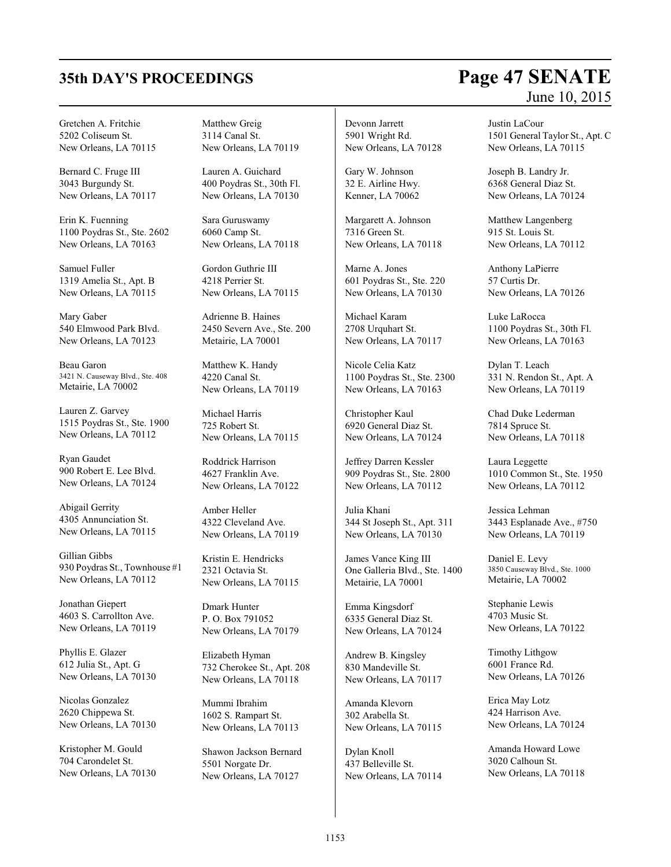Gretchen A. Fritchie 5202 Coliseum St. New Orleans, LA 70115

Bernard C. Fruge III 3043 Burgundy St. New Orleans, LA 70117

Erin K. Fuenning 1100 Poydras St., Ste. 2602 New Orleans, LA 70163

Samuel Fuller 1319 Amelia St., Apt. B New Orleans, LA 70115

Mary Gaber 540 Elmwood Park Blvd. New Orleans, LA 70123

Beau Garon 3421 N. Causeway Blvd., Ste. 408 Metairie, LA 70002

Lauren Z. Garvey 1515 Poydras St., Ste. 1900 New Orleans, LA 70112

Ryan Gaudet 900 Robert E. Lee Blvd. New Orleans, LA 70124

Abigail Gerrity 4305 Annunciation St. New Orleans, LA 70115

Gillian Gibbs 930 Poydras St., Townhouse #1 New Orleans, LA 70112

Jonathan Giepert 4603 S. Carrollton Ave. New Orleans, LA 70119

Phyllis E. Glazer 612 Julia St., Apt. G New Orleans, LA 70130

Nicolas Gonzalez 2620 Chippewa St. New Orleans, LA 70130

Kristopher M. Gould 704 Carondelet St. New Orleans, LA 70130 Matthew Greig 3114 Canal St. New Orleans, LA 70119

Lauren A. Guichard 400 Poydras St., 30th Fl. New Orleans, LA 70130

Sara Guruswamy 6060 Camp St. New Orleans, LA 70118

Gordon Guthrie III 4218 Perrier St. New Orleans, LA 70115

Adrienne B. Haines 2450 Severn Ave., Ste. 200 Metairie, LA 70001

Matthew K. Handy 4220 Canal St. New Orleans, LA 70119

Michael Harris 725 Robert St. New Orleans, LA 70115

Roddrick Harrison 4627 Franklin Ave. New Orleans, LA 70122

Amber Heller 4322 Cleveland Ave. New Orleans, LA 70119

Kristin E. Hendricks 2321 Octavia St. New Orleans, LA 70115

Dmark Hunter P. O. Box 791052 New Orleans, LA 70179

Elizabeth Hyman 732 Cherokee St., Apt. 208 New Orleans, LA 70118

Mummi Ibrahim 1602 S. Rampart St. New Orleans, LA 70113

Shawon Jackson Bernard 5501 Norgate Dr. New Orleans, LA 70127

Devonn Jarrett 5901 Wright Rd. New Orleans, LA 70128

Gary W. Johnson 32 E. Airline Hwy. Kenner, LA 70062

Margarett A. Johnson 7316 Green St. New Orleans, LA 70118

Marne A. Jones 601 Poydras St., Ste. 220 New Orleans, LA 70130

Michael Karam 2708 Urquhart St. New Orleans, LA 70117

Nicole Celia Katz 1100 Poydras St., Ste. 2300 New Orleans, LA 70163

Christopher Kaul 6920 General Diaz St. New Orleans, LA 70124

Jeffrey Darren Kessler 909 Poydras St., Ste. 2800 New Orleans, LA 70112

Julia Khani 344 St Joseph St., Apt. 311 New Orleans, LA 70130

James Vance King III One Galleria Blvd., Ste. 1400 Metairie, LA 70001

Emma Kingsdorf 6335 General Diaz St. New Orleans, LA 70124

Andrew B. Kingsley 830 Mandeville St. New Orleans, LA 70117

Amanda Klevorn 302 Arabella St. New Orleans, LA 70115

Dylan Knoll 437 Belleville St. New Orleans, LA 70114

# **35th DAY'S PROCEEDINGS Page 47 SENATE** June 10, 2015

Justin LaCour 1501 General Taylor St., Apt. C New Orleans, LA 70115

Joseph B. Landry Jr. 6368 General Diaz St. New Orleans, LA 70124

Matthew Langenberg 915 St. Louis St. New Orleans, LA 70112

Anthony LaPierre 57 Curtis Dr. New Orleans, LA 70126

Luke LaRocca 1100 Poydras St., 30th Fl. New Orleans, LA 70163

Dylan T. Leach 331 N. Rendon St., Apt. A New Orleans, LA 70119

Chad Duke Lederman 7814 Spruce St. New Orleans, LA 70118

Laura Leggette 1010 Common St., Ste. 1950 New Orleans, LA 70112

Jessica Lehman 3443 Esplanade Ave., #750 New Orleans, LA 70119

Daniel E. Levy 3850 Causeway Blvd., Ste. 1000 Metairie, LA 70002

Stephanie Lewis 4703 Music St. New Orleans, LA 70122

Timothy Lithgow 6001 France Rd. New Orleans, LA 70126

Erica May Lotz 424 Harrison Ave. New Orleans, LA 70124

Amanda Howard Lowe 3020 Calhoun St. New Orleans, LA 70118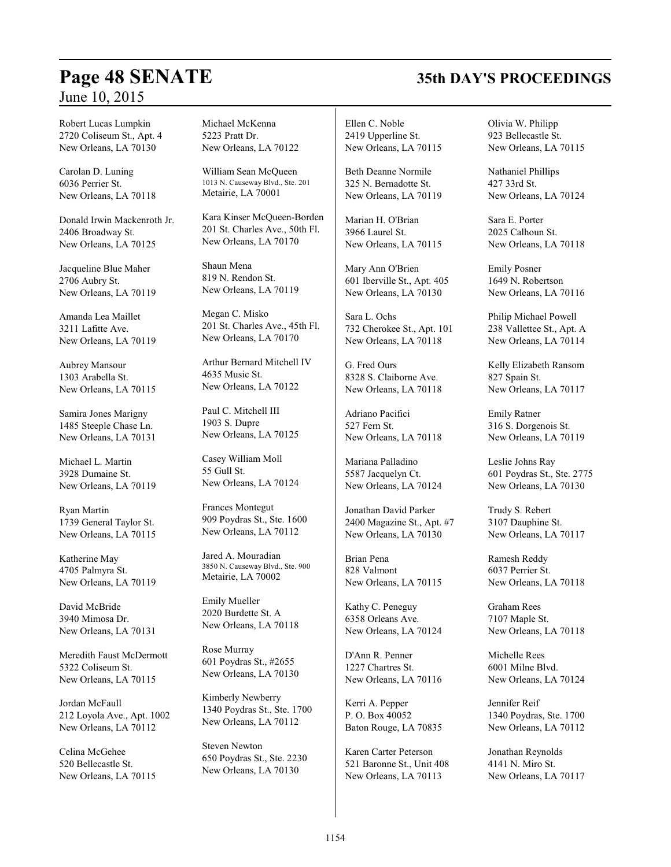## **Page 48 SENATE 35th DAY'S PROCEEDINGS**

Robert Lucas Lumpkin 2720 Coliseum St., Apt. 4 New Orleans, LA 70130

Carolan D. Luning 6036 Perrier St. New Orleans, LA 70118

Donald Irwin Mackenroth Jr. 2406 Broadway St. New Orleans, LA 70125

Jacqueline Blue Maher 2706 Aubry St. New Orleans, LA 70119

Amanda Lea Maillet 3211 Lafitte Ave. New Orleans, LA 70119

Aubrey Mansour 1303 Arabella St. New Orleans, LA 70115

Samira Jones Marigny 1485 Steeple Chase Ln. New Orleans, LA 70131

Michael L. Martin 3928 Dumaine St. New Orleans, LA 70119

Ryan Martin 1739 General Taylor St. New Orleans, LA 70115

Katherine May 4705 Palmyra St. New Orleans, LA 70119

David McBride 3940 Mimosa Dr. New Orleans, LA 70131

Meredith Faust McDermott 5322 Coliseum St. New Orleans, LA 70115

Jordan McFaull 212 Loyola Ave., Apt. 1002 New Orleans, LA 70112

Celina McGehee 520 Bellecastle St. New Orleans, LA 70115 Michael McKenna 5223 Pratt Dr. New Orleans, LA 70122

William Sean McQueen 1013 N. Causeway Blvd., Ste. 201 Metairie, LA 70001

Kara Kinser McQueen-Borden 201 St. Charles Ave., 50th Fl. New Orleans, LA 70170

Shaun Mena 819 N. Rendon St. New Orleans, LA 70119

Megan C. Misko 201 St. Charles Ave., 45th Fl. New Orleans, LA 70170

Arthur Bernard Mitchell IV 4635 Music St. New Orleans, LA 70122

Paul C. Mitchell III 1903 S. Dupre New Orleans, LA 70125

Casey William Moll 55 Gull St. New Orleans, LA 70124

Frances Montegut 909 Poydras St., Ste. 1600 New Orleans, LA 70112

Jared A. Mouradian 3850 N. Causeway Blvd., Ste. 900 Metairie, LA 70002

Emily Mueller 2020 Burdette St. A New Orleans, LA 70118

Rose Murray 601 Poydras St., #2655 New Orleans, LA 70130

Kimberly Newberry 1340 Poydras St., Ste. 1700 New Orleans, LA 70112

Steven Newton 650 Poydras St., Ste. 2230 New Orleans, LA 70130

Ellen C. Noble 2419 Upperline St. New Orleans, LA 70115

Beth Deanne Normile 325 N. Bernadotte St. New Orleans, LA 70119

Marian H. O'Brian 3966 Laurel St. New Orleans, LA 70115

Mary Ann O'Brien 601 Iberville St., Apt. 405 New Orleans, LA 70130

Sara L. Ochs 732 Cherokee St., Apt. 101 New Orleans, LA 70118

G. Fred Ours 8328 S. Claiborne Ave. New Orleans, LA 70118

Adriano Pacifici 527 Fern St. New Orleans, LA 70118

Mariana Palladino 5587 Jacquelyn Ct. New Orleans, LA 70124

Jonathan David Parker 2400 Magazine St., Apt. #7 New Orleans, LA 70130

Brian Pena 828 Valmont New Orleans, LA 70115

Kathy C. Peneguy 6358 Orleans Ave. New Orleans, LA 70124

D'Ann R. Penner 1227 Chartres St. New Orleans, LA 70116

Kerri A. Pepper P. O. Box 40052 Baton Rouge, LA 70835

Karen Carter Peterson 521 Baronne St., Unit 408 New Orleans, LA 70113

Olivia W. Philipp 923 Bellecastle St. New Orleans, LA 70115

Nathaniel Phillips 427 33rd St. New Orleans, LA 70124

Sara E. Porter 2025 Calhoun St. New Orleans, LA 70118

Emily Posner 1649 N. Robertson New Orleans, LA 70116

Philip Michael Powell 238 Vallettee St., Apt. A New Orleans, LA 70114

Kelly Elizabeth Ransom 827 Spain St. New Orleans, LA 70117

Emily Ratner 316 S. Dorgenois St. New Orleans, LA 70119

Leslie Johns Ray 601 Poydras St., Ste. 2775 New Orleans, LA 70130

Trudy S. Rebert 3107 Dauphine St. New Orleans, LA 70117

Ramesh Reddy 6037 Perrier St. New Orleans, LA 70118

Graham Rees 7107 Maple St. New Orleans, LA 70118

Michelle Rees 6001 Milne Blvd. New Orleans, LA 70124

Jennifer Reif 1340 Poydras, Ste. 1700 New Orleans, LA 70112

Jonathan Reynolds 4141 N. Miro St. New Orleans, LA 70117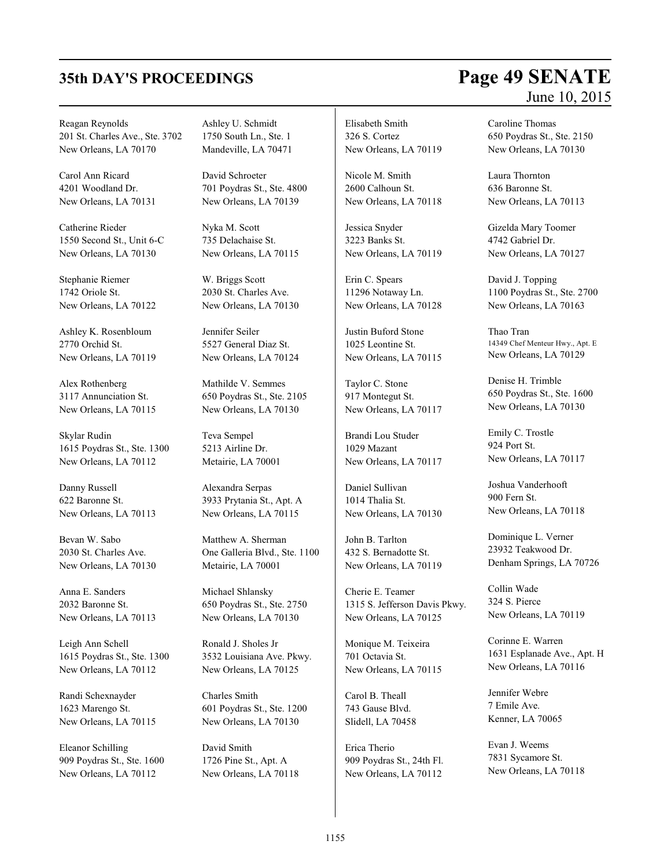# **35th DAY'S PROCEEDINGS Page 49 SENATE** June 10, 2015

Reagan Reynolds 201 St. Charles Ave., Ste. 3702 New Orleans, LA 70170

Carol Ann Ricard 4201 Woodland Dr. New Orleans, LA 70131

Catherine Rieder 1550 Second St., Unit 6-C New Orleans, LA 70130

Stephanie Riemer 1742 Oriole St. New Orleans, LA 70122

Ashley K. Rosenbloum 2770 Orchid St. New Orleans, LA 70119

Alex Rothenberg 3117 Annunciation St. New Orleans, LA 70115

Skylar Rudin 1615 Poydras St., Ste. 1300 New Orleans, LA 70112

Danny Russell 622 Baronne St. New Orleans, LA 70113

Bevan W. Sabo 2030 St. Charles Ave. New Orleans, LA 70130

Anna E. Sanders 2032 Baronne St. New Orleans, LA 70113

Leigh Ann Schell 1615 Poydras St., Ste. 1300 New Orleans, LA 70112

Randi Schexnayder 1623 Marengo St. New Orleans, LA 70115

Eleanor Schilling 909 Poydras St., Ste. 1600 New Orleans, LA 70112

Ashley U. Schmidt 1750 South Ln., Ste. 1 Mandeville, LA 70471

David Schroeter 701 Poydras St., Ste. 4800 New Orleans, LA 70139

Nyka M. Scott 735 Delachaise St. New Orleans, LA 70115

W. Briggs Scott 2030 St. Charles Ave. New Orleans, LA 70130

Jennifer Seiler 5527 General Diaz St. New Orleans, LA 70124

Mathilde V. Semmes 650 Poydras St., Ste. 2105 New Orleans, LA 70130

Teva Sempel 5213 Airline Dr. Metairie, LA 70001

Alexandra Serpas 3933 Prytania St., Apt. A New Orleans, LA 70115

Matthew A. Sherman One Galleria Blvd., Ste. 1100 Metairie, LA 70001

Michael Shlansky 650 Poydras St., Ste. 2750 New Orleans, LA 70130

Ronald J. Sholes Jr 3532 Louisiana Ave. Pkwy. New Orleans, LA 70125

Charles Smith 601 Poydras St., Ste. 1200 New Orleans, LA 70130

David Smith 1726 Pine St., Apt. A New Orleans, LA 70118 Elisabeth Smith 326 S. Cortez New Orleans, LA 70119

Nicole M. Smith 2600 Calhoun St. New Orleans, LA 70118

Jessica Snyder 3223 Banks St. New Orleans, LA 70119

Erin C. Spears 11296 Notaway Ln. New Orleans, LA 70128

Justin Buford Stone 1025 Leontine St. New Orleans, LA 70115

Taylor C. Stone 917 Montegut St. New Orleans, LA 70117

Brandi Lou Studer 1029 Mazant New Orleans, LA 70117

Daniel Sullivan 1014 Thalia St. New Orleans, LA 70130

John B. Tarlton 432 S. Bernadotte St. New Orleans, LA 70119

Cherie E. Teamer 1315 S. Jefferson Davis Pkwy. New Orleans, LA 70125

Monique M. Teixeira 701 Octavia St. New Orleans, LA 70115

Carol B. Theall 743 Gause Blvd. Slidell, LA 70458

Erica Therio 909 Poydras St., 24th Fl. New Orleans, LA 70112

Caroline Thomas 650 Poydras St., Ste. 2150 New Orleans, LA 70130

Laura Thornton 636 Baronne St. New Orleans, LA 70113

Gizelda Mary Toomer 4742 Gabriel Dr. New Orleans, LA 70127

David J. Topping 1100 Poydras St., Ste. 2700 New Orleans, LA 70163

Thao Tran 14349 Chef Menteur Hwy., Apt. E New Orleans, LA 70129

Denise H. Trimble 650 Poydras St., Ste. 1600 New Orleans, LA 70130

Emily C. Trostle 924 Port St. New Orleans, LA 70117

Joshua Vanderhooft 900 Fern St. New Orleans, LA 70118

Dominique L. Verner 23932 Teakwood Dr. Denham Springs, LA 70726

Collin Wade 324 S. Pierce New Orleans, LA 70119

Corinne E. Warren 1631 Esplanade Ave., Apt. H New Orleans, LA 70116

Jennifer Webre 7 Emile Ave. Kenner, LA 70065

Evan J. Weems 7831 Sycamore St. New Orleans, LA 70118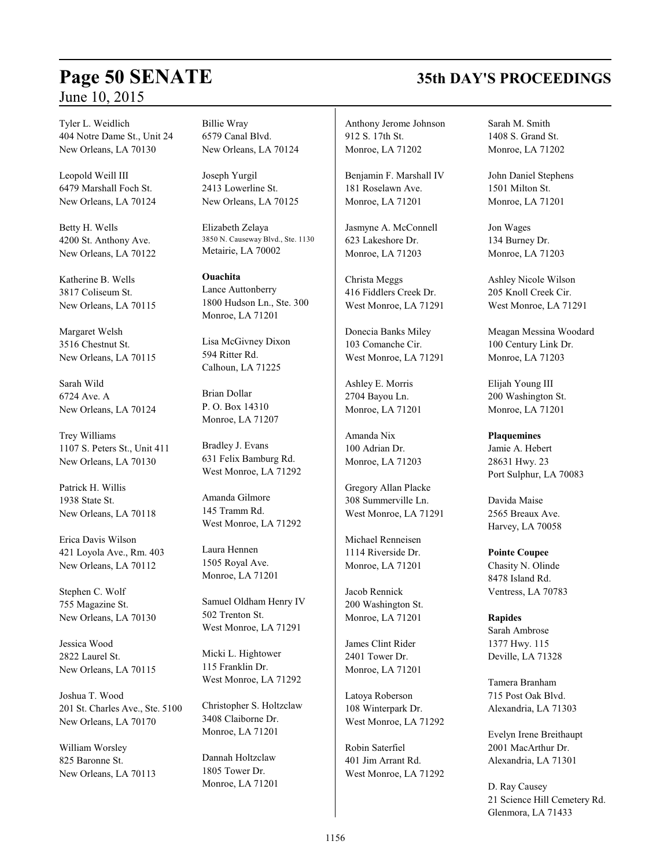# **Page 50 SENATE 35th DAY'S PROCEEDINGS**

Tyler L. Weidlich 404 Notre Dame St., Unit 24 New Orleans, LA 70130

Leopold Weill III 6479 Marshall Foch St. New Orleans, LA 70124

Betty H. Wells 4200 St. Anthony Ave. New Orleans, LA 70122

Katherine B. Wells 3817 Coliseum St. New Orleans, LA 70115

Margaret Welsh 3516 Chestnut St. New Orleans, LA 70115

Sarah Wild 6724 Ave. A New Orleans, LA 70124

Trey Williams 1107 S. Peters St., Unit 411 New Orleans, LA 70130

Patrick H. Willis 1938 State St. New Orleans, LA 70118

Erica Davis Wilson 421 Loyola Ave., Rm. 403 New Orleans, LA 70112

Stephen C. Wolf 755 Magazine St. New Orleans, LA 70130

Jessica Wood 2822 Laurel St. New Orleans, LA 70115

Joshua T. Wood 201 St. Charles Ave., Ste. 5100 New Orleans, LA 70170

William Worsley 825 Baronne St. New Orleans, LA 70113 Billie Wray 6579 Canal Blvd. New Orleans, LA 70124

Joseph Yurgil 2413 Lowerline St. New Orleans, LA 70125

Elizabeth Zelaya 3850 N. Causeway Blvd., Ste. 1130 Metairie, LA 70002

**Ouachita** Lance Auttonberry 1800 Hudson Ln., Ste. 300 Monroe, LA 71201

Lisa McGivney Dixon 594 Ritter Rd. Calhoun, LA 71225

Brian Dollar P. O. Box 14310 Monroe, LA 71207

Bradley J. Evans 631 Felix Bamburg Rd. West Monroe, LA 71292

Amanda Gilmore 145 Tramm Rd. West Monroe, LA 71292

Laura Hennen 1505 Royal Ave. Monroe, LA 71201

Samuel Oldham Henry IV 502 Trenton St. West Monroe, LA 71291

Micki L. Hightower 115 Franklin Dr. West Monroe, LA 71292

Christopher S. Holtzclaw 3408 Claiborne Dr. Monroe, LA 71201

Dannah Holtzclaw 1805 Tower Dr. Monroe, LA 71201

Anthony Jerome Johnson 912 S. 17th St. Monroe, LA 71202

Benjamin F. Marshall IV 181 Roselawn Ave. Monroe, LA 71201

Jasmyne A. McConnell 623 Lakeshore Dr. Monroe, LA 71203

Christa Meggs 416 Fiddlers Creek Dr. West Monroe, LA 71291

Donecia Banks Miley 103 Comanche Cir. West Monroe, LA 71291

Ashley E. Morris 2704 Bayou Ln. Monroe, LA 71201

Amanda Nix 100 Adrian Dr. Monroe, LA 71203

Gregory Allan Placke 308 Summerville Ln. West Monroe, LA 71291

Michael Renneisen 1114 Riverside Dr. Monroe, LA 71201

Jacob Rennick 200 Washington St. Monroe, LA 71201

James Clint Rider 2401 Tower Dr. Monroe, LA 71201

Latoya Roberson 108 Winterpark Dr. West Monroe, LA 71292

Robin Saterfiel 401 Jim Arrant Rd. West Monroe, LA 71292 Sarah M. Smith 1408 S. Grand St. Monroe, LA 71202

John Daniel Stephens 1501 Milton St. Monroe, LA 71201

Jon Wages 134 Burney Dr. Monroe, LA 71203

Ashley Nicole Wilson 205 Knoll Creek Cir. West Monroe, LA 71291

Meagan Messina Woodard 100 Century Link Dr. Monroe, LA 71203

Elijah Young III 200 Washington St. Monroe, LA 71201

**Plaquemines** Jamie A. Hebert 28631 Hwy. 23 Port Sulphur, LA 70083

Davida Maise 2565 Breaux Ave. Harvey, LA 70058

**Pointe Coupee**

Chasity N. Olinde 8478 Island Rd. Ventress, LA 70783

**Rapides** Sarah Ambrose 1377 Hwy. 115 Deville, LA 71328

Tamera Branham 715 Post Oak Blvd. Alexandria, LA 71303

Evelyn Irene Breithaupt 2001 MacArthur Dr. Alexandria, LA 71301

D. Ray Causey 21 Science Hill Cemetery Rd. Glenmora, LA 71433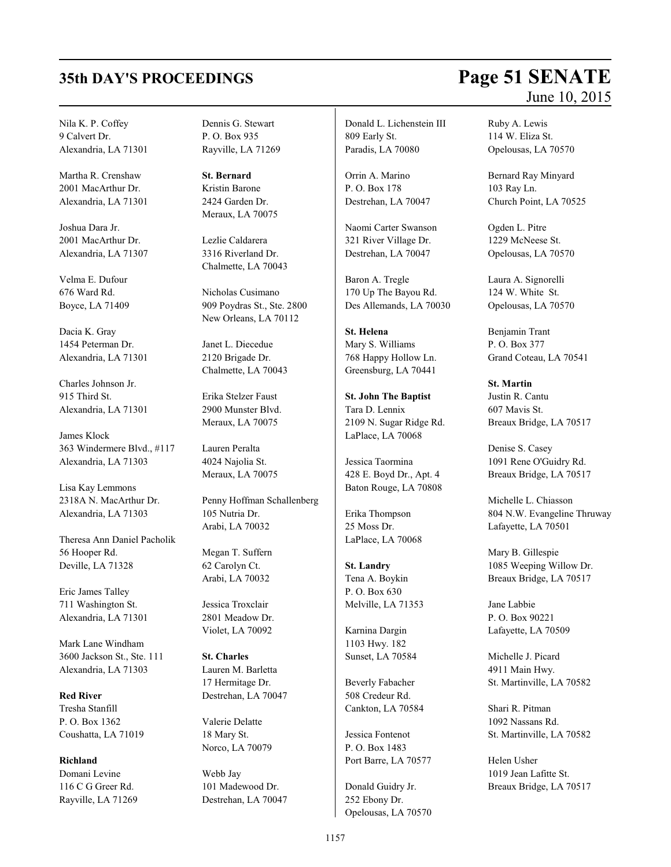Nila K. P. Coffey 9 Calvert Dr. Alexandria, LA 71301

Martha R. Crenshaw 2001 MacArthur Dr. Alexandria, LA 71301

Joshua Dara Jr. 2001 MacArthur Dr. Alexandria, LA 71307

Velma E. Dufour 676 Ward Rd. Boyce, LA 71409

Dacia K. Gray 1454 Peterman Dr. Alexandria, LA 71301

Charles Johnson Jr. 915 Third St. Alexandria, LA 71301

James Klock 363 Windermere Blvd., #117 Alexandria, LA 71303

Lisa Kay Lemmons 2318A N. MacArthur Dr. Alexandria, LA 71303

Theresa Ann Daniel Pacholik 56 Hooper Rd. Deville, LA 71328

Eric James Talley 711 Washington St. Alexandria, LA 71301

Mark Lane Windham 3600 Jackson St., Ste. 111 Alexandria, LA 71303

**Red River** Tresha Stanfill P. O. Box 1362 Coushatta, LA 71019

**Richland** Domani Levine 116 C G Greer Rd. Rayville, LA 71269 Dennis G. Stewart P. O. Box 935 Rayville, LA 71269

**St. Bernard** Kristin Barone 2424 Garden Dr. Meraux, LA 70075

Lezlie Caldarera 3316 Riverland Dr. Chalmette, LA 70043

Nicholas Cusimano 909 Poydras St., Ste. 2800 New Orleans, LA 70112

Janet L. Diecedue 2120 Brigade Dr. Chalmette, LA 70043

Erika Stelzer Faust 2900 Munster Blvd. Meraux, LA 70075

Lauren Peralta 4024 Najolia St. Meraux, LA 70075

Penny Hoffman Schallenberg 105 Nutria Dr. Arabi, LA 70032

Megan T. Suffern 62 Carolyn Ct. Arabi, LA 70032

Jessica Troxclair 2801 Meadow Dr. Violet, LA 70092

**St. Charles** Lauren M. Barletta 17 Hermitage Dr. Destrehan, LA 70047

Valerie Delatte 18 Mary St. Norco, LA 70079

Webb Jay 101 Madewood Dr. Destrehan, LA 70047 Donald L. Lichenstein III 809 Early St. Paradis, LA 70080

Orrin A. Marino P. O. Box 178 Destrehan, LA 70047

Naomi Carter Swanson 321 River Village Dr. Destrehan, LA 70047

Baron A. Tregle 170 Up The Bayou Rd. Des Allemands, LA 70030

**St. Helena** Mary S. Williams 768 Happy Hollow Ln. Greensburg, LA 70441

**St. John The Baptist** Tara D. Lennix 2109 N. Sugar Ridge Rd. LaPlace, LA 70068

Jessica Taormina 428 E. Boyd Dr., Apt. 4 Baton Rouge, LA 70808

Erika Thompson 25 Moss Dr. LaPlace, LA 70068

**St. Landry** Tena A. Boykin P. O. Box 630 Melville, LA 71353

Karnina Dargin 1103 Hwy. 182 Sunset, LA 70584

Beverly Fabacher 508 Credeur Rd. Cankton, LA 70584

Jessica Fontenot P. O. Box 1483 Port Barre, LA 70577

Donald Guidry Jr. 252 Ebony Dr. Opelousas, LA 70570

# **35th DAY'S PROCEEDINGS Page 51 SENATE** June 10, 2015

Ruby A. Lewis 114 W. Eliza St. Opelousas, LA 70570

Bernard Ray Minyard 103 Ray Ln. Church Point, LA 70525

Ogden L. Pitre 1229 McNeese St. Opelousas, LA 70570

Laura A. Signorelli 124 W. White St. Opelousas, LA 70570

Benjamin Trant P. O. Box 377 Grand Coteau, LA 70541

**St. Martin** Justin R. Cantu 607 Mavis St. Breaux Bridge, LA 70517

Denise S. Casey 1091 Rene O'Guidry Rd. Breaux Bridge, LA 70517

Michelle L. Chiasson 804 N.W. Evangeline Thruway Lafayette, LA 70501

Mary B. Gillespie 1085 Weeping Willow Dr. Breaux Bridge, LA 70517

Jane Labbie P. O. Box 90221 Lafayette, LA 70509

Michelle J. Picard 4911 Main Hwy. St. Martinville, LA 70582

Shari R. Pitman 1092 Nassans Rd. St. Martinville, LA 70582

Helen Usher 1019 Jean Lafitte St. Breaux Bridge, LA 70517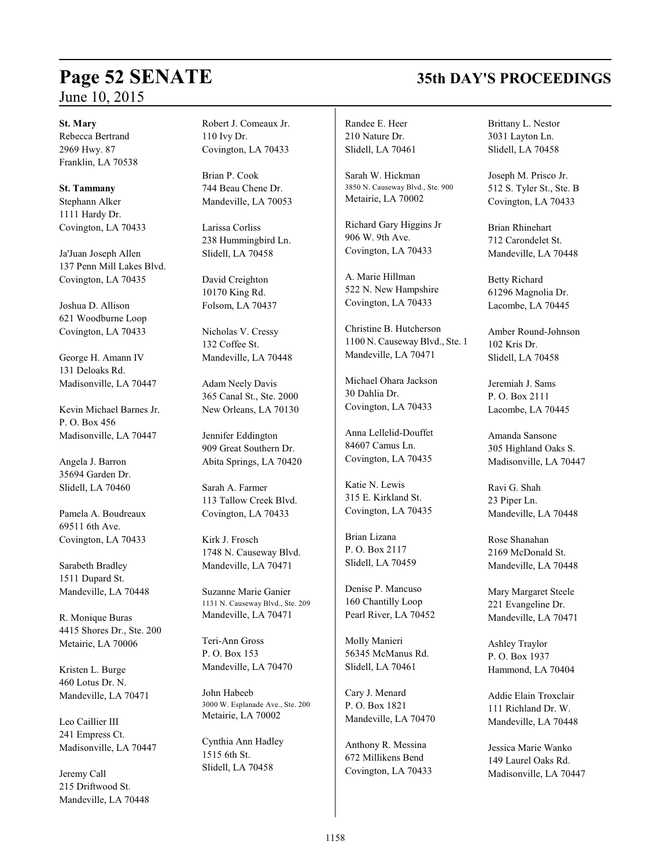### **St. Mary**

Rebecca Bertrand 2969 Hwy. 87 Franklin, LA 70538

**St. Tammany** Stephann Alker 1111 Hardy Dr. Covington, LA 70433

Ja'Juan Joseph Allen 137 Penn Mill Lakes Blvd. Covington, LA 70435

Joshua D. Allison 621 Woodburne Loop Covington, LA 70433

George H. Amann IV 131 Deloaks Rd. Madisonville, LA 70447

Kevin Michael Barnes Jr. P. O. Box 456 Madisonville, LA 70447

Angela J. Barron 35694 Garden Dr. Slidell, LA 70460

Pamela A. Boudreaux 69511 6th Ave. Covington, LA 70433

Sarabeth Bradley 1511 Dupard St. Mandeville, LA 70448

R. Monique Buras 4415 Shores Dr., Ste. 200 Metairie, LA 70006

Kristen L. Burge 460 Lotus Dr. N. Mandeville, LA 70471

Leo Caillier III 241 Empress Ct. Madisonville, LA 70447

Jeremy Call 215 Driftwood St. Mandeville, LA 70448 Robert J. Comeaux Jr. 110 Ivy Dr. Covington, LA 70433

Brian P. Cook 744 Beau Chene Dr. Mandeville, LA 70053

Larissa Corliss 238 Hummingbird Ln. Slidell, LA 70458

David Creighton 10170 King Rd. Folsom, LA 70437

Nicholas V. Cressy 132 Coffee St. Mandeville, LA 70448

Adam Neely Davis 365 Canal St., Ste. 2000 New Orleans, LA 70130

Jennifer Eddington 909 Great Southern Dr. Abita Springs, LA 70420

Sarah A. Farmer 113 Tallow Creek Blvd. Covington, LA 70433

Kirk J. Frosch 1748 N. Causeway Blvd. Mandeville, LA 70471

Suzanne Marie Ganier 1131 N. Causeway Blvd., Ste. 209 Mandeville, LA 70471

Teri-Ann Gross P. O. Box 153 Mandeville, LA 70470

John Habeeb 3000 W. Esplanade Ave., Ste. 200 Metairie, LA 70002

Cynthia Ann Hadley 1515 6th St. Slidell, LA 70458

Randee E. Heer 210 Nature Dr. Slidell, LA 70461

Sarah W. Hickman 3850 N. Causeway Blvd., Ste. 900 Metairie, LA 70002

Richard Gary Higgins Jr 906 W. 9th Ave. Covington, LA 70433

A. Marie Hillman 522 N. New Hampshire Covington, LA 70433

Christine B. Hutcherson 1100 N. CausewayBlvd., Ste. 1 Mandeville, LA 70471

Michael Ohara Jackson 30 Dahlia Dr. Covington, LA 70433

Anna Lellelid-Douffet 84607 Camus Ln. Covington, LA 70435

Katie N. Lewis 315 E. Kirkland St. Covington, LA 70435

Brian Lizana P. O. Box 2117 Slidell, LA 70459

Denise P. Mancuso 160 Chantilly Loop Pearl River, LA 70452

Molly Manieri 56345 McManus Rd. Slidell, LA 70461

Cary J. Menard P. O. Box 1821 Mandeville, LA 70470

Anthony R. Messina 672 Millikens Bend Covington, LA 70433 Brittany L. Nestor 3031 Layton Ln. Slidell, LA 70458

Joseph M. Prisco Jr. 512 S. Tyler St., Ste. B Covington, LA 70433

Brian Rhinehart 712 Carondelet St. Mandeville, LA 70448

Betty Richard 61296 Magnolia Dr. Lacombe, LA 70445

Amber Round-Johnson 102 Kris Dr. Slidell, LA 70458

Jeremiah J. Sams P. O. Box 2111 Lacombe, LA 70445

Amanda Sansone 305 Highland Oaks S. Madisonville, LA 70447

Ravi G. Shah 23 Piper Ln. Mandeville, LA 70448

Rose Shanahan 2169 McDonald St. Mandeville, LA 70448

Mary Margaret Steele 221 Evangeline Dr. Mandeville, LA 70471

Ashley Traylor P. O. Box 1937 Hammond, LA 70404

Addie Elain Troxclair 111 Richland Dr. W. Mandeville, LA 70448

Jessica Marie Wanko 149 Laurel Oaks Rd. Madisonville, LA 70447

# **Page 52 SENATE 35th DAY'S PROCEEDINGS**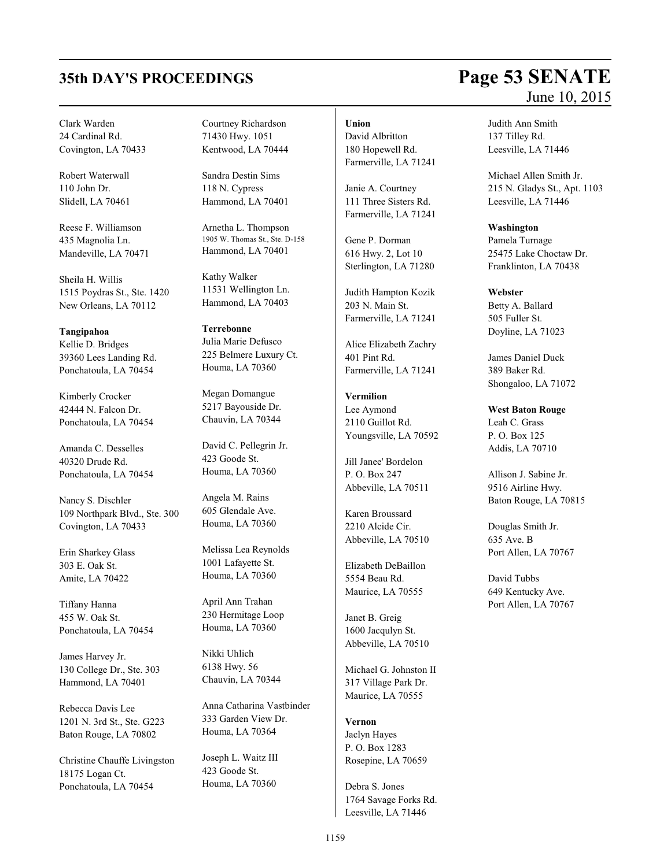# **35th DAY'S PROCEEDINGS Page 53 SENATE**

Clark Warden 24 Cardinal Rd. Covington, LA 70433

Robert Waterwall 110 John Dr. Slidell, LA 70461

Reese F. Williamson 435 Magnolia Ln. Mandeville, LA 70471

Sheila H. Willis 1515 Poydras St., Ste. 1420 New Orleans, LA 70112

**Tangipahoa** Kellie D. Bridges 39360 Lees Landing Rd. Ponchatoula, LA 70454

Kimberly Crocker 42444 N. Falcon Dr. Ponchatoula, LA 70454

Amanda C. Desselles 40320 Drude Rd. Ponchatoula, LA 70454

Nancy S. Dischler 109 Northpark Blvd., Ste. 300 Covington, LA 70433

Erin Sharkey Glass 303 E. Oak St. Amite, LA 70422

Tiffany Hanna 455 W. Oak St. Ponchatoula, LA 70454

James Harvey Jr. 130 College Dr., Ste. 303 Hammond, LA 70401

Rebecca Davis Lee 1201 N. 3rd St., Ste. G223 Baton Rouge, LA 70802

Christine Chauffe Livingston 18175 Logan Ct. Ponchatoula, LA 70454

Courtney Richardson 71430 Hwy. 1051 Kentwood, LA 70444

Sandra Destin Sims 118 N. Cypress Hammond, LA 70401

Arnetha L. Thompson 1905 W. Thomas St., Ste. D-158 Hammond, LA 70401

Kathy Walker 11531 Wellington Ln. Hammond, LA 70403

**Terrebonne** Julia Marie Defusco 225 Belmere Luxury Ct. Houma, LA 70360

Megan Domangue 5217 Bayouside Dr. Chauvin, LA 70344

David C. Pellegrin Jr. 423 Goode St. Houma, LA 70360

Angela M. Rains 605 Glendale Ave. Houma, LA 70360

Melissa Lea Reynolds 1001 Lafayette St. Houma, LA 70360

April Ann Trahan 230 Hermitage Loop Houma, LA 70360

Nikki Uhlich 6138 Hwy. 56 Chauvin, LA 70344

Anna Catharina Vastbinder 333 Garden View Dr. Houma, LA 70364

Joseph L. Waitz III 423 Goode St. Houma, LA 70360

### **Union**

David Albritton 180 Hopewell Rd. Farmerville, LA 71241

Janie A. Courtney 111 Three Sisters Rd. Farmerville, LA 71241

Gene P. Dorman 616 Hwy. 2, Lot 10 Sterlington, LA 71280

Judith Hampton Kozik 203 N. Main St. Farmerville, LA 71241

Alice Elizabeth Zachry 401 Pint Rd. Farmerville, LA 71241

**Vermilion** Lee Aymond 2110 Guillot Rd. Youngsville, LA 70592

Jill Janee' Bordelon P. O. Box 247 Abbeville, LA 70511

Karen Broussard 2210 Alcide Cir. Abbeville, LA 70510

Elizabeth DeBaillon 5554 Beau Rd. Maurice, LA 70555

Janet B. Greig 1600 Jacqulyn St. Abbeville, LA 70510

Michael G. Johnston II 317 Village Park Dr. Maurice, LA 70555

**Vernon** Jaclyn Hayes P. O. Box 1283 Rosepine, LA 70659

Debra S. Jones 1764 Savage Forks Rd. Leesville, LA 71446

# June 10, 2015

Judith Ann Smith 137 Tilley Rd. Leesville, LA 71446

Michael Allen Smith Jr. 215 N. Gladys St., Apt. 1103 Leesville, LA 71446

**Washington** Pamela Turnage 25475 Lake Choctaw Dr. Franklinton, LA 70438

# **Webster**

Betty A. Ballard 505 Fuller St. Doyline, LA 71023

James Daniel Duck 389 Baker Rd. Shongaloo, LA 71072

### **West Baton Rouge**

Leah C. Grass P. O. Box 125 Addis, LA 70710

Allison J. Sabine Jr. 9516 Airline Hwy. Baton Rouge, LA 70815

Douglas Smith Jr. 635 Ave. B Port Allen, LA 70767

David Tubbs 649 Kentucky Ave. Port Allen, LA 70767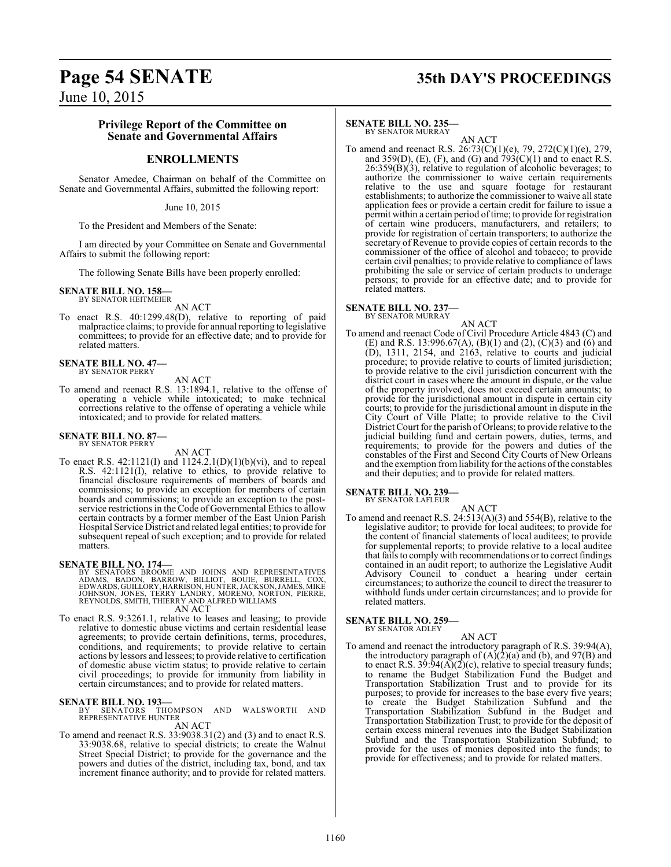# **Page 54 SENATE 35th DAY'S PROCEEDINGS**

June 10, 2015

### **Privilege Report of the Committee on Senate and Governmental Affairs**

### **ENROLLMENTS**

Senator Amedee, Chairman on behalf of the Committee on Senate and Governmental Affairs, submitted the following report:

June 10, 2015

To the President and Members of the Senate:

I am directed by your Committee on Senate and Governmental Affairs to submit the following report:

The following Senate Bills have been properly enrolled:

### **SENATE BILL NO. 158—** BY SENATOR HEITMEIER

AN ACT

To enact R.S. 40:1299.48(D), relative to reporting of paid malpractice claims; to provide for annual reporting to legislative committees; to provide for an effective date; and to provide for related matters.

### **SENATE BILL NO. 47—** BY SENATOR PERRY

AN ACT

To amend and reenact R.S. 13:1894.1, relative to the offense of operating a vehicle while intoxicated; to make technical corrections relative to the offense of operating a vehicle while intoxicated; and to provide for related matters.

### **SENATE BILL NO. 87—** BY SENATOR PERRY

AN ACT

To enact R.S.  $42:1121(I)$  and  $1124.2.1(D)(1)(b)(vi)$ , and to repeal R.S. 42:1121(I), relative to ethics, to provide relative to financial disclosure requirements of members of boards and commissions; to provide an exception for members of certain boards and commissions; to provide an exception to the postservice restrictions in the Code of Governmental Ethics to allow certain contracts by a former member of the East Union Parish Hospital Service District and related legal entities; to provide for subsequent repeal of such exception; and to provide for related matters.

### **SENATE BILL NO. 174—**

BY SENATORS BROOME AND JOHNS AND REPRESENTATIVES<br>ADAMS, BADON, BARROW, BILLIOT, BOUIE, BURRELL, COX,<br>EDWARDS,GUILLORY,HARRISON,HUNTER,JACKSON,JAMES,MIKE<br>JOHNSON, JONES,TERRY LANDRY, MORENO, NORTON, PIERRE,<br>REYNOLDS,SMITH,T

AN ACT

To enact R.S. 9:3261.1, relative to leases and leasing; to provide relative to domestic abuse victims and certain residential lease agreements; to provide certain definitions, terms, procedures, conditions, and requirements; to provide relative to certain actions by lessors and lessees; to provide relative to certification of domestic abuse victim status; to provide relative to certain civil proceedings; to provide for immunity from liability in certain circumstances; and to provide for related matters.

**SENATE BILL NO. 193—**<br>BY SENATORS THOMPSON AND WALSWORTH AND<br>REPRESENTATIVE HUNTER AN ACT

To amend and reenact R.S. 33:9038.31(2) and (3) and to enact R.S. 33:9038.68, relative to special districts; to create the Walnut Street Special District; to provide for the governance and the powers and duties of the district, including tax, bond, and tax increment finance authority; and to provide for related matters.

### **SENATE BILL NO. 235—**

BY SENATOR MURRAY AN ACT

To amend and reenact R.S. 26:73(C)(1)(e), 79, 272(C)(1)(e), 279, and 359(D), (E), (F), and (G) and  $\overline{793}(C)(1)$  and to enact R.S.  $26:359(B)(3)$ , relative to regulation of alcoholic beverages; to authorize the commissioner to waive certain requirements relative to the use and square footage for restaurant establishments; to authorize the commissioner to waive all state application fees or provide a certain credit for failure to issue a permit within a certain period of time; to provide for registration of certain wine producers, manufacturers, and retailers; to provide for registration of certain transporters; to authorize the secretary of Revenue to provide copies of certain records to the commissioner of the office of alcohol and tobacco; to provide certain civil penalties; to provide relative to compliance of laws prohibiting the sale or service of certain products to underage persons; to provide for an effective date; and to provide for related matters.

### **SENATE BILL NO. 237—** BY SENATOR MURRAY

AN ACT

To amend and reenact Code of Civil Procedure Article 4843 (C) and (E) and R.S. 13:996.67(A), (B)(1) and (2), (C)(3) and (6) and (D), 1311, 2154, and 2163, relative to courts and judicial procedure; to provide relative to courts of limited jurisdiction; to provide relative to the civil jurisdiction concurrent with the district court in cases where the amount in dispute, or the value of the property involved, does not exceed certain amounts; to provide for the jurisdictional amount in dispute in certain city courts; to provide for the jurisdictional amount in dispute in the City Court of Ville Platte; to provide relative to the Civil District Court for the parish of Orleans; to provide relative to the judicial building fund and certain powers, duties, terms, and requirements; to provide for the powers and duties of the constables of the First and Second City Courts of New Orleans and the exemption from liability for the actions of the constables and their deputies; and to provide for related matters.

**SENATE BILL NO. 239—** BY SENATOR LAFLEUR

AN ACT

To amend and reenact R.S. 24:513(A)(3) and 554(B), relative to the legislative auditor; to provide for local auditees; to provide for the content of financial statements of local auditees; to provide for supplemental reports; to provide relative to a local auditee that fails to comply with recommendations or to correct findings contained in an audit report; to authorize the Legislative Audit Advisory Council to conduct a hearing under certain circumstances; to authorize the council to direct the treasurer to withhold funds under certain circumstances; and to provide for related matters.

**SENATE BILL NO. 259—** BY SENATOR ADLEY

AN ACT

To amend and reenact the introductory paragraph of R.S. 39:94(A), the introductory paragraph of  $(A)(2)(a)$  and  $(b)$ , and  $97(B)$  and to enact R.S.  $39:94(A)(2)(c)$ , relative to special treasury funds; to rename the Budget Stabilization Fund the Budget and Transportation Stabilization Trust and to provide for its purposes; to provide for increases to the base every five years; to create the Budget Stabilization Subfund and the Transportation Stabilization Subfund in the Budget and Transportation Stabilization Trust; to provide for the deposit of certain excess mineral revenues into the Budget Stabilization Subfund and the Transportation Stabilization Subfund; to provide for the uses of monies deposited into the funds; to provide for effectiveness; and to provide for related matters.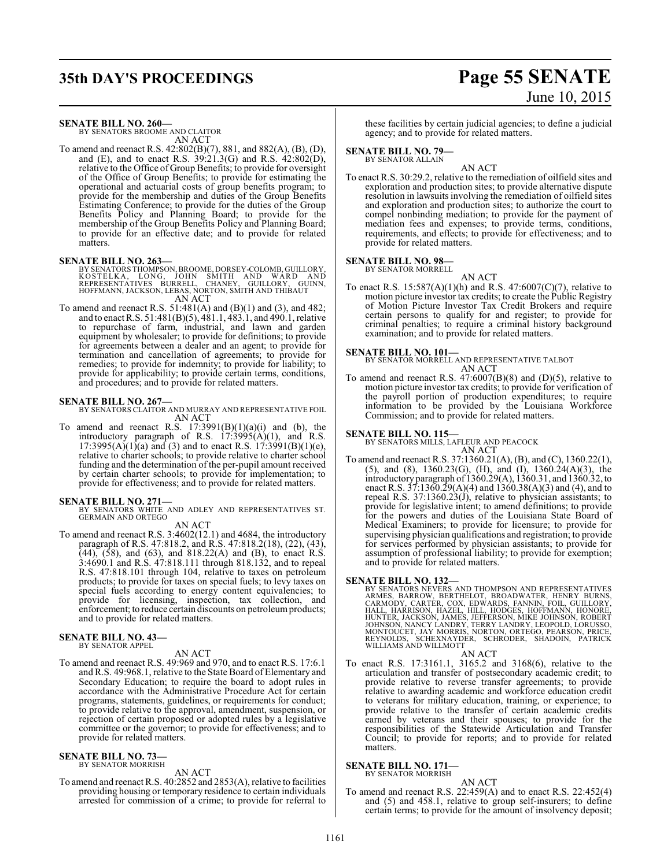# **35th DAY'S PROCEEDINGS Page 55 SENATE**

### **SENATE BILL NO. 260—**

BY SENATORS BROOME AND CLAITOR AN ACT

To amend and reenact R.S. 42:802(B)(7), 881, and 882(A), (B), (D), and (E), and to enact R.S. 39:21.3(G) and R.S. 42:802(D), relative to the Office of Group Benefits; to provide for oversight of the Office of Group Benefits; to provide for estimating the operational and actuarial costs of group benefits program; to provide for the membership and duties of the Group Benefits Estimating Conference; to provide for the duties of the Group Benefits Policy and Planning Board; to provide for the membership of the Group Benefits Policy and Planning Board; to provide for an effective date; and to provide for related matters.

- **SENATE BILL NO. 263—** BY SENATORS THOMPSON,BROOME, DORSEY-COLOMB, GUILLORY, KOSTELKA, LONG, JOHN SMITH AND WARD AND REPRESENTATIVES BURRELL, CHANEY, GUILLORY, GUINN, HOFFMANN, JACKSON, LEBAS, NORTON, SMITH AND THIBAUT AN ACT
- To amend and reenact R.S. 51:481(A) and (B)(1) and (3), and 482; and to enact R.S. 51:481(B)(5), 481.1, 483.1, and 490.1, relative to repurchase of farm, industrial, and lawn and garden equipment by wholesaler; to provide for definitions; to provide for agreements between a dealer and an agent; to provide for termination and cancellation of agreements; to provide for remedies; to provide for indemnity; to provide for liability; to provide for applicability; to provide certain terms, conditions, and procedures; and to provide for related matters.

### **SENATE BILL NO. 267—**

BY SENATORS CLAITOR AND MURRAY AND REPRESENTATIVE FOIL AN ACT

To amend and reenact R.S.  $17:3991(B)(1)(a)(i)$  and (b), the introductory paragraph of R.S. 17:3995(A)(1), and R.S.  $17:3995(A)(1)(a)$  and (3) and to enact R.S.  $17:3991(B)(1)(e)$ , relative to charter schools; to provide relative to charter school funding and the determination of the per-pupil amount received by certain charter schools; to provide for implementation; to provide for effectiveness; and to provide for related matters.

**SENATE BILL NO. 271—**<br>BY SENATORS WHITE AND ADLEY AND REPRESENTATIVES ST.<br>GERMAIN AND ORTEGO

AN ACT

To amend and reenact R.S. 3:4602(12.1) and 4684, the introductory paragraph of R.S. 47:818.2, and R.S. 47:818.2(18), (22), (43),  $(44)$ ,  $(58)$ , and  $(63)$ , and  $818.22(A)$  and  $(B)$ , to enact R.S. 3:4690.1 and R.S. 47:818.111 through 818.132, and to repeal R.S. 47:818.101 through 104, relative to taxes on petroleum products; to provide for taxes on special fuels; to levy taxes on special fuels according to energy content equivalencies; to provide for licensing, inspection, tax collection, and enforcement; to reduce certain discounts on petroleum products; and to provide for related matters.

# **SENATE BILL NO. 43—** BY SENATOR APPEL

### AN ACT

To amend and reenact R.S. 49:969 and 970, and to enact R.S. 17:6.1 and R.S. 49:968.1, relative to the State Board of Elementary and Secondary Education; to require the board to adopt rules in accordance with the Administrative Procedure Act for certain programs, statements, guidelines, or requirements for conduct; to provide relative to the approval, amendment, suspension, or rejection of certain proposed or adopted rules by a legislative committee or the governor; to provide for effectiveness; and to provide for related matters.

## **SENATE BILL NO. 73—** BY SENATOR MORRISH

AN ACT

To amend and reenact R.S. 40:2852 and 2853(A), relative to facilities providing housing or temporary residence to certain individuals arrested for commission of a crime; to provide for referral to

# June 10, 2015

these facilities by certain judicial agencies; to define a judicial agency; and to provide for related matters.

### **SENATE BILL NO. 79—**

BY SENATOR ALLAIN

AN ACT To enact R.S. 30:29.2, relative to the remediation of oilfield sites and exploration and production sites; to provide alternative dispute resolution in lawsuits involving the remediation of oilfield sites and exploration and production sites; to authorize the court to compel nonbinding mediation; to provide for the payment of mediation fees and expenses; to provide terms, conditions, requirements, and effects; to provide for effectiveness; and to provide for related matters.

## **SENATE BILL NO. 98—** BY SENATOR MORRELL

AN ACT To enact R.S. 15:587(A)(1)(h) and R.S. 47:6007(C)(7), relative to motion picture investor tax credits; to create the Public Registry of Motion Picture Investor Tax Credit Brokers and require certain persons to qualify for and register; to provide for criminal penalties; to require a criminal history background examination; and to provide for related matters.

### **SENATE BILL NO. 101—**

BY SENATOR MORRELL AND REPRESENTATIVE TALBOT AN ACT

To amend and reenact R.S.  $47:6007(B)(8)$  and  $(D)(5)$ , relative to motion picture investor tax credits; to provide for verification of the payroll portion of production expenditures; to require information to be provided by the Louisiana Workforce Commission; and to provide for related matters.

### **SENATE BILL NO. 115—**

BY SENATORS MILLS, LAFLEUR AND PEACOCK AN ACT

To amend and reenact R.S. 37:1360.21(A), (B), and (C), 1360.22(1), (5), and (8), 1360.23(G), (H), and (I), 1360.24(A)(3), the introductory paragraph of 1360.29(A), 1360.31, and 1360.32,to enact R.S. 37:1360.29(A)(4) and 1360.38(A)(3) and (4), and to repeal R.S. 37:1360.23(J), relative to physician assistants; to provide for legislative intent; to amend definitions; to provide for the powers and duties of the Louisiana State Board of Medical Examiners; to provide for licensure; to provide for supervising physician qualifications and registration; to provide for services performed by physician assistants; to provide for assumption of professional liability; to provide for exemption; and to provide for related matters.

**SENATE BILL NO. 132—**<br>BY SENATORS NEVERS AND THOMPSON AND REPRESENTATIVES<br>ARMES, BARROW, BERTHELOT, BROADWATER, HENRY BURNS,<br>CARMODY, CARTER, COX, EDWARDS, FANNIN, FOIL, GUILLORY,<br>HALL, HARRISON, HAZEL, HILL, HODGES, HOFM

AN ACT

To enact R.S. 17:3161.1, 3165.2 and 3168(6), relative to the articulation and transfer of postsecondary academic credit; to provide relative to reverse transfer agreements; to provide relative to awarding academic and workforce education credit to veterans for military education, training, or experience; to provide relative to the transfer of certain academic credits earned by veterans and their spouses; to provide for the responsibilities of the Statewide Articulation and Transfer Council; to provide for reports; and to provide for related matters.

### **SENATE BILL NO. 171—** BY SENATOR MORRISH

AN ACT To amend and reenact R.S. 22:459(A) and to enact R.S. 22:452(4) and (5) and 458.1, relative to group self-insurers; to define certain terms; to provide for the amount of insolvency deposit;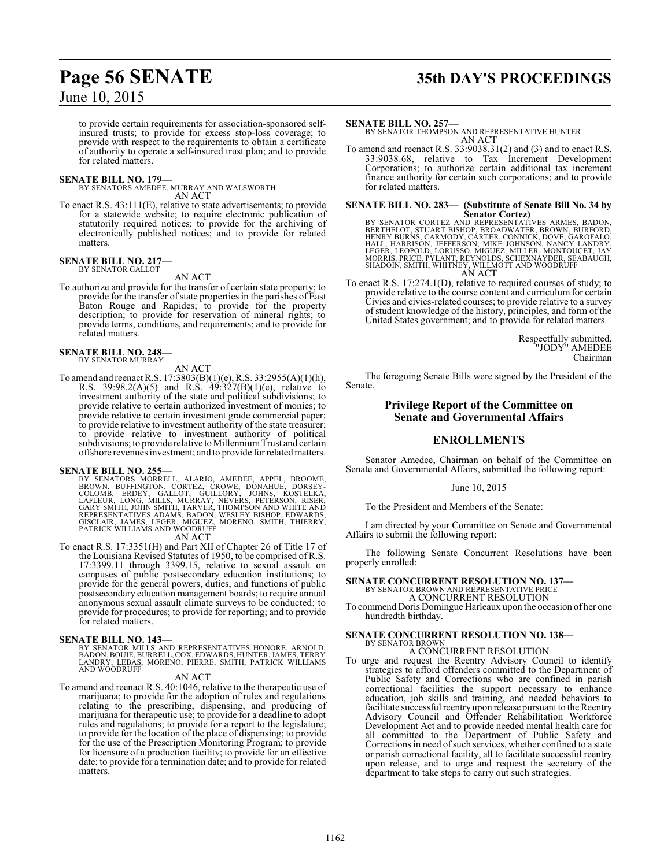# **Page 56 SENATE 35th DAY'S PROCEEDINGS**

### June 10, 2015

to provide certain requirements for association-sponsored selfinsured trusts; to provide for excess stop-loss coverage; to provide with respect to the requirements to obtain a certificate of authority to operate a self-insured trust plan; and to provide for related matters.

**SENATE BILL NO. 179—** BY SENATORS AMEDEE, MURRAY AND WALSWORTH AN ACT

To enact R.S. 43:111(E), relative to state advertisements; to provide for a statewide website; to require electronic publication of statutorily required notices; to provide for the archiving of electronically published notices; and to provide for related matters.

# **SENATE BILL NO. 217—** BY SENATOR GALLOT

AN ACT

To authorize and provide for the transfer of certain state property; to provide for the transfer of state properties in the parishes of East Baton Rouge and Rapides; to provide for the property description; to provide for reservation of mineral rights; to provide terms, conditions, and requirements; and to provide for related matters.

### **SENATE BILL NO. 248—** BY SENATOR MURRAY

AN ACT

To amend and reenact R.S. 17:3803(B)(1)(e), R.S. 33:2955(A)(1)(h), R.S. 39:98.2(A)(5) and R.S.  $49:327(B)(1)(e)$ , relative to investment authority of the state and political subdivisions; to provide relative to certain authorized investment of monies; to provide relative to certain investment grade commercial paper; to provide relative to investment authority of the state treasurer; to provide relative to investment authority of political subdivisions; to provide relative to Millennium Trust and certain offshore revenues investment; and to provide for relatedmatters.

### **SENATE BILL NO. 255—**

BY SENATORS MORRELL, ALARIO, AMEDEE, APPEL, BROOME,<br>BROWN, BUFFINGTON, CORTEZ, CROWE, DONAHUE, DORSEY-<br>COLOMB, ERDEY, GALLOT, GUILLORY, JOHNS, KOSTELKA,<br>LAFLEUR, LONG, MILLS, MURRAY, NEVERS, PETERSON, RISER,<br>GARY SMITH, JO

AN ACT

To enact R.S. 17:3351(H) and Part XII of Chapter 26 of Title 17 of the Louisiana Revised Statutes of 1950, to be comprised of R.S. 17:3399.11 through 3399.15, relative to sexual assault on campuses of public postsecondary education institutions; to provide for the general powers, duties, and functions of public postsecondary education management boards; to require annual anonymous sexual assault climate surveys to be conducted; to provide for procedures; to provide for reporting; and to provide for related matters.

**SENATE BILL NO. 143—**<br>BY SENATOR MILLS AND REPRESENTATIVES HONORE, ARNOLD, BOUIE, BURELL, COX, EDWARDS, HUNTER, JAMES, TERRY<br>LANDRY, LEBAS, MORENO, PIERRE, SMITH, PATRICK WILLIAMS<br>AND WOODRUFF

### AN ACT

To amend and reenact R.S. 40:1046, relative to the therapeutic use of marijuana; to provide for the adoption of rules and regulations relating to the prescribing, dispensing, and producing of marijuana for therapeutic use; to provide for a deadline to adopt rules and regulations; to provide for a report to the legislature; to provide for the location of the place of dispensing; to provide for the use of the Prescription Monitoring Program; to provide for licensure of a production facility; to provide for an effective date; to provide for a termination date; and to provide for related matters.

### **SENATE BILL NO. 257—**

BY SENATOR THOMPSON AND REPRESENTATIVE HUNTER AN ACT

To amend and reenact R.S. 33:9038.31(2) and (3) and to enact R.S. 33:9038.68, relative to Tax Increment Development Corporations; to authorize certain additional tax increment finance authority for certain such corporations; and to provide for related matters.

# **SENATE BILL NO. 283— (Substitute of Senate Bill No. 34 by**

Senator Cortez)<br>BERTHELOT, STUART BISHOP, BROADWATER, BROWN, BURFORD,<br>BERTHELOT, STUART BISHOP, BROADWATER, BROWN, BURFORD,<br>HENRY BURNS, CARMODY, CARTER, CONNICK, DOVE, GAROFALO,<br>HALL, HARRISON, JEFFERSON, MIKE JOHNSON, NA

To enact R.S. 17:274.1(D), relative to required courses of study; to provide relative to the course content and curriculum for certain Civics and civics-related courses; to provide relative to a survey of student knowledge of the history, principles, and form of the United States government; and to provide for related matters.

> Respectfully submitted, "JODY" AMEDEE Chairman

The foregoing Senate Bills were signed by the President of the Senate.

### **Privilege Report of the Committee on Senate and Governmental Affairs**

### **ENROLLMENTS**

Senator Amedee, Chairman on behalf of the Committee on Senate and Governmental Affairs, submitted the following report:

### June 10, 2015

To the President and Members of the Senate:

I am directed by your Committee on Senate and Governmental Affairs to submit the following report:

The following Senate Concurrent Resolutions have been properly enrolled:

# **SENATE CONCURRENT RESOLUTION NO. 137—** BY SENATOR BROWN AND REPRESENTATIVE PRICE

A CONCURRENT RESOLUTION

To commend Doris Domingue Harleaux upon the occasion of her one hundredth birthday.

### **SENATE CONCURRENT RESOLUTION NO. 138—**

### BY SENATOR BROWN A CONCURRENT RESOLUTION

To urge and request the Reentry Advisory Council to identify strategies to afford offenders committed to the Department of Public Safety and Corrections who are confined in parish correctional facilities the support necessary to enhance education, job skills and training, and needed behaviors to facilitate successful reentry upon release pursuant to the Reentry Advisory Council and Offender Rehabilitation Workforce Development Act and to provide needed mental health care for all committed to the Department of Public Safety and Corrections in need of such services, whether confined to a state or parish correctional facility, all to facilitate successful reentry upon release, and to urge and request the secretary of the department to take steps to carry out such strategies.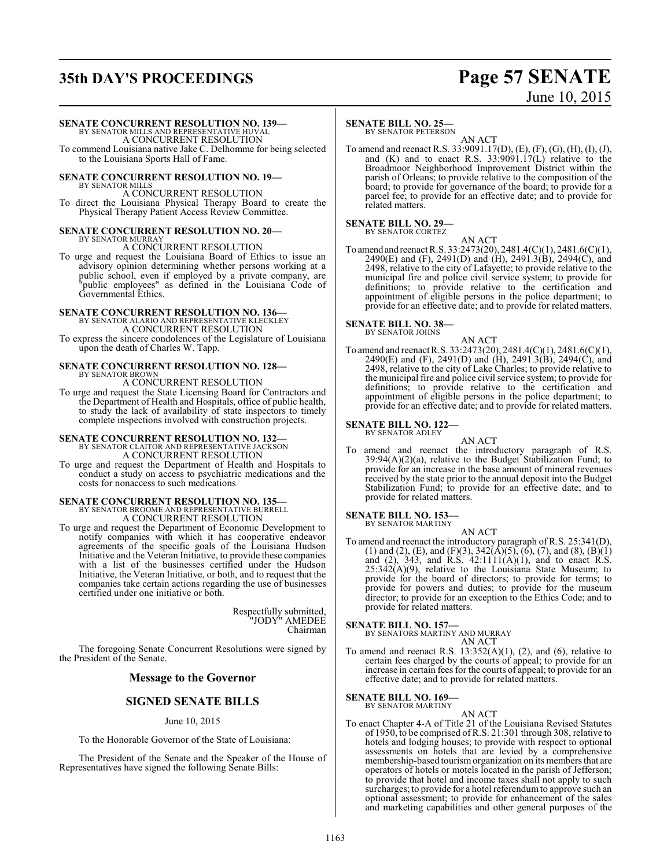# **35th DAY'S PROCEEDINGS Page 57 SENATE**

# June 10, 2015

### **SENATE CONCURRENT RESOLUTION NO. 139—**

BY SENATOR MILLS AND REPRESENTATIVE HUVAL A CONCURRENT RESOLUTION

To commend Louisiana native Jake C. Delhomme for being selected to the Louisiana Sports Hall of Fame.

## **SENATE CONCURRENT RESOLUTION NO. 19—** BY SENATOR MILLS

A CONCURRENT RESOLUTION To direct the Louisiana Physical Therapy Board to create the Physical Therapy Patient Access Review Committee.

### **SENATE CONCURRENT RESOLUTION NO. 20—** BY SENATOR MURRAY

A CONCURRENT RESOLUTION

To urge and request the Louisiana Board of Ethics to issue an advisory opinion determining whether persons working at a public school, even if employed by a private company, are "public employees" as defined in the Louisiana Code of Governmental Ethics.

## **SENATE CONCURRENT RESOLUTION NO. 136—** BY SENATOR ALARIO AND REPRESENTATIVE KLECKLEY

A CONCURRENT RESOLUTION

To express the sincere condolences of the Legislature of Louisiana upon the death of Charles W. Tapp.

### **SENATE CONCURRENT RESOLUTION NO. 128—** BY SENATOR BROWN A CONCURRENT RESOLUTION

To urge and request the State Licensing Board for Contractors and the Department of Health and Hospitals, office of public health, to study the lack of availability of state inspectors to timely complete inspections involved with construction projects.

### **SENATE CONCURRENT RESOLUTION NO. 132—** BY SENATOR CLAITOR AND REPRESENTATIVE JACKSON A CONCURRENT RESOLUTION

To urge and request the Department of Health and Hospitals to conduct a study on access to psychiatric medications and the costs for nonaccess to such medications

### **SENATE CONCURRENT RESOLUTION NO. 135—** BY SENATOR BROOME AND REPRESENTATIVE BURRELL A CONCURRENT RESOLUTION

To urge and request the Department of Economic Development to notify companies with which it has cooperative endeavor agreements of the specific goals of the Louisiana Hudson Initiative and the Veteran Initiative, to provide these companies with a list of the businesses certified under the Hudson Initiative, the Veteran Initiative, or both, and to request that the companies take certain actions regarding the use of businesses certified under one initiative or both.

> Respectfully submitted, "JODY" AMEDEE Chairman

The foregoing Senate Concurrent Resolutions were signed by the President of the Senate.

### **Message to the Governor**

### **SIGNED SENATE BILLS**

### June 10, 2015

To the Honorable Governor of the State of Louisiana:

The President of the Senate and the Speaker of the House of Representatives have signed the following Senate Bills:

### **SENATE BILL NO. 25—**

BY SENATOR PETERSON

AN ACT To amend and reenact R.S. 33:9091.17(D), (E), (F), (G), (H), (I), (J), and (K) and to enact R.S. 33:9091.17(L) relative to the Broadmoor Neighborhood Improvement District within the parish of Orleans; to provide relative to the composition of the board; to provide for governance of the board; to provide for a parcel fee; to provide for an effective date; and to provide for related matters.

### **SENATE BILL NO. 29—** BY SENATOR CORTEZ

AN ACT To amend and reenact R.S. 33:2473(20), 2481.4(C)(1), 2481.6(C)(1), 2490(E) and (F), 2491(D) and (H), 2491.3(B), 2494(C), and 2498, relative to the city of Lafayette; to provide relative to the municipal fire and police civil service system; to provide for definitions; to provide relative to the certification and appointment of eligible persons in the police department; to provide for an effective date; and to provide for related matters.

# **SENATE BILL NO. 38—**<br>BY SENATOR JOHNS

AN ACT

To amend and reenact R.S. 33:2473(20), 2481.4(C)(1), 2481.6(C)(1), 2490(E) and (F), 2491(D) and (H), 2491.3(B), 2494(C), and 2498, relative to the city of Lake Charles; to provide relative to the municipal fire and police civil service system; to provide for definitions; to provide relative to the certification and appointment of eligible persons in the police department; to provide for an effective date; and to provide for related matters.

### **SENATE BILL NO. 122—** BY SENATOR ADLEY

AN ACT amend and reenact the introductory paragraph of R.S.  $39:94(A)(2)(a)$ , relative to the Budget Stabilization Fund; to provide for an increase in the base amount of mineral revenues received by the state prior to the annual deposit into the Budget Stabilization Fund; to provide for an effective date; and to provide for related matters.

# **SENATE BILL NO. 153—** BY SENATOR MARTINY

AN ACT To amend and reenact the introductory paragraph of R.S. 25:341(D), (1) and (2), (E), and (F)(3),  $342(\text{\AA})(5)$ , (6), (7), and (8), (B)(1) and  $(2)$ , 343, and R.S. 42:1111 $(A)(1)$ , and to enact R.S.  $25:342(A)(9)$ , relative to the Louisiana State Museum; to provide for the board of directors; to provide for terms; to provide for powers and duties; to provide for the museum director; to provide for an exception to the Ethics Code; and to provide for related matters.

**SENATE BILL NO. 157—** BY SENATORS MARTINY AND MURRAY AN ACT

To amend and reenact R.S.  $13:352(A)(1)$ ,  $(2)$ , and  $(6)$ , relative to certain fees charged by the courts of appeal; to provide for an increase in certain fees for the courts of appeal; to provide for an effective date; and to provide for related matters.

## **SENATE BILL NO. 169—** BY SENATOR MARTINY

AN ACT To enact Chapter 4-A of Title 21 of the Louisiana Revised Statutes of 1950, to be comprised of R.S. 21:301 through 308, relative to hotels and lodging houses; to provide with respect to optional assessments on hotels that are levied by a comprehensive membership-based tourismorganization on its members that are operators of hotels or motels located in the parish of Jefferson; to provide that hotel and income taxes shall not apply to such surcharges; to provide for a hotel referendum to approve such an optional assessment; to provide for enhancement of the sales and marketing capabilities and other general purposes of the